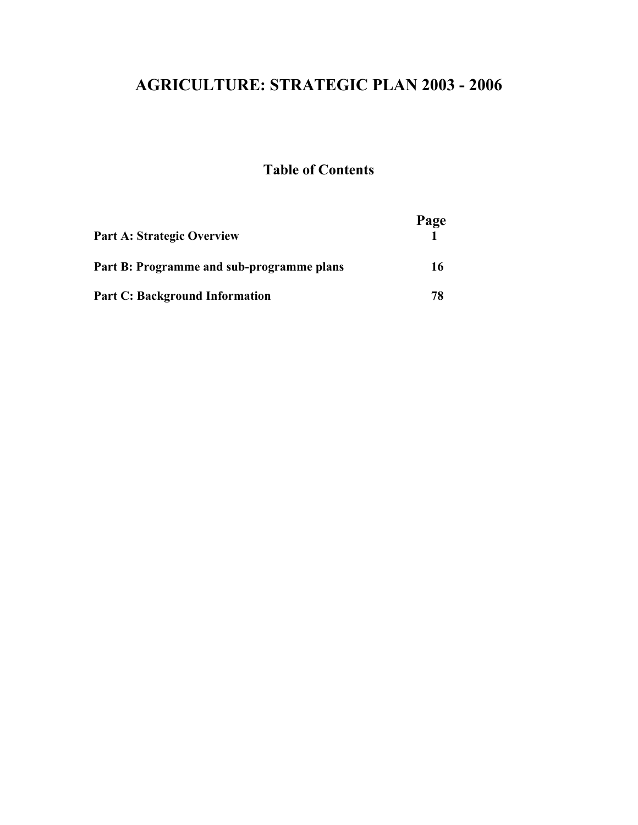# **AGRICULTURE: STRATEGIC PLAN 2003 - 2006**

### **Table of Contents**

| <b>Part A: Strategic Overview</b>         | Page |
|-------------------------------------------|------|
| Part B: Programme and sub-programme plans | 16   |
| <b>Part C: Background Information</b>     | 78   |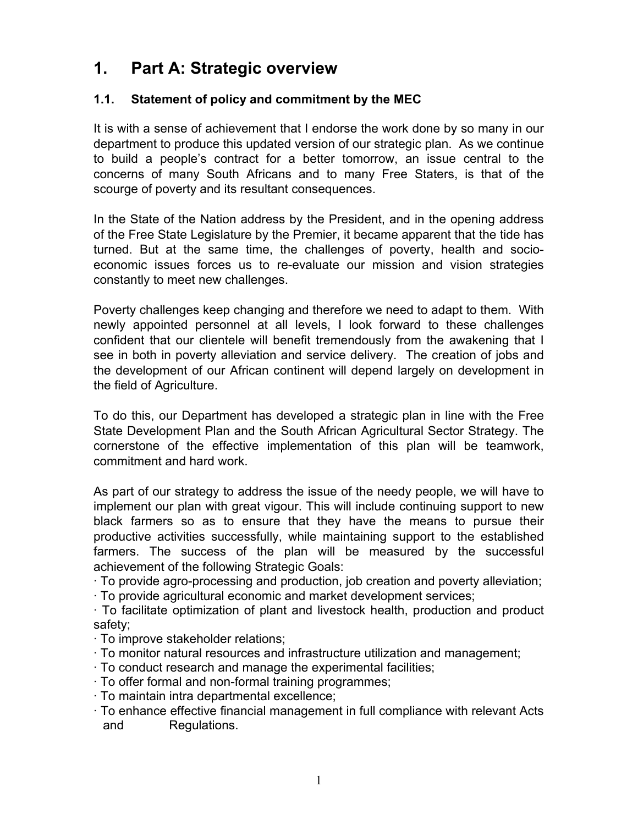## **1. Part A: Strategic overview**

#### **1.1. Statement of policy and commitment by the MEC**

It is with a sense of achievement that I endorse the work done by so many in our department to produce this updated version of our strategic plan. As we continue to build a people's contract for a better tomorrow, an issue central to the concerns of many South Africans and to many Free Staters, is that of the scourge of poverty and its resultant consequences.

In the State of the Nation address by the President, and in the opening address of the Free State Legislature by the Premier, it became apparent that the tide has turned. But at the same time, the challenges of poverty, health and socioeconomic issues forces us to re-evaluate our mission and vision strategies constantly to meet new challenges.

Poverty challenges keep changing and therefore we need to adapt to them. With newly appointed personnel at all levels, I look forward to these challenges confident that our clientele will benefit tremendously from the awakening that I see in both in poverty alleviation and service delivery. The creation of jobs and the development of our African continent will depend largely on development in the field of Agriculture.

To do this, our Department has developed a strategic plan in line with the Free State Development Plan and the South African Agricultural Sector Strategy. The cornerstone of the effective implementation of this plan will be teamwork, commitment and hard work.

As part of our strategy to address the issue of the needy people, we will have to implement our plan with great vigour. This will include continuing support to new black farmers so as to ensure that they have the means to pursue their productive activities successfully, while maintaining support to the established farmers. The success of the plan will be measured by the successful achievement of the following Strategic Goals:

· To provide agro-processing and production, job creation and poverty alleviation;

· To provide agricultural economic and market development services;

· To facilitate optimization of plant and livestock health, production and product safety;

- · To improve stakeholder relations;
- · To monitor natural resources and infrastructure utilization and management;
- · To conduct research and manage the experimental facilities;
- · To offer formal and non-formal training programmes;
- · To maintain intra departmental excellence;
- · To enhance effective financial management in full compliance with relevant Acts and Regulations.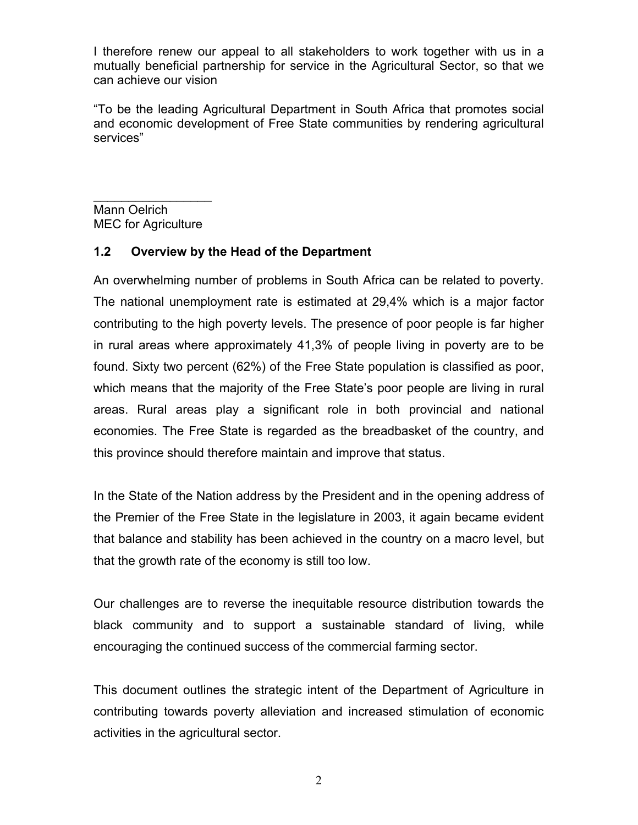I therefore renew our appeal to all stakeholders to work together with us in a mutually beneficial partnership for service in the Agricultural Sector, so that we can achieve our vision

"To be the leading Agricultural Department in South Africa that promotes social and economic development of Free State communities by rendering agricultural services"

 $\_$ Mann Oelrich MEC for Agriculture

#### **1.2 Overview by the Head of the Department**

An overwhelming number of problems in South Africa can be related to poverty. The national unemployment rate is estimated at 29,4% which is a major factor contributing to the high poverty levels. The presence of poor people is far higher in rural areas where approximately 41,3% of people living in poverty are to be found. Sixty two percent (62%) of the Free State population is classified as poor, which means that the majority of the Free State's poor people are living in rural areas. Rural areas play a significant role in both provincial and national economies. The Free State is regarded as the breadbasket of the country, and this province should therefore maintain and improve that status.

In the State of the Nation address by the President and in the opening address of the Premier of the Free State in the legislature in 2003, it again became evident that balance and stability has been achieved in the country on a macro level, but that the growth rate of the economy is still too low.

Our challenges are to reverse the inequitable resource distribution towards the black community and to support a sustainable standard of living, while encouraging the continued success of the commercial farming sector.

This document outlines the strategic intent of the Department of Agriculture in contributing towards poverty alleviation and increased stimulation of economic activities in the agricultural sector.

2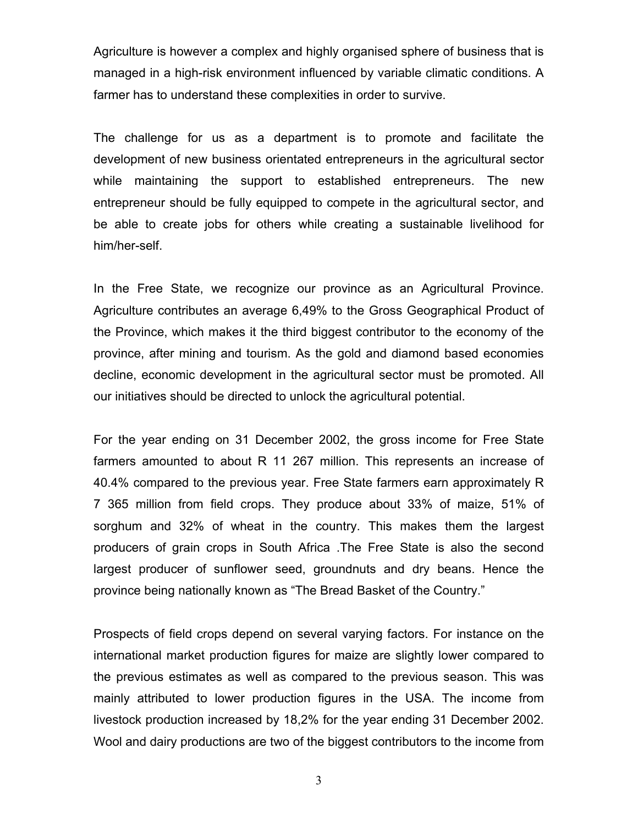Agriculture is however a complex and highly organised sphere of business that is managed in a high-risk environment influenced by variable climatic conditions. A farmer has to understand these complexities in order to survive.

The challenge for us as a department is to promote and facilitate the development of new business orientated entrepreneurs in the agricultural sector while maintaining the support to established entrepreneurs. The new entrepreneur should be fully equipped to compete in the agricultural sector, and be able to create jobs for others while creating a sustainable livelihood for him/her-self.

In the Free State, we recognize our province as an Agricultural Province. Agriculture contributes an average 6,49% to the Gross Geographical Product of the Province, which makes it the third biggest contributor to the economy of the province, after mining and tourism. As the gold and diamond based economies decline, economic development in the agricultural sector must be promoted. All our initiatives should be directed to unlock the agricultural potential.

For the year ending on 31 December 2002, the gross income for Free State farmers amounted to about R 11 267 million. This represents an increase of 40.4% compared to the previous year. Free State farmers earn approximately R 7 365 million from field crops. They produce about 33% of maize, 51% of sorghum and 32% of wheat in the country. This makes them the largest producers of grain crops in South Africa .The Free State is also the second largest producer of sunflower seed, groundnuts and dry beans. Hence the province being nationally known as "The Bread Basket of the Country."

Prospects of field crops depend on several varying factors. For instance on the international market production figures for maize are slightly lower compared to the previous estimates as well as compared to the previous season. This was mainly attributed to lower production figures in the USA. The income from livestock production increased by 18,2% for the year ending 31 December 2002. Wool and dairy productions are two of the biggest contributors to the income from

3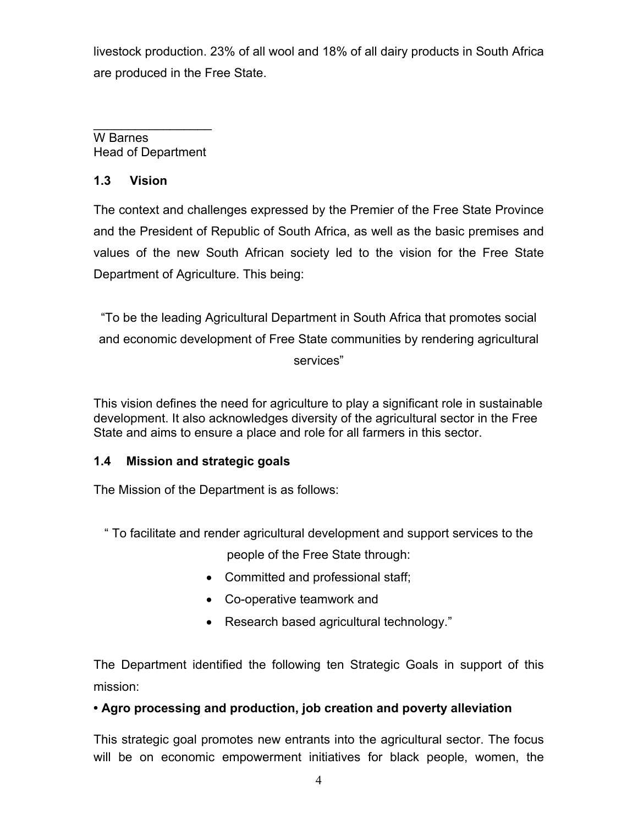livestock production. 23% of all wool and 18% of all dairy products in South Africa are produced in the Free State.

 $\_$ W Barnes Head of Department

#### **1.3 Vision**

The context and challenges expressed by the Premier of the Free State Province and the President of Republic of South Africa, as well as the basic premises and values of the new South African society led to the vision for the Free State Department of Agriculture. This being:

"To be the leading Agricultural Department in South Africa that promotes social and economic development of Free State communities by rendering agricultural services"

This vision defines the need for agriculture to play a significant role in sustainable development. It also acknowledges diversity of the agricultural sector in the Free State and aims to ensure a place and role for all farmers in this sector.

#### **1.4 Mission and strategic goals**

The Mission of the Department is as follows:

" To facilitate and render agricultural development and support services to the

people of the Free State through:

- Committed and professional staff;
- Co-operative teamwork and
- Research based agricultural technology."

The Department identified the following ten Strategic Goals in support of this mission:

#### **• Agro processing and production, job creation and poverty alleviation**

This strategic goal promotes new entrants into the agricultural sector. The focus will be on economic empowerment initiatives for black people, women, the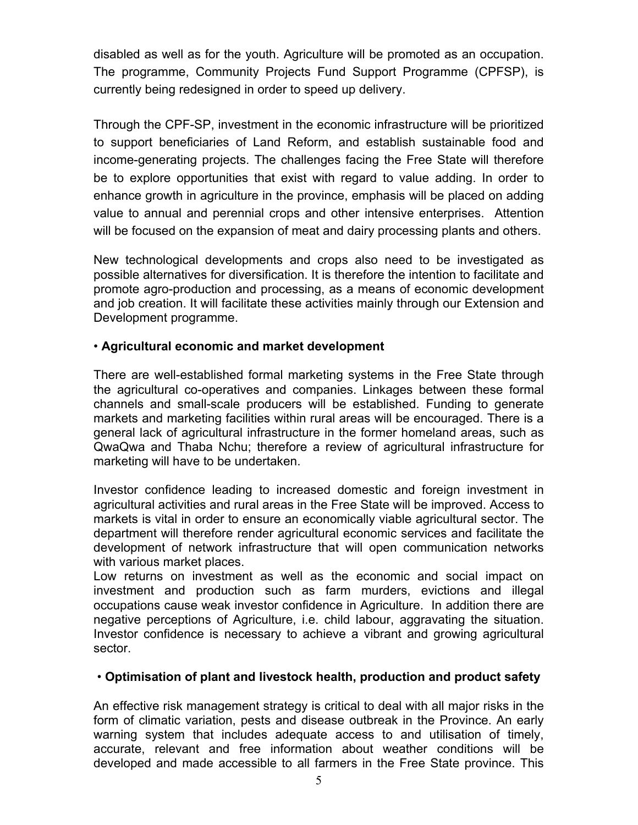disabled as well as for the youth. Agriculture will be promoted as an occupation. The programme, Community Projects Fund Support Programme (CPFSP), is currently being redesigned in order to speed up delivery.

Through the CPF-SP, investment in the economic infrastructure will be prioritized to support beneficiaries of Land Reform, and establish sustainable food and income-generating projects. The challenges facing the Free State will therefore be to explore opportunities that exist with regard to value adding. In order to enhance growth in agriculture in the province, emphasis will be placed on adding value to annual and perennial crops and other intensive enterprises. Attention will be focused on the expansion of meat and dairy processing plants and others.

New technological developments and crops also need to be investigated as possible alternatives for diversification. It is therefore the intention to facilitate and promote agro-production and processing, as a means of economic development and job creation. It will facilitate these activities mainly through our Extension and Development programme.

#### • **Agricultural economic and market development**

There are well-established formal marketing systems in the Free State through the agricultural co-operatives and companies. Linkages between these formal channels and small-scale producers will be established. Funding to generate markets and marketing facilities within rural areas will be encouraged. There is a general lack of agricultural infrastructure in the former homeland areas, such as QwaQwa and Thaba Nchu; therefore a review of agricultural infrastructure for marketing will have to be undertaken.

Investor confidence leading to increased domestic and foreign investment in agricultural activities and rural areas in the Free State will be improved. Access to markets is vital in order to ensure an economically viable agricultural sector. The department will therefore render agricultural economic services and facilitate the development of network infrastructure that will open communication networks with various market places.

Low returns on investment as well as the economic and social impact on investment and production such as farm murders, evictions and illegal occupations cause weak investor confidence in Agriculture. In addition there are negative perceptions of Agriculture, i.e. child labour, aggravating the situation. Investor confidence is necessary to achieve a vibrant and growing agricultural sector.

#### • **Optimisation of plant and livestock health, production and product safety**

An effective risk management strategy is critical to deal with all major risks in the form of climatic variation, pests and disease outbreak in the Province. An early warning system that includes adequate access to and utilisation of timely, accurate, relevant and free information about weather conditions will be developed and made accessible to all farmers in the Free State province. This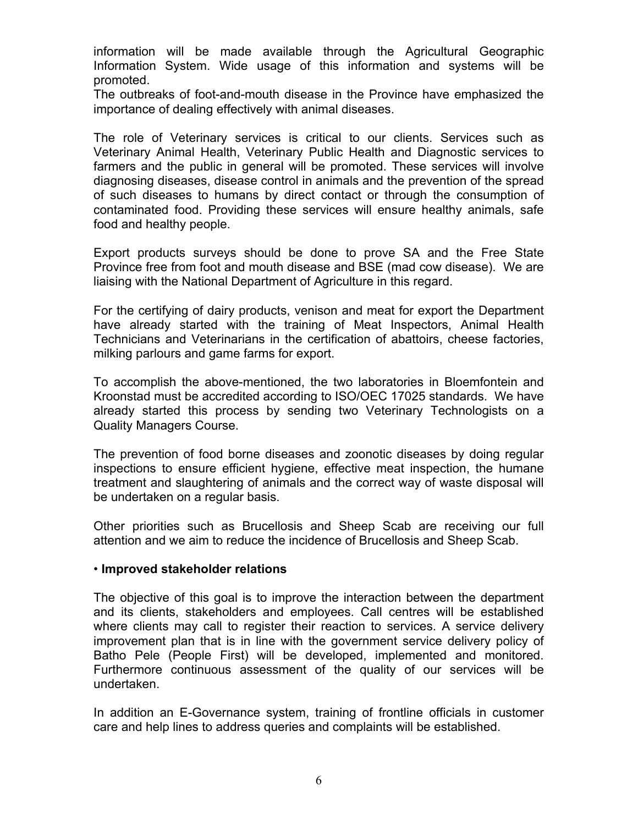information will be made available through the Agricultural Geographic Information System. Wide usage of this information and systems will be promoted.

The outbreaks of foot-and-mouth disease in the Province have emphasized the importance of dealing effectively with animal diseases.

The role of Veterinary services is critical to our clients. Services such as Veterinary Animal Health, Veterinary Public Health and Diagnostic services to farmers and the public in general will be promoted. These services will involve diagnosing diseases, disease control in animals and the prevention of the spread of such diseases to humans by direct contact or through the consumption of contaminated food. Providing these services will ensure healthy animals, safe food and healthy people.

Export products surveys should be done to prove SA and the Free State Province free from foot and mouth disease and BSE (mad cow disease). We are liaising with the National Department of Agriculture in this regard.

For the certifying of dairy products, venison and meat for export the Department have already started with the training of Meat Inspectors, Animal Health Technicians and Veterinarians in the certification of abattoirs, cheese factories, milking parlours and game farms for export.

To accomplish the above-mentioned, the two laboratories in Bloemfontein and Kroonstad must be accredited according to ISO/OEC 17025 standards. We have already started this process by sending two Veterinary Technologists on a Quality Managers Course.

The prevention of food borne diseases and zoonotic diseases by doing regular inspections to ensure efficient hygiene, effective meat inspection, the humane treatment and slaughtering of animals and the correct way of waste disposal will be undertaken on a regular basis.

Other priorities such as Brucellosis and Sheep Scab are receiving our full attention and we aim to reduce the incidence of Brucellosis and Sheep Scab.

#### • **Improved stakeholder relations**

The objective of this goal is to improve the interaction between the department and its clients, stakeholders and employees. Call centres will be established where clients may call to register their reaction to services. A service delivery improvement plan that is in line with the government service delivery policy of Batho Pele (People First) will be developed, implemented and monitored. Furthermore continuous assessment of the quality of our services will be undertaken.

In addition an E-Governance system, training of frontline officials in customer care and help lines to address queries and complaints will be established.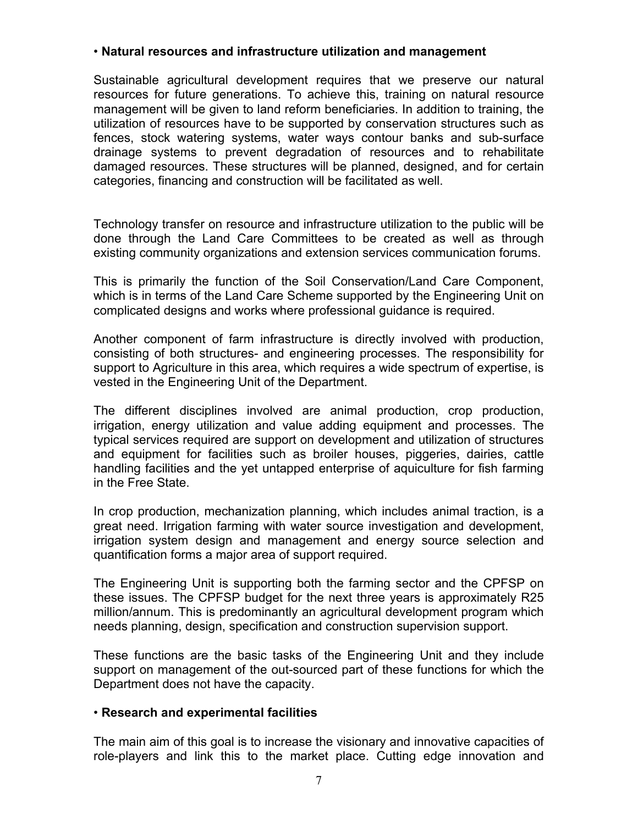#### • **Natural resources and infrastructure utilization and management**

Sustainable agricultural development requires that we preserve our natural resources for future generations. To achieve this, training on natural resource management will be given to land reform beneficiaries. In addition to training, the utilization of resources have to be supported by conservation structures such as fences, stock watering systems, water ways contour banks and sub-surface drainage systems to prevent degradation of resources and to rehabilitate damaged resources. These structures will be planned, designed, and for certain categories, financing and construction will be facilitated as well.

Technology transfer on resource and infrastructure utilization to the public will be done through the Land Care Committees to be created as well as through existing community organizations and extension services communication forums.

This is primarily the function of the Soil Conservation/Land Care Component, which is in terms of the Land Care Scheme supported by the Engineering Unit on complicated designs and works where professional guidance is required.

Another component of farm infrastructure is directly involved with production, consisting of both structures- and engineering processes. The responsibility for support to Agriculture in this area, which requires a wide spectrum of expertise, is vested in the Engineering Unit of the Department.

The different disciplines involved are animal production, crop production, irrigation, energy utilization and value adding equipment and processes. The typical services required are support on development and utilization of structures and equipment for facilities such as broiler houses, piggeries, dairies, cattle handling facilities and the yet untapped enterprise of aquiculture for fish farming in the Free State.

In crop production, mechanization planning, which includes animal traction, is a great need. Irrigation farming with water source investigation and development, irrigation system design and management and energy source selection and quantification forms a major area of support required.

The Engineering Unit is supporting both the farming sector and the CPFSP on these issues. The CPFSP budget for the next three years is approximately R25 million/annum. This is predominantly an agricultural development program which needs planning, design, specification and construction supervision support.

These functions are the basic tasks of the Engineering Unit and they include support on management of the out-sourced part of these functions for which the Department does not have the capacity.

#### • **Research and experimental facilities**

The main aim of this goal is to increase the visionary and innovative capacities of role-players and link this to the market place. Cutting edge innovation and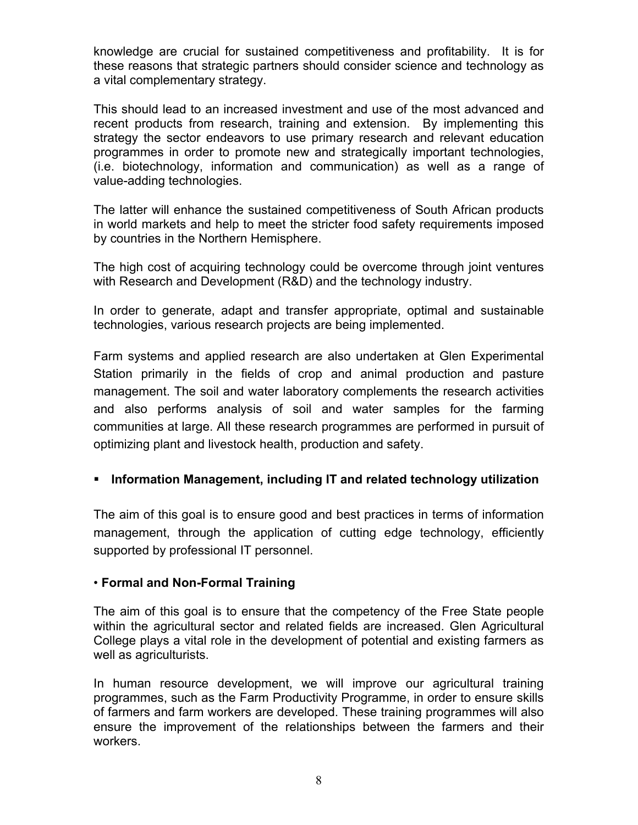knowledge are crucial for sustained competitiveness and profitability. It is for these reasons that strategic partners should consider science and technology as a vital complementary strategy.

This should lead to an increased investment and use of the most advanced and recent products from research, training and extension. By implementing this strategy the sector endeavors to use primary research and relevant education programmes in order to promote new and strategically important technologies, (i.e. biotechnology, information and communication) as well as a range of value-adding technologies.

The latter will enhance the sustained competitiveness of South African products in world markets and help to meet the stricter food safety requirements imposed by countries in the Northern Hemisphere.

The high cost of acquiring technology could be overcome through joint ventures with Research and Development (R&D) and the technology industry.

In order to generate, adapt and transfer appropriate, optimal and sustainable technologies, various research projects are being implemented.

Farm systems and applied research are also undertaken at Glen Experimental Station primarily in the fields of crop and animal production and pasture management. The soil and water laboratory complements the research activities and also performs analysis of soil and water samples for the farming communities at large. All these research programmes are performed in pursuit of optimizing plant and livestock health, production and safety.

#### **Information Management, including IT and related technology utilization**

The aim of this goal is to ensure good and best practices in terms of information management, through the application of cutting edge technology, efficiently supported by professional IT personnel.

#### • **Formal and Non-Formal Training**

The aim of this goal is to ensure that the competency of the Free State people within the agricultural sector and related fields are increased. Glen Agricultural College plays a vital role in the development of potential and existing farmers as well as agriculturists.

In human resource development, we will improve our agricultural training programmes, such as the Farm Productivity Programme, in order to ensure skills of farmers and farm workers are developed. These training programmes will also ensure the improvement of the relationships between the farmers and their workers.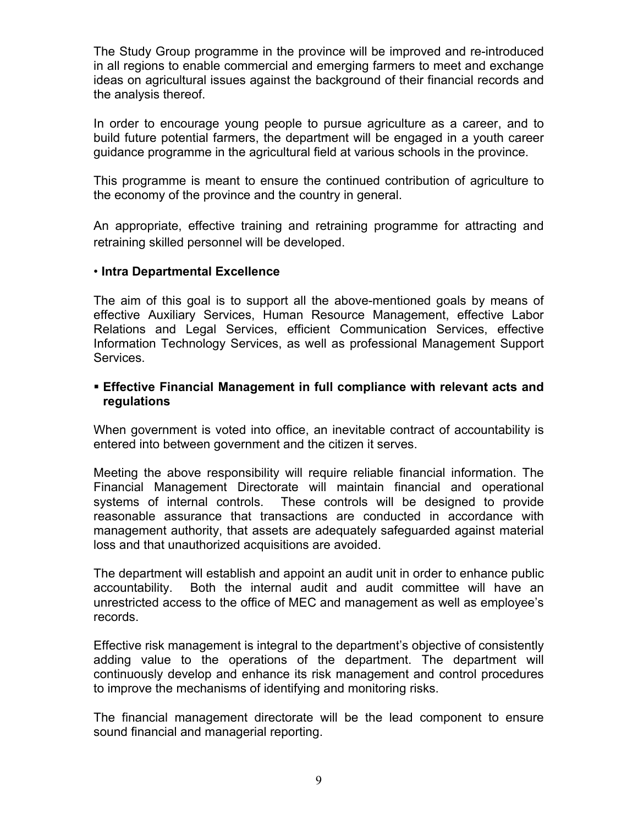The Study Group programme in the province will be improved and re-introduced in all regions to enable commercial and emerging farmers to meet and exchange ideas on agricultural issues against the background of their financial records and the analysis thereof.

In order to encourage young people to pursue agriculture as a career, and to build future potential farmers, the department will be engaged in a youth career guidance programme in the agricultural field at various schools in the province.

This programme is meant to ensure the continued contribution of agriculture to the economy of the province and the country in general.

An appropriate, effective training and retraining programme for attracting and retraining skilled personnel will be developed.

#### • **Intra Departmental Excellence**

The aim of this goal is to support all the above-mentioned goals by means of effective Auxiliary Services, Human Resource Management, effective Labor Relations and Legal Services, efficient Communication Services, effective Information Technology Services, as well as professional Management Support Services.

#### **Effective Financial Management in full compliance with relevant acts and regulations**

When government is voted into office, an inevitable contract of accountability is entered into between government and the citizen it serves.

Meeting the above responsibility will require reliable financial information. The Financial Management Directorate will maintain financial and operational systems of internal controls. These controls will be designed to provide reasonable assurance that transactions are conducted in accordance with management authority, that assets are adequately safeguarded against material loss and that unauthorized acquisitions are avoided.

The department will establish and appoint an audit unit in order to enhance public accountability. Both the internal audit and audit committee will have an unrestricted access to the office of MEC and management as well as employee's records.

Effective risk management is integral to the department's objective of consistently adding value to the operations of the department. The department will continuously develop and enhance its risk management and control procedures to improve the mechanisms of identifying and monitoring risks.

The financial management directorate will be the lead component to ensure sound financial and managerial reporting.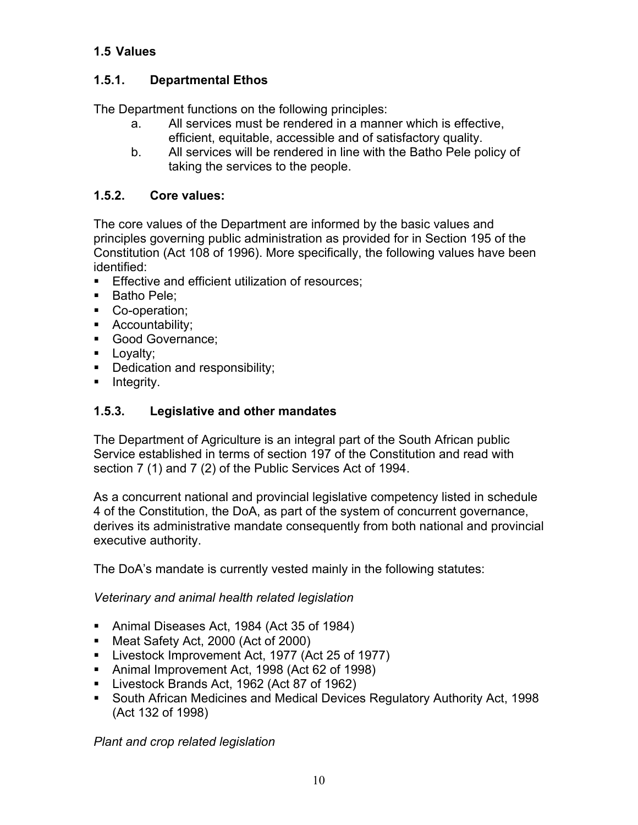#### **1.5 Values**

#### **1.5.1. Departmental Ethos**

The Department functions on the following principles:

- a. All services must be rendered in a manner which is effective, efficient, equitable, accessible and of satisfactory quality.
- b. All services will be rendered in line with the Batho Pele policy of taking the services to the people.

#### **1.5.2. Core values:**

The core values of the Department are informed by the basic values and principles governing public administration as provided for in Section 195 of the Constitution (Act 108 of 1996). More specifically, the following values have been identified:

- **Effective and efficient utilization of resources:**
- Batho Pele:
- Co-operation;
- **Accountability;**
- Good Governance;
- **Loyalty;**
- Dedication and responsibility;
- **Integrity.**

#### **1.5.3. Legislative and other mandates**

The Department of Agriculture is an integral part of the South African public Service established in terms of section 197 of the Constitution and read with section 7 (1) and 7 (2) of the Public Services Act of 1994.

As a concurrent national and provincial legislative competency listed in schedule 4 of the Constitution, the DoA, as part of the system of concurrent governance, derives its administrative mandate consequently from both national and provincial executive authority.

The DoA's mandate is currently vested mainly in the following statutes:

*Veterinary and animal health related legislation* 

- Animal Diseases Act, 1984 (Act 35 of 1984)
- Meat Safety Act, 2000 (Act of 2000)
- **Livestock Improvement Act, 1977 (Act 25 of 1977)**
- Animal Improvement Act, 1998 (Act 62 of 1998)
- Livestock Brands Act, 1962 (Act 87 of 1962)
- South African Medicines and Medical Devices Regulatory Authority Act, 1998 (Act 132 of 1998)

*Plant and crop related legislation*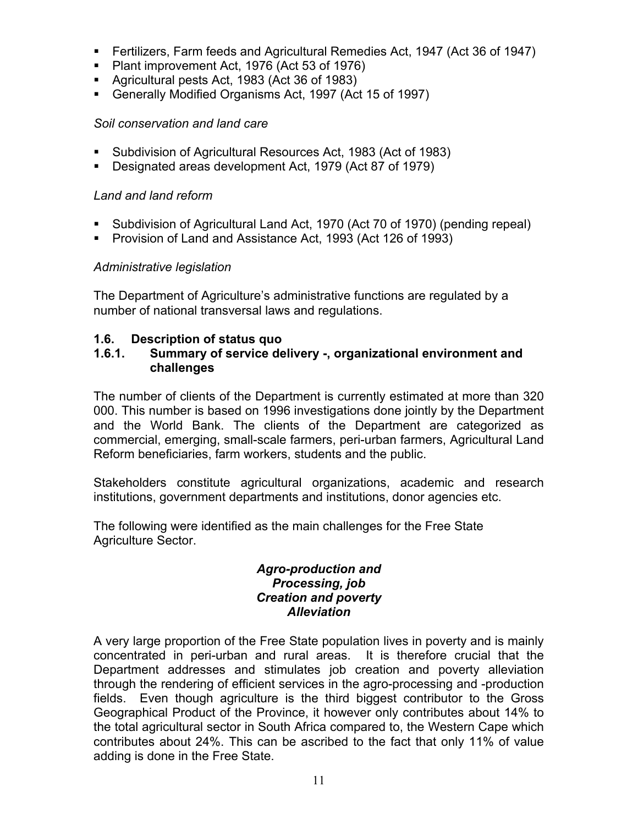- Fertilizers, Farm feeds and Agricultural Remedies Act, 1947 (Act 36 of 1947)
- Plant improvement Act, 1976 (Act 53 of 1976)
- Agricultural pests Act, 1983 (Act 36 of 1983)
- Generally Modified Organisms Act, 1997 (Act 15 of 1997)

#### *Soil conservation and land care*

- Subdivision of Agricultural Resources Act, 1983 (Act of 1983)
- Designated areas development Act, 1979 (Act 87 of 1979)

#### *Land and land reform*

- Subdivision of Agricultural Land Act, 1970 (Act 70 of 1970) (pending repeal)
- **Provision of Land and Assistance Act, 1993 (Act 126 of 1993)**

#### *Administrative legislation*

The Department of Agriculture's administrative functions are regulated by a number of national transversal laws and regulations.

#### **1.6. Description of status quo**

#### **1.6.1. Summary of service delivery -, organizational environment and challenges**

The number of clients of the Department is currently estimated at more than 320 000. This number is based on 1996 investigations done jointly by the Department and the World Bank. The clients of the Department are categorized as commercial, emerging, small-scale farmers, peri-urban farmers, Agricultural Land Reform beneficiaries, farm workers, students and the public.

Stakeholders constitute agricultural organizations, academic and research institutions, government departments and institutions, donor agencies etc.

The following were identified as the main challenges for the Free State Agriculture Sector.

#### *Agro-production and Processing, job Creation and poverty Alleviation*

A very large proportion of the Free State population lives in poverty and is mainly concentrated in peri-urban and rural areas. It is therefore crucial that the Department addresses and stimulates job creation and poverty alleviation through the rendering of efficient services in the agro-processing and -production fields. Even though agriculture is the third biggest contributor to the Gross Geographical Product of the Province, it however only contributes about 14% to the total agricultural sector in South Africa compared to, the Western Cape which contributes about 24%. This can be ascribed to the fact that only 11% of value adding is done in the Free State.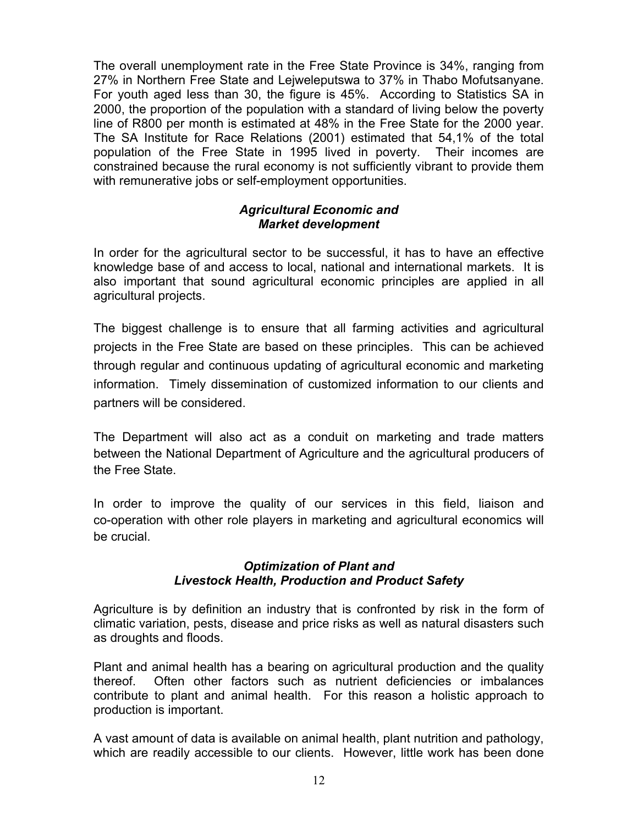The overall unemployment rate in the Free State Province is 34%, ranging from 27% in Northern Free State and Lejweleputswa to 37% in Thabo Mofutsanyane. For youth aged less than 30, the figure is 45%. According to Statistics SA in 2000, the proportion of the population with a standard of living below the poverty line of R800 per month is estimated at 48% in the Free State for the 2000 year. The SA Institute for Race Relations (2001) estimated that 54,1% of the total population of the Free State in 1995 lived in poverty. Their incomes are constrained because the rural economy is not sufficiently vibrant to provide them with remunerative jobs or self-employment opportunities.

#### *Agricultural Economic and Market development*

In order for the agricultural sector to be successful, it has to have an effective knowledge base of and access to local, national and international markets. It is also important that sound agricultural economic principles are applied in all agricultural projects.

The biggest challenge is to ensure that all farming activities and agricultural projects in the Free State are based on these principles. This can be achieved through regular and continuous updating of agricultural economic and marketing information. Timely dissemination of customized information to our clients and partners will be considered.

The Department will also act as a conduit on marketing and trade matters between the National Department of Agriculture and the agricultural producers of the Free State.

In order to improve the quality of our services in this field, liaison and co-operation with other role players in marketing and agricultural economics will be crucial.

#### *Optimization of Plant and Livestock Health, Production and Product Safety*

Agriculture is by definition an industry that is confronted by risk in the form of climatic variation, pests, disease and price risks as well as natural disasters such as droughts and floods.

Plant and animal health has a bearing on agricultural production and the quality thereof. Often other factors such as nutrient deficiencies or imbalances contribute to plant and animal health. For this reason a holistic approach to production is important.

A vast amount of data is available on animal health, plant nutrition and pathology, which are readily accessible to our clients. However, little work has been done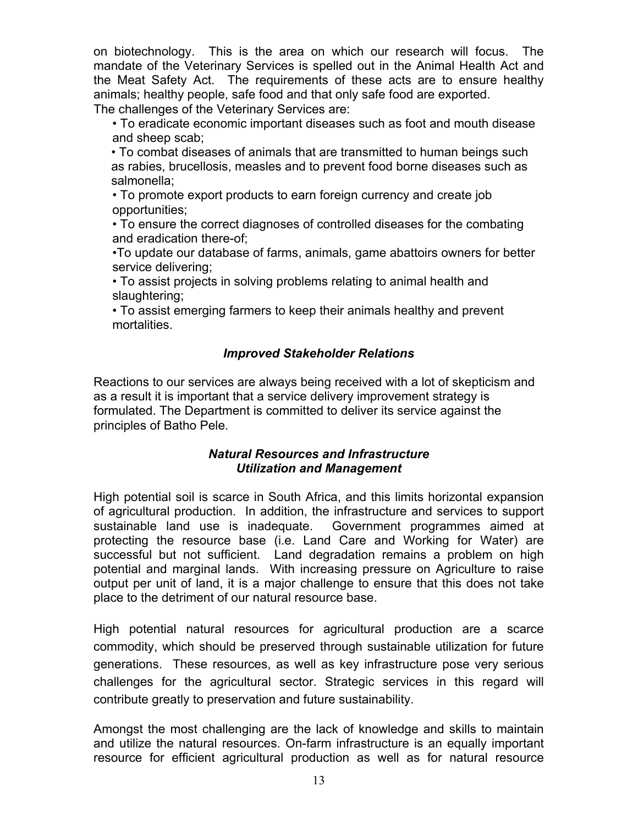on biotechnology. This is the area on which our research will focus. The mandate of the Veterinary Services is spelled out in the Animal Health Act and the Meat Safety Act. The requirements of these acts are to ensure healthy animals; healthy people, safe food and that only safe food are exported. The challenges of the Veterinary Services are:

• To eradicate economic important diseases such as foot and mouth disease and sheep scab;

• To combat diseases of animals that are transmitted to human beings such as rabies, brucellosis, measles and to prevent food borne diseases such as salmonella;

• To promote export products to earn foreign currency and create job opportunities;

• To ensure the correct diagnoses of controlled diseases for the combating and eradication there-of;

•To update our database of farms, animals, game abattoirs owners for better service delivering;

• To assist projects in solving problems relating to animal health and slaughtering;

• To assist emerging farmers to keep their animals healthy and prevent mortalities.

#### *Improved Stakeholder Relations*

Reactions to our services are always being received with a lot of skepticism and as a result it is important that a service delivery improvement strategy is formulated. The Department is committed to deliver its service against the principles of Batho Pele.

#### *Natural Resources and Infrastructure Utilization and Management*

High potential soil is scarce in South Africa, and this limits horizontal expansion of agricultural production. In addition, the infrastructure and services to support sustainable land use is inadequate. Government programmes aimed at protecting the resource base (i.e. Land Care and Working for Water) are successful but not sufficient. Land degradation remains a problem on high potential and marginal lands. With increasing pressure on Agriculture to raise output per unit of land, it is a major challenge to ensure that this does not take place to the detriment of our natural resource base.

High potential natural resources for agricultural production are a scarce commodity, which should be preserved through sustainable utilization for future generations. These resources, as well as key infrastructure pose very serious challenges for the agricultural sector. Strategic services in this regard will contribute greatly to preservation and future sustainability.

Amongst the most challenging are the lack of knowledge and skills to maintain and utilize the natural resources. On-farm infrastructure is an equally important resource for efficient agricultural production as well as for natural resource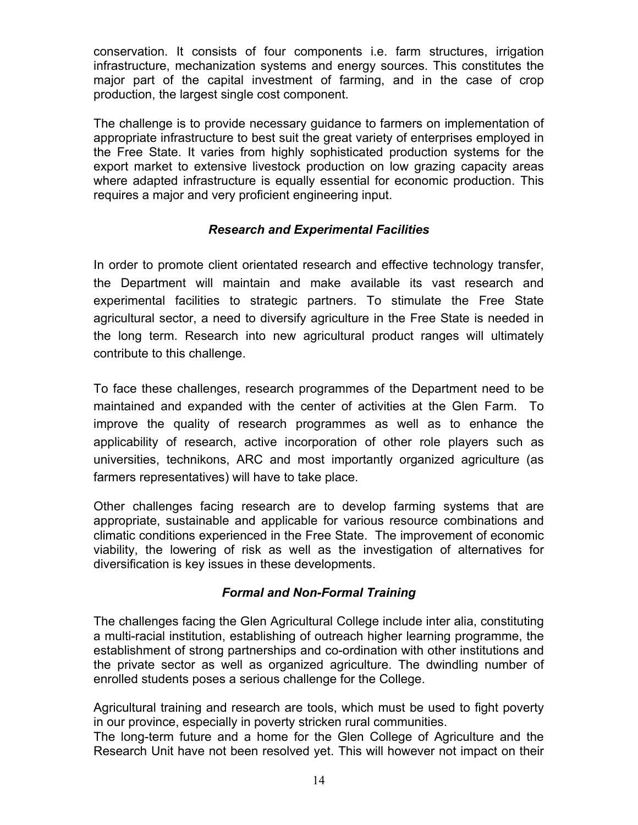conservation. It consists of four components i.e. farm structures, irrigation infrastructure, mechanization systems and energy sources. This constitutes the major part of the capital investment of farming, and in the case of crop production, the largest single cost component.

The challenge is to provide necessary guidance to farmers on implementation of appropriate infrastructure to best suit the great variety of enterprises employed in the Free State. It varies from highly sophisticated production systems for the export market to extensive livestock production on low grazing capacity areas where adapted infrastructure is equally essential for economic production. This requires a major and very proficient engineering input.

#### *Research and Experimental Facilities*

In order to promote client orientated research and effective technology transfer, the Department will maintain and make available its vast research and experimental facilities to strategic partners. To stimulate the Free State agricultural sector, a need to diversify agriculture in the Free State is needed in the long term. Research into new agricultural product ranges will ultimately contribute to this challenge.

To face these challenges, research programmes of the Department need to be maintained and expanded with the center of activities at the Glen Farm. To improve the quality of research programmes as well as to enhance the applicability of research, active incorporation of other role players such as universities, technikons, ARC and most importantly organized agriculture (as farmers representatives) will have to take place.

Other challenges facing research are to develop farming systems that are appropriate, sustainable and applicable for various resource combinations and climatic conditions experienced in the Free State. The improvement of economic viability, the lowering of risk as well as the investigation of alternatives for diversification is key issues in these developments.

#### *Formal and Non-Formal Training*

The challenges facing the Glen Agricultural College include inter alia, constituting a multi-racial institution, establishing of outreach higher learning programme, the establishment of strong partnerships and co-ordination with other institutions and the private sector as well as organized agriculture. The dwindling number of enrolled students poses a serious challenge for the College.

Agricultural training and research are tools, which must be used to fight poverty in our province, especially in poverty stricken rural communities.

The long-term future and a home for the Glen College of Agriculture and the Research Unit have not been resolved yet. This will however not impact on their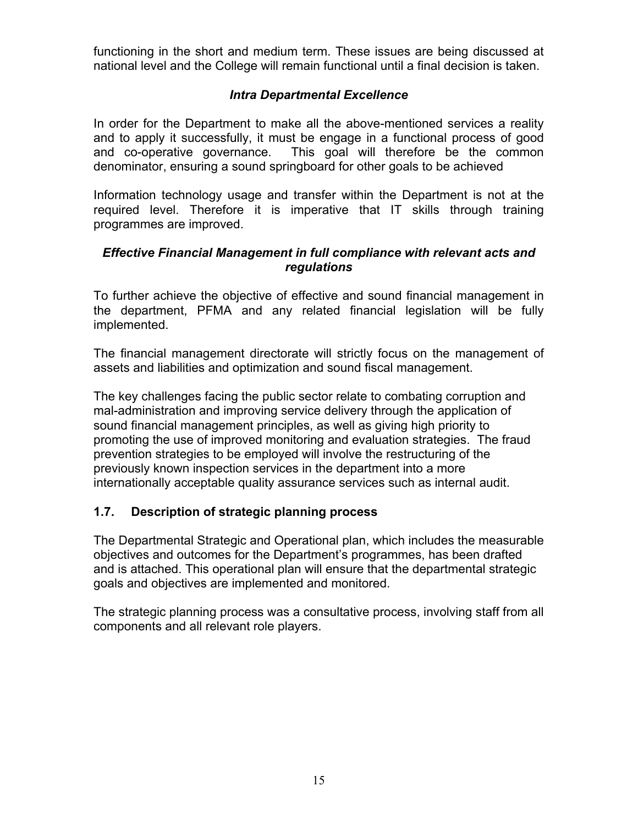functioning in the short and medium term. These issues are being discussed at national level and the College will remain functional until a final decision is taken.

#### *Intra Departmental Excellence*

In order for the Department to make all the above-mentioned services a reality and to apply it successfully, it must be engage in a functional process of good and co-operative governance. This goal will therefore be the common denominator, ensuring a sound springboard for other goals to be achieved

Information technology usage and transfer within the Department is not at the required level. Therefore it is imperative that IT skills through training programmes are improved.

#### *Effective Financial Management in full compliance with relevant acts and regulations*

To further achieve the objective of effective and sound financial management in the department, PFMA and any related financial legislation will be fully implemented.

The financial management directorate will strictly focus on the management of assets and liabilities and optimization and sound fiscal management.

The key challenges facing the public sector relate to combating corruption and mal-administration and improving service delivery through the application of sound financial management principles, as well as giving high priority to promoting the use of improved monitoring and evaluation strategies. The fraud prevention strategies to be employed will involve the restructuring of the previously known inspection services in the department into a more internationally acceptable quality assurance services such as internal audit.

#### **1.7. Description of strategic planning process**

The Departmental Strategic and Operational plan, which includes the measurable objectives and outcomes for the Department's programmes, has been drafted and is attached. This operational plan will ensure that the departmental strategic goals and objectives are implemented and monitored.

The strategic planning process was a consultative process, involving staff from all components and all relevant role players.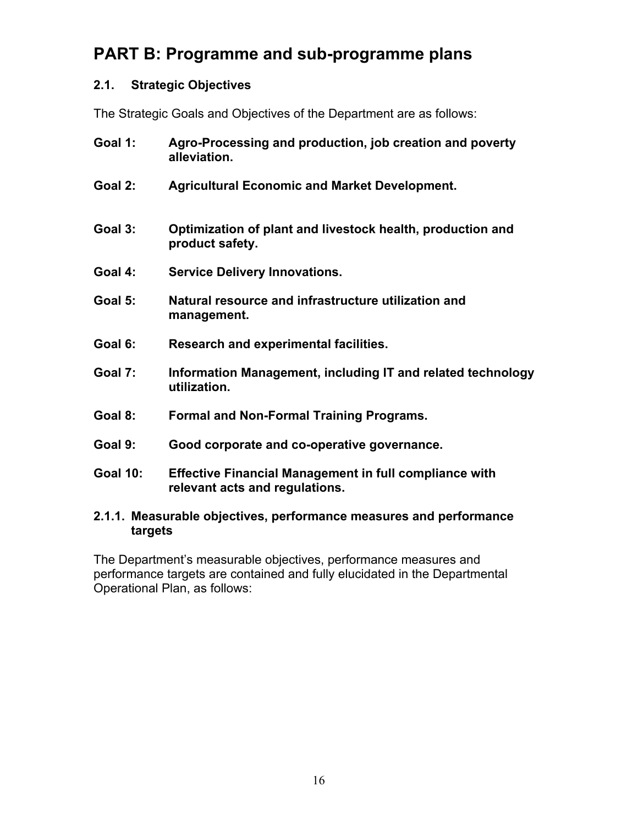## **PART B: Programme and sub-programme plans**

#### **2.1. Strategic Objectives**

The Strategic Goals and Objectives of the Department are as follows:

- **Goal 1: Agro-Processing and production, job creation and poverty alleviation.**
- **Goal 2: Agricultural Economic and Market Development.**
- **Goal 3: Optimization of plant and livestock health, production and product safety.**
- **Goal 4: Service Delivery Innovations.**
- **Goal 5: Natural resource and infrastructure utilization and management.**
- **Goal 6: Research and experimental facilities.**
- **Goal 7: Information Management, including IT and related technology utilization.**
- **Goal 8: Formal and Non-Formal Training Programs.**
- **Goal 9: Good corporate and co-operative governance.**
- **Goal 10: Effective Financial Management in full compliance with relevant acts and regulations.**

#### **2.1.1. Measurable objectives, performance measures and performance targets**

The Department's measurable objectives, performance measures and performance targets are contained and fully elucidated in the Departmental Operational Plan, as follows: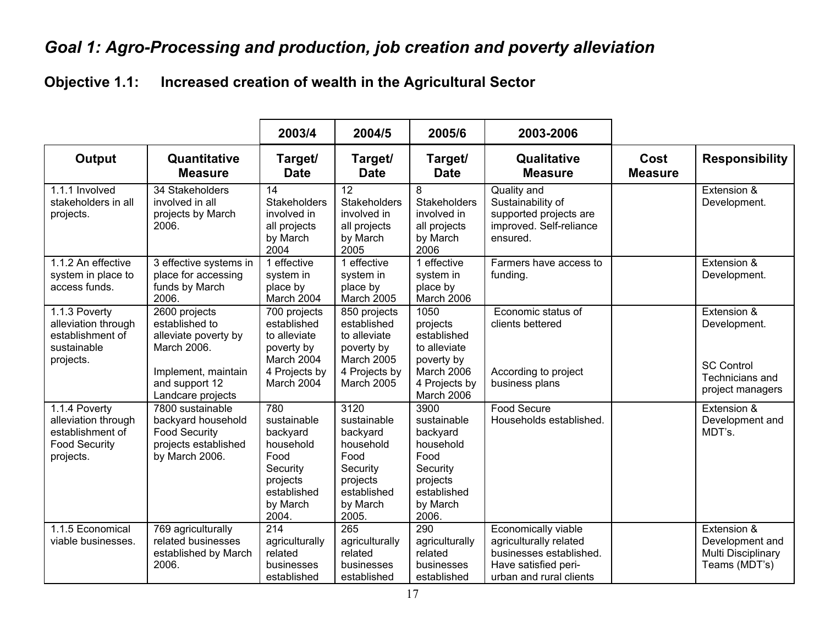# *Goal 1: Agro-Processing and production, job creation and poverty alleviation*

## **Objective 1.1: Increased creation of wealth in the Agricultural Sector**

|                                                                                               |                                                                                                                               | 2003/4                                                                                                          | 2004/5                                                                                                           | 2005/6                                                                                                                         | 2003-2006                                                                                                                   |                        |                                                                                         |
|-----------------------------------------------------------------------------------------------|-------------------------------------------------------------------------------------------------------------------------------|-----------------------------------------------------------------------------------------------------------------|------------------------------------------------------------------------------------------------------------------|--------------------------------------------------------------------------------------------------------------------------------|-----------------------------------------------------------------------------------------------------------------------------|------------------------|-----------------------------------------------------------------------------------------|
| <b>Output</b>                                                                                 | Quantitative<br><b>Measure</b>                                                                                                | Target/<br><b>Date</b>                                                                                          | Target/<br><b>Date</b>                                                                                           | Target/<br><b>Date</b>                                                                                                         | Qualitative<br><b>Measure</b>                                                                                               | Cost<br><b>Measure</b> | <b>Responsibility</b>                                                                   |
| 1.1.1 Involved<br>stakeholders in all<br>projects.                                            | 34 Stakeholders<br>involved in all<br>projects by March<br>2006.                                                              | $\overline{14}$<br>Stakeholders<br>involved in<br>all projects<br>by March<br>2004                              | $\overline{12}$<br>Stakeholders<br>involved in<br>all projects<br>by March<br>2005                               | 8<br>Stakeholders<br>involved in<br>all projects<br>by March<br>2006                                                           | Quality and<br>Sustainability of<br>supported projects are<br>improved. Self-reliance<br>ensured.                           |                        | Extension &<br>Development.                                                             |
| 1.1.2 An effective<br>system in place to<br>access funds.                                     | 3 effective systems in<br>place for accessing<br>funds by March<br>2006.                                                      | 1 effective<br>system in<br>place by<br>March 2004                                                              | 1 effective<br>system in<br>place by<br>March 2005                                                               | 1 effective<br>system in<br>place by<br>March 2006                                                                             | Farmers have access to<br>funding.                                                                                          |                        | Extension &<br>Development.                                                             |
| 1.1.3 Poverty<br>alleviation through<br>establishment of<br>sustainable<br>projects.          | 2600 projects<br>established to<br>alleviate poverty by<br>March 2006.<br>Implement, maintain<br>and support 12               | 700 projects<br>established<br>to alleviate<br>poverty by<br>March 2004<br>4 Projects by<br>March 2004          | 850 projects<br>established<br>to alleviate<br>poverty by<br><b>March 2005</b><br>4 Projects by<br>March 2005    | 1050<br>projects<br>established<br>to alleviate<br>poverty by<br>March 2006<br>4 Projects by                                   | Economic status of<br>clients bettered<br>According to project<br>business plans                                            |                        | Extension &<br>Development.<br><b>SC Control</b><br>Technicians and<br>project managers |
| 1.1.4 Poverty<br>alleviation through<br>establishment of<br><b>Food Security</b><br>projects. | Landcare projects<br>7800 sustainable<br>backyard household<br><b>Food Security</b><br>projects established<br>by March 2006. | 780<br>sustainable<br>backyard<br>household<br>Food<br>Security<br>projects<br>established<br>by March<br>2004. | 3120<br>sustainable<br>backyard<br>household<br>Food<br>Security<br>projects<br>established<br>by March<br>2005. | March 2006<br>3900<br>sustainable<br>backyard<br>household<br>Food<br>Security<br>projects<br>established<br>by March<br>2006. | <b>Food Secure</b><br>Households established.                                                                               |                        | Extension &<br>Development and<br>MDT's.                                                |
| 1.1.5 Economical<br>viable businesses.                                                        | 769 agriculturally<br>related businesses<br>established by March<br>2006.                                                     | 214<br>agriculturally<br>related<br>businesses<br>established                                                   | 265<br>agriculturally<br>related<br>businesses<br>established                                                    | 290<br>agriculturally<br>related<br>businesses<br>established                                                                  | Economically viable<br>agriculturally related<br>businesses established.<br>Have satisfied peri-<br>urban and rural clients |                        | Extension &<br>Development and<br>Multi Disciplinary<br>Teams (MDT's)                   |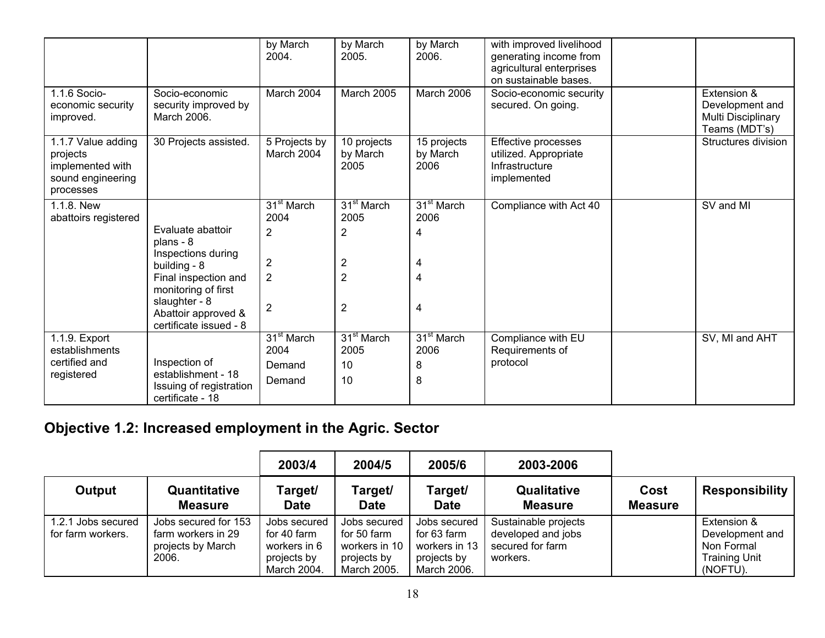|                                                                                      |                                                                                                                                                                                       | by March<br>2004.                                                                                      | by March<br>2005.                                                                                  | by March<br>2006.                                  | with improved livelihood<br>generating income from<br>agricultural enterprises<br>on sustainable bases. |                                                                       |
|--------------------------------------------------------------------------------------|---------------------------------------------------------------------------------------------------------------------------------------------------------------------------------------|--------------------------------------------------------------------------------------------------------|----------------------------------------------------------------------------------------------------|----------------------------------------------------|---------------------------------------------------------------------------------------------------------|-----------------------------------------------------------------------|
| 1.1.6 Socio-<br>economic security<br>improved.                                       | Socio-economic<br>security improved by<br>March 2006.                                                                                                                                 | March 2004                                                                                             | <b>March 2005</b>                                                                                  | March 2006                                         | Socio-economic security<br>secured. On going.                                                           | Extension &<br>Development and<br>Multi Disciplinary<br>Teams (MDT's) |
| 1.1.7 Value adding<br>projects<br>implemented with<br>sound engineering<br>processes | 30 Projects assisted.                                                                                                                                                                 | 5 Projects by<br>March 2004                                                                            | 10 projects<br>by March<br>2005                                                                    | 15 projects<br>by March<br>2006                    | Effective processes<br>utilized. Appropriate<br>Infrastructure<br>implemented                           | Structures division                                                   |
| 1.1.8. New<br>abattoirs registered                                                   | Evaluate abattoir<br>plans - 8<br>Inspections during<br>building - 8<br>Final inspection and<br>monitoring of first<br>slaughter - 8<br>Abattoir approved &<br>certificate issued - 8 | 31 <sup>st</sup> March<br>2004<br>$\overline{2}$<br>$\overline{2}$<br>$\overline{2}$<br>$\overline{2}$ | 31 <sup>st</sup> March<br>2005<br>2<br>$\overline{\mathbf{c}}$<br>$\overline{2}$<br>$\overline{2}$ | 31 <sup>st</sup> March<br>2006<br>4<br>4<br>4<br>4 | Compliance with Act 40                                                                                  | SV and MI                                                             |
| 1.1.9. Export<br>establishments<br>certified and<br>registered                       | Inspection of<br>establishment - 18<br>Issuing of registration<br>certificate - 18                                                                                                    | $31st$ March<br>2004<br>Demand<br>Demand                                                               | 31 <sup>st</sup> March<br>2005<br>10<br>10                                                         | 31 <sup>st</sup> March<br>2006<br>8<br>8           | Compliance with EU<br>Requirements of<br>protocol                                                       | SV, MI and AHT                                                        |

## **Objective 1.2: Increased employment in the Agric. Sector**

|                                         |                                                                          | 2003/4                                                                    | 2004/5                                                                     | 2005/6                                                                     | 2003-2006                                                                  |                        |                                                                                  |
|-----------------------------------------|--------------------------------------------------------------------------|---------------------------------------------------------------------------|----------------------------------------------------------------------------|----------------------------------------------------------------------------|----------------------------------------------------------------------------|------------------------|----------------------------------------------------------------------------------|
| Output                                  | Quantitative<br><b>Measure</b>                                           | Target/<br><b>Date</b>                                                    | Target/<br><b>Date</b>                                                     | Target/<br><b>Date</b>                                                     | <b>Qualitative</b><br><b>Measure</b>                                       | Cost<br><b>Measure</b> | <b>Responsibility</b>                                                            |
| 1.2.1 Jobs secured<br>for farm workers. | Jobs secured for 153<br>farm workers in 29<br>projects by March<br>2006. | Jobs secured<br>for 40 farm<br>workers in 6<br>projects by<br>March 2004. | Jobs secured<br>for 50 farm<br>workers in 10<br>projects by<br>March 2005. | Jobs secured<br>for 63 farm<br>workers in 13<br>projects by<br>March 2006. | Sustainable projects<br>developed and jobs<br>secured for farm<br>workers. |                        | Extension &<br>Development and<br>Non Formal<br><b>Training Unit</b><br>(NOFTU). |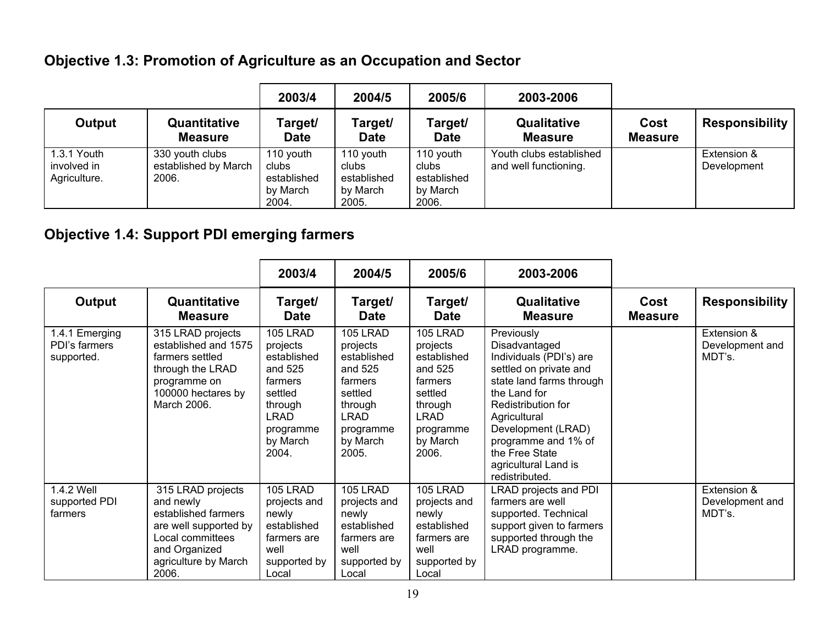## **Objective 1.3: Promotion of Agriculture as an Occupation and Sector**

|                                            |                                                  | 2003/4                                                 | 2004/5                                                 | 2005/6                                                 | 2003-2006                                        |                        |                            |
|--------------------------------------------|--------------------------------------------------|--------------------------------------------------------|--------------------------------------------------------|--------------------------------------------------------|--------------------------------------------------|------------------------|----------------------------|
| Output                                     | Quantitative<br><b>Measure</b>                   | Target/<br><b>Date</b>                                 | Target/<br><b>Date</b>                                 | Target/<br><b>Date</b>                                 | Qualitative<br><b>Measure</b>                    | Cost<br><b>Measure</b> | <b>Responsibility</b>      |
| 1.3.1 Youth<br>involved in<br>Agriculture. | 330 youth clubs<br>established by March<br>2006. | 110 youth<br>clubs<br>established<br>by March<br>2004. | 110 youth<br>clubs<br>established<br>by March<br>2005. | 110 youth<br>clubs<br>established<br>by March<br>2006. | Youth clubs established<br>and well functioning. |                        | Extension &<br>Development |

## **Objective 1.4: Support PDI emerging farmers**

|                                               |                                                                                                                                                      | 2003/4                                                                                                                           | 2004/5                                                                                                                           | 2005/6                                                                                                                           | 2003-2006                                                                                                                                                                                                                                                                   |                        |                                          |
|-----------------------------------------------|------------------------------------------------------------------------------------------------------------------------------------------------------|----------------------------------------------------------------------------------------------------------------------------------|----------------------------------------------------------------------------------------------------------------------------------|----------------------------------------------------------------------------------------------------------------------------------|-----------------------------------------------------------------------------------------------------------------------------------------------------------------------------------------------------------------------------------------------------------------------------|------------------------|------------------------------------------|
| Output                                        | Quantitative<br><b>Measure</b>                                                                                                                       | Target/<br><b>Date</b>                                                                                                           | Target/<br><b>Date</b>                                                                                                           | Target/<br><b>Date</b>                                                                                                           | Qualitative<br><b>Measure</b>                                                                                                                                                                                                                                               | Cost<br><b>Measure</b> | <b>Responsibility</b>                    |
| 1.4.1 Emerging<br>PDI's farmers<br>supported. | 315 LRAD projects<br>established and 1575<br>farmers settled<br>through the LRAD<br>programme on<br>100000 hectares by<br>March 2006.                | 105 LRAD<br>projects<br>established<br>and 525<br>farmers<br>settled<br>through<br><b>LRAD</b><br>programme<br>by March<br>2004. | 105 LRAD<br>projects<br>established<br>and 525<br>farmers<br>settled<br>through<br><b>LRAD</b><br>programme<br>by March<br>2005. | 105 LRAD<br>projects<br>established<br>and 525<br>farmers<br>settled<br>through<br><b>LRAD</b><br>programme<br>by March<br>2006. | Previously<br>Disadvantaged<br>Individuals (PDI's) are<br>settled on private and<br>state land farms through<br>the Land for<br>Redistribution for<br>Agricultural<br>Development (LRAD)<br>programme and 1% of<br>the Free State<br>agricultural Land is<br>redistributed. |                        | Extension &<br>Development and<br>MDT's. |
| 1.4.2 Well<br>supported PDI<br>farmers        | 315 LRAD projects<br>and newly<br>established farmers<br>are well supported by<br>Local committees<br>and Organized<br>agriculture by March<br>2006. | 105 LRAD<br>projects and<br>newly<br>established<br>farmers are<br>well<br>supported by<br>Local                                 | 105 LRAD<br>projects and<br>newly<br>established<br>farmers are<br>well<br>supported by<br>Local                                 | 105 LRAD<br>projects and<br>newly<br>established<br>farmers are<br>well<br>supported by<br>Local                                 | LRAD projects and PDI<br>farmers are well<br>supported. Technical<br>support given to farmers<br>supported through the<br>LRAD programme.                                                                                                                                   |                        | Extension &<br>Development and<br>MDT's. |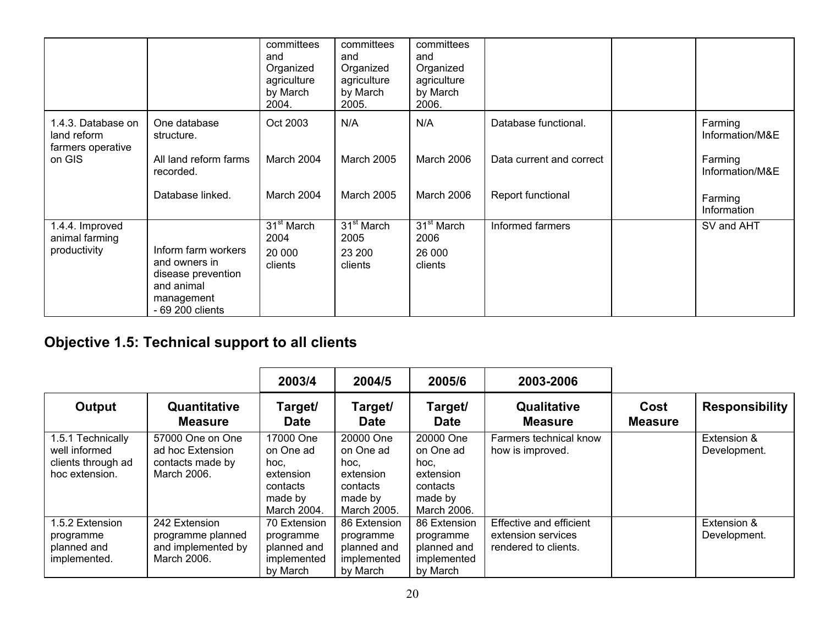|                                                        |                                                                                                            | committees<br>and<br>Organized<br>agriculture<br>by March<br>2004. | committees<br>and<br>Organized<br>agriculture<br>by March<br>2005. | committees<br>and<br>Organized<br>agriculture<br>by March<br>2006. |                          |                            |
|--------------------------------------------------------|------------------------------------------------------------------------------------------------------------|--------------------------------------------------------------------|--------------------------------------------------------------------|--------------------------------------------------------------------|--------------------------|----------------------------|
| 1.4.3. Database on<br>land reform<br>farmers operative | One database<br>structure.                                                                                 | Oct 2003                                                           | N/A                                                                | N/A                                                                | Database functional.     | Farming<br>Information/M&E |
| on GIS                                                 | All land reform farms<br>recorded.                                                                         | March 2004                                                         | March 2005                                                         | March 2006                                                         | Data current and correct | Farming<br>Information/M&E |
|                                                        | Database linked.                                                                                           | March 2004                                                         | <b>March 2005</b>                                                  | March 2006                                                         | Report functional        | Farming<br>Information     |
| 1.4.4. Improved<br>animal farming<br>productivity      | Inform farm workers<br>and owners in<br>disease prevention<br>and animal<br>management<br>- 69 200 clients | 31 <sup>st</sup> March<br>2004<br>20 000<br>clients                | 31 <sup>st</sup> March<br>2005<br>23 200<br>clients                | 31 <sup>st</sup> March<br>2006<br>26 000<br>clients                | Informed farmers         | SV and AHT                 |

# **Objective 1.5: Technical support to all clients**

|                                                                            |                                                                         | 2003/4                                                                            | 2004/5                                                                            | 2005/6                                                                            | 2003-2006                                                             |                        |                             |
|----------------------------------------------------------------------------|-------------------------------------------------------------------------|-----------------------------------------------------------------------------------|-----------------------------------------------------------------------------------|-----------------------------------------------------------------------------------|-----------------------------------------------------------------------|------------------------|-----------------------------|
| Output                                                                     | Quantitative<br><b>Measure</b>                                          | Target/<br><b>Date</b>                                                            | Target/<br><b>Date</b>                                                            | Target/<br><b>Date</b>                                                            | <b>Qualitative</b><br><b>Measure</b>                                  | Cost<br><b>Measure</b> | <b>Responsibility</b>       |
| 1.5.1 Technically<br>well informed<br>clients through ad<br>hoc extension. | 57000 One on One<br>ad hoc Extension<br>contacts made by<br>March 2006. | 17000 One<br>on One ad<br>hoc.<br>extension<br>contacts<br>made by<br>March 2004. | 20000 One<br>on One ad<br>hoc.<br>extension<br>contacts<br>made by<br>March 2005. | 20000 One<br>on One ad<br>hoc.<br>extension<br>contacts<br>made by<br>March 2006. | Farmers technical know<br>how is improved.                            |                        | Extension &<br>Development. |
| 1.5.2 Extension<br>programme<br>planned and<br>implemented.                | 242 Extension<br>programme planned<br>and implemented by<br>March 2006. | 70 Extension<br>programme<br>planned and<br>implemented<br>by March               | 86 Extension<br>programme<br>planned and<br>implemented<br>by March               | 86 Extension<br>programme<br>planned and<br>implemented<br>by March               | Effective and efficient<br>extension services<br>rendered to clients. |                        | Extension &<br>Development. |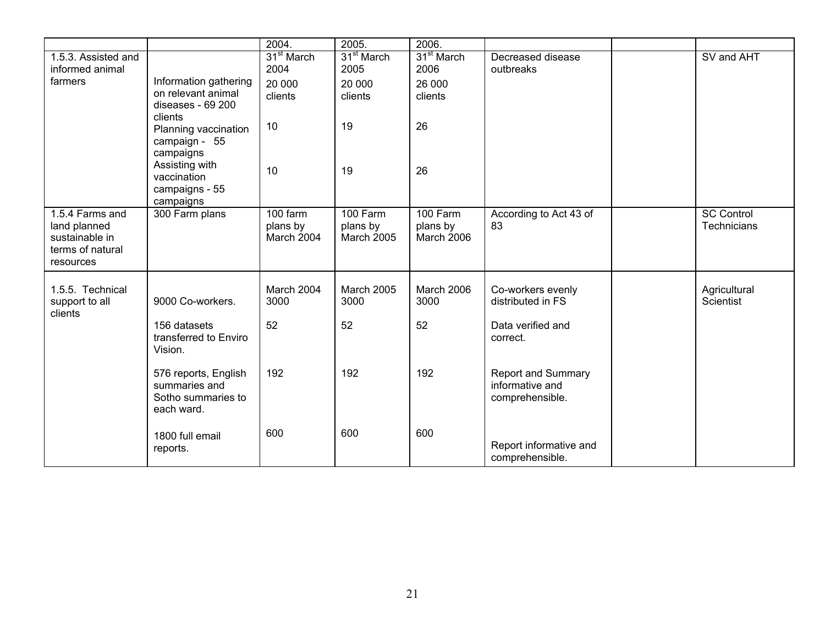|                                                                                    |                                                                           | 2004.                              | 2005.                                     | 2006.                                     |                                                          |                                         |
|------------------------------------------------------------------------------------|---------------------------------------------------------------------------|------------------------------------|-------------------------------------------|-------------------------------------------|----------------------------------------------------------|-----------------------------------------|
| 1.5.3. Assisted and<br>informed animal                                             |                                                                           | 31 <sup>st</sup> March<br>2004     | 31 <sup>st</sup> March<br>2005            | 31 <sup>st</sup> March<br>2006            | Decreased disease<br>outbreaks                           | SV and AHT                              |
| farmers                                                                            | Information gathering<br>on relevant animal<br>diseases - 69 200          | 20 000<br>clients                  | 20 000<br>clients                         | 26 000<br>clients                         |                                                          |                                         |
|                                                                                    | clients<br>Planning vaccination<br>campaign - 55                          | 10                                 | 19                                        | 26                                        |                                                          |                                         |
|                                                                                    | campaigns<br>Assisting with<br>vaccination<br>campaigns - 55<br>campaigns | 10                                 | 19                                        | 26                                        |                                                          |                                         |
| 1.5.4 Farms and<br>land planned<br>sustainable in<br>terms of natural<br>resources | 300 Farm plans                                                            | 100 farm<br>plans by<br>March 2004 | 100 Farm<br>plans by<br><b>March 2005</b> | 100 Farm<br>plans by<br><b>March 2006</b> | According to Act 43 of<br>83                             | <b>SC Control</b><br><b>Technicians</b> |
| 1.5.5. Technical<br>support to all<br>clients                                      | 9000 Co-workers.                                                          | March 2004<br>3000                 | March 2005<br>3000                        | <b>March 2006</b><br>3000                 | Co-workers evenly<br>distributed in FS                   | Agricultural<br>Scientist               |
|                                                                                    | 156 datasets<br>transferred to Enviro<br>Vision.                          | 52                                 | 52                                        | 52                                        | Data verified and<br>correct.                            |                                         |
|                                                                                    | 576 reports, English<br>summaries and<br>Sotho summaries to<br>each ward. | 192                                | 192                                       | 192                                       | Report and Summary<br>informative and<br>comprehensible. |                                         |
|                                                                                    | 1800 full email<br>reports.                                               | 600                                | 600                                       | 600                                       | Report informative and<br>comprehensible.                |                                         |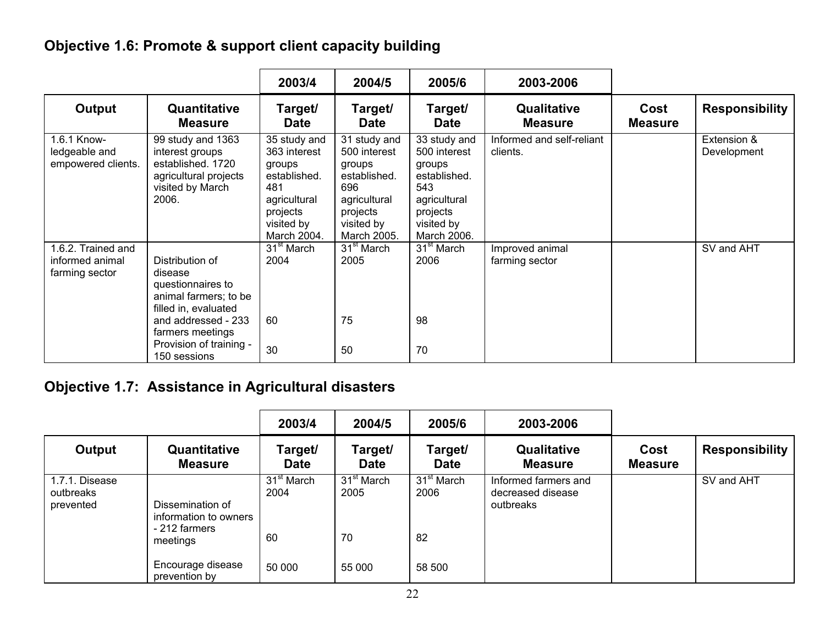## **Objective 1.6: Promote & support client capacity building**

|                                                         |                                                                                                                                                                                        | 2003/4                                                                                                                 | 2004/5                                                                                                                 | 2005/6                                                                                                                 | 2003-2006                             |                        |                            |
|---------------------------------------------------------|----------------------------------------------------------------------------------------------------------------------------------------------------------------------------------------|------------------------------------------------------------------------------------------------------------------------|------------------------------------------------------------------------------------------------------------------------|------------------------------------------------------------------------------------------------------------------------|---------------------------------------|------------------------|----------------------------|
| Output                                                  | Quantitative<br><b>Measure</b>                                                                                                                                                         | Target/<br><b>Date</b>                                                                                                 | Target/<br><b>Date</b>                                                                                                 | Target/<br><b>Date</b>                                                                                                 | Qualitative<br><b>Measure</b>         | Cost<br><b>Measure</b> | <b>Responsibility</b>      |
| 1.6.1 Know-<br>ledgeable and<br>empowered clients.      | 99 study and 1363<br>interest groups<br>established. 1720<br>agricultural projects<br>visited by March<br>2006.                                                                        | 35 study and<br>363 interest<br>groups<br>established.<br>481<br>agricultural<br>projects<br>visited by<br>March 2004. | 31 study and<br>500 interest<br>groups<br>established.<br>696<br>agricultural<br>projects<br>visited by<br>March 2005. | 33 study and<br>500 interest<br>groups<br>established.<br>543<br>agricultural<br>projects<br>visited by<br>March 2006. | Informed and self-reliant<br>clients. |                        | Extension &<br>Development |
| 1.6.2. Trained and<br>informed animal<br>farming sector | Distribution of<br>disease<br>questionnaires to<br>animal farmers; to be<br>filled in, evaluated<br>and addressed - 233<br>farmers meetings<br>Provision of training -<br>150 sessions | 31 <sup>st</sup> March<br>2004<br>60<br>30                                                                             | $31st$ March<br>2005<br>75<br>50                                                                                       | $31st$ March<br>2006<br>98<br>70                                                                                       | Improved animal<br>farming sector     |                        | SV and AHT                 |

## **Objective 1.7: Assistance in Agricultural disasters**

|                                          |                                           | 2003/4                 | 2004/5                 | 2005/6                         | 2003-2006                                              |                        |                       |
|------------------------------------------|-------------------------------------------|------------------------|------------------------|--------------------------------|--------------------------------------------------------|------------------------|-----------------------|
| Output                                   | Quantitative<br><b>Measure</b>            | Target/<br><b>Date</b> | Target/<br><b>Date</b> | Target/<br><b>Date</b>         | Qualitative<br><b>Measure</b>                          | Cost<br><b>Measure</b> | <b>Responsibility</b> |
| 1.7.1. Disease<br>outbreaks<br>prevented | Dissemination of<br>information to owners | $31st$ March<br>2004   | $31st$ March<br>2005   | 31 <sup>st</sup> March<br>2006 | Informed farmers and<br>decreased disease<br>outbreaks |                        | SV and AHT            |
|                                          | - 212 farmers<br>meetings                 | 60                     | 70                     | 82                             |                                                        |                        |                       |
|                                          | Encourage disease<br>prevention by        | 50 000                 | 55 000                 | 58 500                         |                                                        |                        |                       |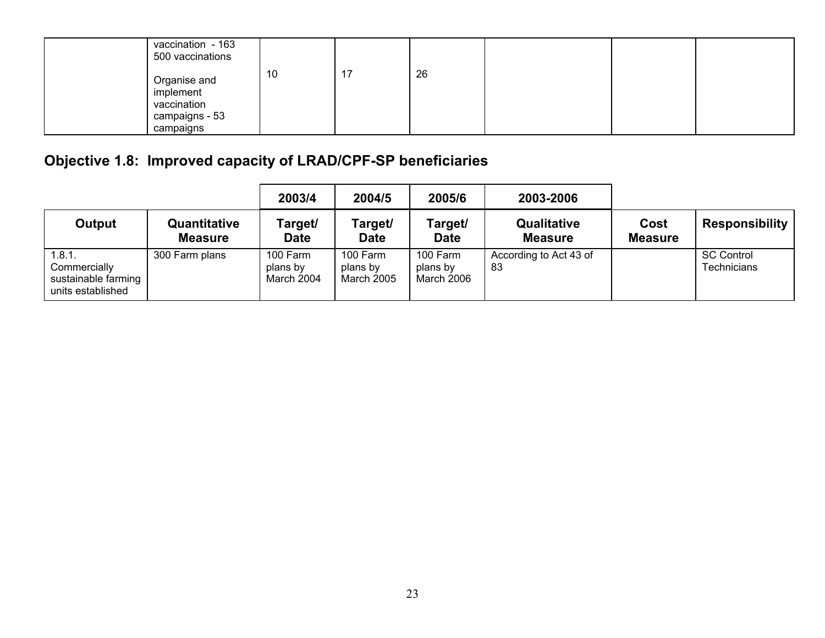| vaccination - 163<br>500 vaccinations                                   |    |    |    |  |  |
|-------------------------------------------------------------------------|----|----|----|--|--|
| Organise and<br>implement<br>vaccination<br>campaigns - 53<br>campaigns | 10 | 17 | 26 |  |  |

# **Objective 1.8: Improved capacity of LRAD/CPF-SP beneficiaries**

|                                                                    |                                | 2003/4                             | 2004/5                                    | 2005/6                             | 2003-2006                     |                        |                                         |
|--------------------------------------------------------------------|--------------------------------|------------------------------------|-------------------------------------------|------------------------------------|-------------------------------|------------------------|-----------------------------------------|
| Output                                                             | Quantitative<br><b>Measure</b> | Target/<br><b>Date</b>             | Target/<br><b>Date</b>                    | Target/<br><b>Date</b>             | Qualitative<br><b>Measure</b> | Cost<br><b>Measure</b> | <b>Responsibility</b>                   |
| 1.8.1.<br>Commercially<br>sustainable farming<br>units established | 300 Farm plans                 | 100 Farm<br>plans by<br>March 2004 | 100 Farm<br>plans by<br><b>March 2005</b> | 100 Farm<br>plans by<br>March 2006 | According to Act 43 of<br>83  |                        | <b>SC Control</b><br><b>Technicians</b> |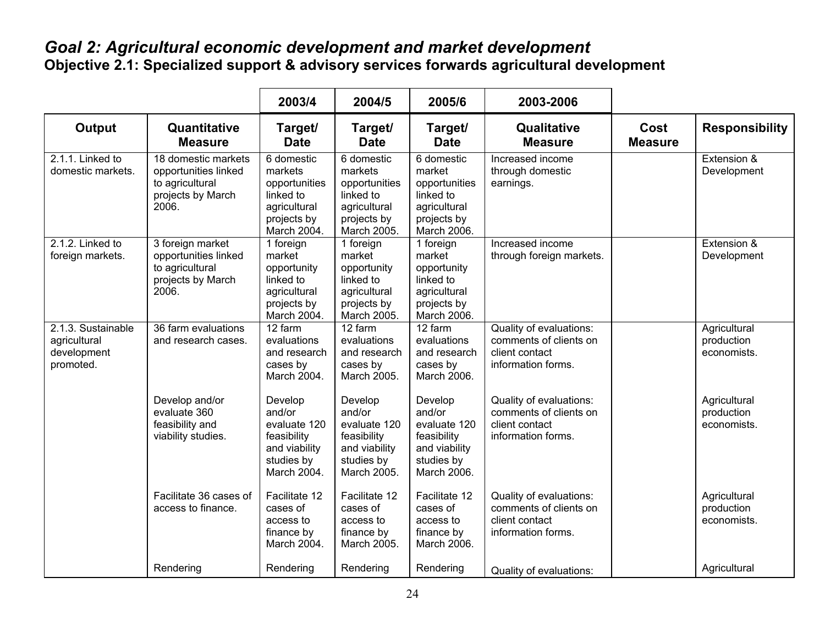### *Goal 2: Agricultural economic development and market development*  **Objective 2.1: Specialized support & advisory services forwards agricultural development**

|                                                                |                                                                                              | 2003/4                                                                                            | 2004/5                                                                                            | 2005/6                                                                                           | 2003-2006                                                                                 |                               |                                           |
|----------------------------------------------------------------|----------------------------------------------------------------------------------------------|---------------------------------------------------------------------------------------------------|---------------------------------------------------------------------------------------------------|--------------------------------------------------------------------------------------------------|-------------------------------------------------------------------------------------------|-------------------------------|-------------------------------------------|
| Output                                                         | Quantitative<br><b>Measure</b>                                                               | Target/<br><b>Date</b>                                                                            | Target/<br><b>Date</b>                                                                            | Target/<br><b>Date</b>                                                                           | Qualitative<br><b>Measure</b>                                                             | <b>Cost</b><br><b>Measure</b> | <b>Responsibility</b>                     |
| 2.1.1. Linked to<br>domestic markets.                          | 18 domestic markets<br>opportunities linked<br>to agricultural<br>projects by March<br>2006. | 6 domestic<br>markets<br>opportunities<br>linked to<br>agricultural<br>projects by<br>March 2004. | 6 domestic<br>markets<br>opportunities<br>linked to<br>agricultural<br>projects by<br>March 2005. | 6 domestic<br>market<br>opportunities<br>linked to<br>agricultural<br>projects by<br>March 2006. | Increased income<br>through domestic<br>earnings.                                         |                               | Extension &<br>Development                |
| 2.1.2. Linked to<br>foreign markets.                           | 3 foreign market<br>opportunities linked<br>to agricultural<br>projects by March<br>2006.    | 1 foreign<br>market<br>opportunity<br>linked to<br>agricultural<br>projects by<br>March 2004.     | 1 foreign<br>market<br>opportunity<br>linked to<br>agricultural<br>projects by<br>March 2005.     | 1 foreign<br>market<br>opportunity<br>linked to<br>agricultural<br>projects by<br>March 2006.    | Increased income<br>through foreign markets.                                              |                               | Extension &<br>Development                |
| 2.1.3. Sustainable<br>agricultural<br>development<br>promoted. | 36 farm evaluations<br>and research cases.                                                   | 12 farm<br>evaluations<br>and research<br>cases by<br>March 2004.                                 | 12 farm<br>evaluations<br>and research<br>cases by<br>March 2005.                                 | 12 farm<br>evaluations<br>and research<br>cases by<br>March 2006.                                | Quality of evaluations:<br>comments of clients on<br>client contact<br>information forms. |                               | Agricultural<br>production<br>economists. |
|                                                                | Develop and/or<br>evaluate 360<br>feasibility and<br>viability studies.                      | Develop<br>and/or<br>evaluate 120<br>feasibility<br>and viability<br>studies by<br>March 2004.    | Develop<br>and/or<br>evaluate 120<br>feasibility<br>and viability<br>studies by<br>March 2005.    | Develop<br>and/or<br>evaluate 120<br>feasibility<br>and viability<br>studies by<br>March 2006.   | Quality of evaluations:<br>comments of clients on<br>client contact<br>information forms. |                               | Agricultural<br>production<br>economists. |
|                                                                | Facilitate 36 cases of<br>access to finance.                                                 | Facilitate 12<br>cases of<br>access to<br>finance by<br>March 2004.                               | Facilitate 12<br>cases of<br>access to<br>finance by<br>March 2005.                               | Facilitate 12<br>cases of<br>access to<br>finance by<br>March 2006.                              | Quality of evaluations:<br>comments of clients on<br>client contact<br>information forms. |                               | Agricultural<br>production<br>economists. |
|                                                                | Rendering                                                                                    | Rendering                                                                                         | Rendering                                                                                         | Rendering                                                                                        | Quality of evaluations:                                                                   |                               | Agricultural                              |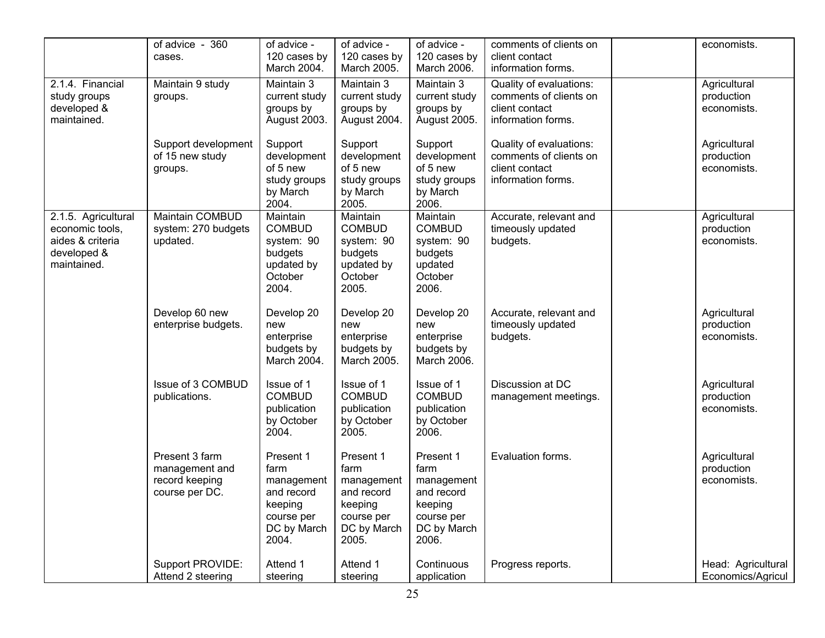|                                                                                          | of advice - 360<br>cases.                                            | of advice -<br>120 cases by<br>March 2004.                                                     | of advice -<br>120 cases by<br>March 2005.                                                     | of advice -<br>120 cases by<br>March 2006.                                                     | comments of clients on<br>client contact<br>information forms.                            | economists.                               |
|------------------------------------------------------------------------------------------|----------------------------------------------------------------------|------------------------------------------------------------------------------------------------|------------------------------------------------------------------------------------------------|------------------------------------------------------------------------------------------------|-------------------------------------------------------------------------------------------|-------------------------------------------|
| 2.1.4. Financial<br>study groups<br>developed &<br>maintained.                           | Maintain 9 study<br>groups.                                          | Maintain 3<br>current study<br>groups by<br>August 2003.                                       | Maintain 3<br>current study<br>groups by<br>August 2004.                                       | Maintain 3<br>current study<br>groups by<br>August 2005.                                       | Quality of evaluations:<br>comments of clients on<br>client contact<br>information forms. | Agricultural<br>production<br>economists. |
|                                                                                          | Support development<br>of 15 new study<br>groups.                    | Support<br>development<br>of 5 new<br>study groups<br>by March<br>2004.                        | Support<br>development<br>of 5 new<br>study groups<br>by March<br>2005.                        | Support<br>development<br>of 5 new<br>study groups<br>by March<br>2006.                        | Quality of evaluations:<br>comments of clients on<br>client contact<br>information forms. | Agricultural<br>production<br>economists. |
| 2.1.5. Agricultural<br>economic tools,<br>aides & criteria<br>developed &<br>maintained. | Maintain COMBUD<br>system: 270 budgets<br>updated.                   | Maintain<br><b>COMBUD</b><br>system: 90<br>budgets<br>updated by<br>October<br>2004.           | Maintain<br><b>COMBUD</b><br>system: 90<br>budgets<br>updated by<br>October<br>2005.           | Maintain<br><b>COMBUD</b><br>system: 90<br>budgets<br>updated<br>October<br>2006.              | Accurate, relevant and<br>timeously updated<br>budgets.                                   | Agricultural<br>production<br>economists. |
|                                                                                          | Develop 60 new<br>enterprise budgets.                                | Develop 20<br>new<br>enterprise<br>budgets by<br>March 2004.                                   | Develop 20<br>new<br>enterprise<br>budgets by<br>March 2005.                                   | Develop 20<br>new<br>enterprise<br>budgets by<br>March 2006.                                   | Accurate, relevant and<br>timeously updated<br>budgets.                                   | Agricultural<br>production<br>economists. |
|                                                                                          | Issue of 3 COMBUD<br>publications.                                   | Issue of 1<br><b>COMBUD</b><br>publication<br>by October<br>2004.                              | Issue of 1<br><b>COMBUD</b><br>publication<br>by October<br>2005.                              | Issue of 1<br><b>COMBUD</b><br>publication<br>by October<br>2006.                              | Discussion at DC<br>management meetings.                                                  | Agricultural<br>production<br>economists. |
|                                                                                          | Present 3 farm<br>management and<br>record keeping<br>course per DC. | Present 1<br>farm<br>management<br>and record<br>keeping<br>course per<br>DC by March<br>2004. | Present 1<br>farm<br>management<br>and record<br>keeping<br>course per<br>DC by March<br>2005. | Present 1<br>farm<br>management<br>and record<br>keeping<br>course per<br>DC by March<br>2006. | Evaluation forms.                                                                         | Agricultural<br>production<br>economists. |
|                                                                                          | Support PROVIDE:<br>Attend 2 steering                                | Attend 1<br>steering                                                                           | Attend 1<br>steering                                                                           | Continuous<br>application                                                                      | Progress reports.                                                                         | Head: Agricultural<br>Economics/Agricul   |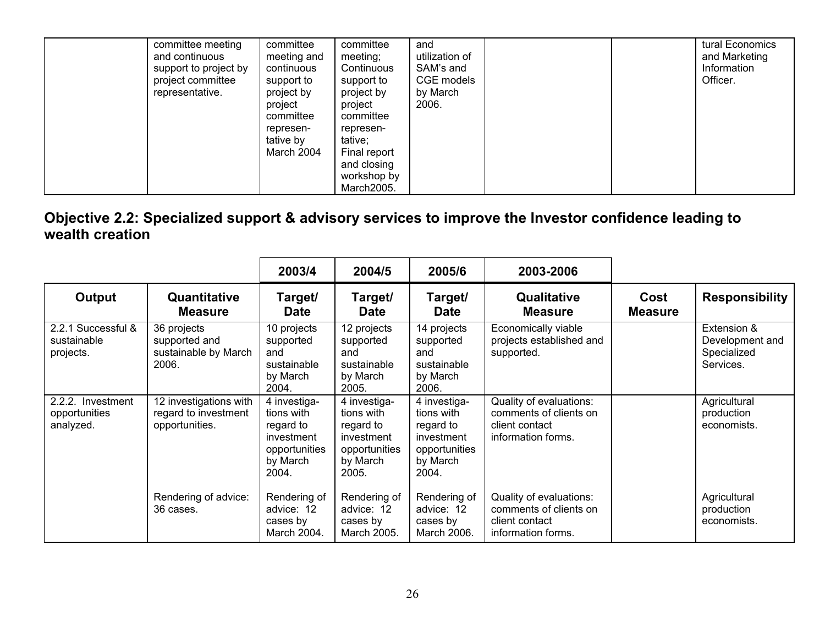| committee<br>committee<br>represen-<br>represen-<br>tative by<br>tative;<br>March 2004<br>Final report<br>and closing<br>workshop by<br>March2005. |  | committee meeting<br>and continuous<br>support to project by<br>project committee<br>representative. | committee<br>meeting and<br>continuous<br>support to<br>project by<br>project | committee<br>meeting;<br>Continuous<br>support to<br>project by<br>project | and<br>utilization of<br>SAM's and<br>CGE models<br>by March<br>2006. |  |  | tural Economics<br>and Marketing<br>Information<br>Officer. |
|----------------------------------------------------------------------------------------------------------------------------------------------------|--|------------------------------------------------------------------------------------------------------|-------------------------------------------------------------------------------|----------------------------------------------------------------------------|-----------------------------------------------------------------------|--|--|-------------------------------------------------------------|
|----------------------------------------------------------------------------------------------------------------------------------------------------|--|------------------------------------------------------------------------------------------------------|-------------------------------------------------------------------------------|----------------------------------------------------------------------------|-----------------------------------------------------------------------|--|--|-------------------------------------------------------------|

### **Objective 2.2: Specialized support & advisory services to improve the Investor confidence leading to wealth creation**

|                                                 |                                                                  | 2003/4                                                                                      | 2004/5                                                                                      | 2005/6                                                                                      | 2003-2006                                                                                 |                        |                                                            |
|-------------------------------------------------|------------------------------------------------------------------|---------------------------------------------------------------------------------------------|---------------------------------------------------------------------------------------------|---------------------------------------------------------------------------------------------|-------------------------------------------------------------------------------------------|------------------------|------------------------------------------------------------|
| Output                                          | Quantitative<br><b>Measure</b>                                   | Target/<br><b>Date</b>                                                                      | Target/<br><b>Date</b>                                                                      | Target/<br><b>Date</b>                                                                      | Qualitative<br><b>Measure</b>                                                             | Cost<br><b>Measure</b> | <b>Responsibility</b>                                      |
| 2.2.1 Successful &<br>sustainable<br>projects.  | 36 projects<br>supported and<br>sustainable by March<br>2006.    | 10 projects<br>supported<br>and<br>sustainable<br>by March<br>2004.                         | 12 projects<br>supported<br>and<br>sustainable<br>by March<br>2005.                         | 14 projects<br>supported<br>and<br>sustainable<br>by March<br>2006.                         | Economically viable<br>projects established and<br>supported.                             |                        | Extension &<br>Development and<br>Specialized<br>Services. |
| 2.2.2. Investment<br>opportunities<br>analyzed. | 12 investigations with<br>regard to investment<br>opportunities. | 4 investiga-<br>tions with<br>regard to<br>investment<br>opportunities<br>by March<br>2004. | 4 investiga-<br>tions with<br>regard to<br>investment<br>opportunities<br>by March<br>2005. | 4 investiga-<br>tions with<br>regard to<br>investment<br>opportunities<br>by March<br>2004. | Quality of evaluations:<br>comments of clients on<br>client contact<br>information forms. |                        | Agricultural<br>production<br>economists.                  |
|                                                 | Rendering of advice:<br>36 cases.                                | Rendering of<br>advice: 12<br>cases by<br>March 2004.                                       | Rendering of<br>advice: 12<br>cases by<br>March 2005.                                       | Rendering of<br>advice: 12<br>cases by<br>March 2006.                                       | Quality of evaluations:<br>comments of clients on<br>client contact<br>information forms. |                        | Agricultural<br>production<br>economists.                  |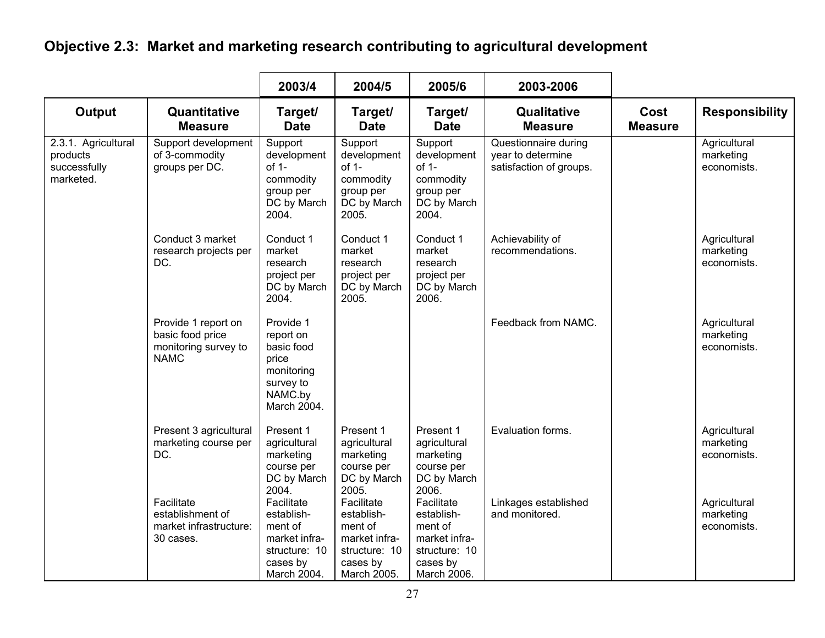## **Objective 2.3: Market and marketing research contributing to agricultural development**

|                                                              |                                                                                | 2003/4                                                                                             | 2004/5                                                                                           | 2005/6                                                                                           | 2003-2006                                                            |                        |                                          |
|--------------------------------------------------------------|--------------------------------------------------------------------------------|----------------------------------------------------------------------------------------------------|--------------------------------------------------------------------------------------------------|--------------------------------------------------------------------------------------------------|----------------------------------------------------------------------|------------------------|------------------------------------------|
| <b>Output</b>                                                | Quantitative<br><b>Measure</b>                                                 | Target/<br><b>Date</b>                                                                             | Target/<br><b>Date</b>                                                                           | Target/<br><b>Date</b>                                                                           | Qualitative<br><b>Measure</b>                                        | Cost<br><b>Measure</b> | <b>Responsibility</b>                    |
| 2.3.1. Agricultural<br>products<br>successfully<br>marketed. | Support development<br>of 3-commodity<br>groups per DC.                        | Support<br>development<br>$of 1-$<br>commodity<br>group per<br>DC by March<br>2004.                | Support<br>development<br>$of 1-$<br>commodity<br>group per<br>DC by March<br>2005.              | Support<br>development<br>of 1-<br>commodity<br>group per<br>DC by March<br>2004.                | Questionnaire during<br>year to determine<br>satisfaction of groups. |                        | Agricultural<br>marketing<br>economists. |
|                                                              | Conduct 3 market<br>research projects per<br>DC.                               | Conduct 1<br>market<br>research<br>project per<br>DC by March<br>2004.                             | Conduct 1<br>market<br>research<br>project per<br>DC by March<br>2005.                           | Conduct 1<br>market<br>research<br>project per<br>DC by March<br>2006.                           | Achievability of<br>recommendations.                                 |                        | Agricultural<br>marketing<br>economists. |
|                                                              | Provide 1 report on<br>basic food price<br>monitoring survey to<br><b>NAMC</b> | Provide 1<br>report on<br>basic food<br>price<br>monitoring<br>survey to<br>NAMC.by<br>March 2004. |                                                                                                  |                                                                                                  | Feedback from NAMC.                                                  |                        | Agricultural<br>marketing<br>economists. |
|                                                              | Present 3 agricultural<br>marketing course per<br>DC.                          | Present 1<br>agricultural<br>marketing<br>course per<br>DC by March<br>2004.                       | Present 1<br>agricultural<br>marketing<br>course per<br>DC by March<br>2005.                     | Present 1<br>agricultural<br>marketing<br>course per<br>DC by March<br>2006.                     | Evaluation forms.                                                    |                        | Agricultural<br>marketing<br>economists. |
|                                                              | Facilitate<br>establishment of<br>market infrastructure:<br>30 cases.          | Facilitate<br>establish-<br>ment of<br>market infra-<br>structure: 10<br>cases by<br>March 2004.   | Facilitate<br>establish-<br>ment of<br>market infra-<br>structure: 10<br>cases by<br>March 2005. | Facilitate<br>establish-<br>ment of<br>market infra-<br>structure: 10<br>cases by<br>March 2006. | Linkages established<br>and monitored.                               |                        | Agricultural<br>marketing<br>economists. |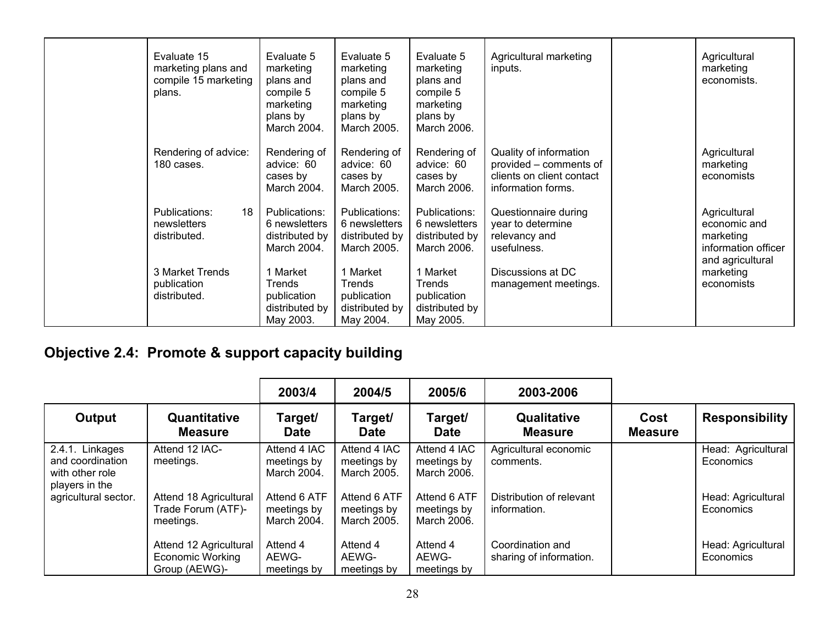| Evaluate 15<br>marketing plans and<br>compile 15 marketing<br>plans. | Evaluate 5<br>marketing<br>plans and<br>compile 5<br>marketing<br>plans by<br>March 2004. | Evaluate 5<br>marketing<br>plans and<br>compile 5<br>marketing<br>plans by<br>March 2005. | Evaluate 5<br>marketing<br>plans and<br>compile 5<br>marketing<br>plans by<br>March 2006. | Agricultural marketing<br>inputs.                                                                   | Agricultural<br>marketing<br>economists.                                             |
|----------------------------------------------------------------------|-------------------------------------------------------------------------------------------|-------------------------------------------------------------------------------------------|-------------------------------------------------------------------------------------------|-----------------------------------------------------------------------------------------------------|--------------------------------------------------------------------------------------|
| Rendering of advice:<br>180 cases.                                   | Rendering of<br>advice: 60<br>cases by<br>March 2004.                                     | Rendering of<br>advice: 60<br>cases by<br>March 2005.                                     | Rendering of<br>advice: 60<br>cases by<br>March 2006.                                     | Quality of information<br>provided – comments of<br>clients on client contact<br>information forms. | Agricultural<br>marketing<br>economists                                              |
| Publications:<br>18<br>newsletters<br>distributed.                   | Publications:<br>6 newsletters<br>distributed by<br>March 2004.                           | Publications:<br>6 newsletters<br>distributed by<br>March 2005.                           | Publications:<br>6 newsletters<br>distributed by<br>March 2006.                           | Questionnaire during<br>year to determine<br>relevancy and<br>usefulness.                           | Agricultural<br>economic and<br>marketing<br>information officer<br>and agricultural |
| 3 Market Trends<br>publication<br>distributed.                       | Market<br>Trends<br>publication<br>distributed by<br>May 2003.                            | 1 Market<br>Trends<br>publication<br>distributed by<br>May 2004.                          | 1 Market<br>Trends<br>publication<br>distributed by<br>May 2005.                          | Discussions at DC<br>management meetings.                                                           | marketing<br>economists                                                              |

# **Objective 2.4: Promote & support capacity building**

|                                                                          |                                                                    | 2003/4                                     | 2004/5                                     | 2005/6                                     | 2003-2006                                   |                        |                                 |
|--------------------------------------------------------------------------|--------------------------------------------------------------------|--------------------------------------------|--------------------------------------------|--------------------------------------------|---------------------------------------------|------------------------|---------------------------------|
| Output                                                                   | Quantitative<br><b>Measure</b>                                     | Target/<br><b>Date</b>                     | Target/<br><b>Date</b>                     | Target/<br><b>Date</b>                     | Qualitative<br><b>Measure</b>               | Cost<br><b>Measure</b> | <b>Responsibility</b>           |
| 2.4.1. Linkages<br>and coordination<br>with other role<br>players in the | Attend 12 IAC-<br>meetings.                                        | Attend 4 IAC<br>meetings by<br>March 2004. | Attend 4 IAC<br>meetings by<br>March 2005. | Attend 4 IAC<br>meetings by<br>March 2006. | Agricultural economic<br>comments.          |                        | Head: Agricultural<br>Economics |
| agricultural sector.                                                     | Attend 18 Agricultural<br>Trade Forum (ATF)-<br>meetings.          | Attend 6 ATF<br>meetings by<br>March 2004. | Attend 6 ATF<br>meetings by<br>March 2005. | Attend 6 ATF<br>meetings by<br>March 2006. | Distribution of relevant<br>information.    |                        | Head: Agricultural<br>Economics |
|                                                                          | Attend 12 Agricultural<br><b>Economic Working</b><br>Group (AEWG)- | Attend 4<br>AEWG-<br>meetings by           | Attend 4<br>AEWG-<br>meetings by           | Attend 4<br>AEWG-<br>meetings by           | Coordination and<br>sharing of information. |                        | Head: Agricultural<br>Economics |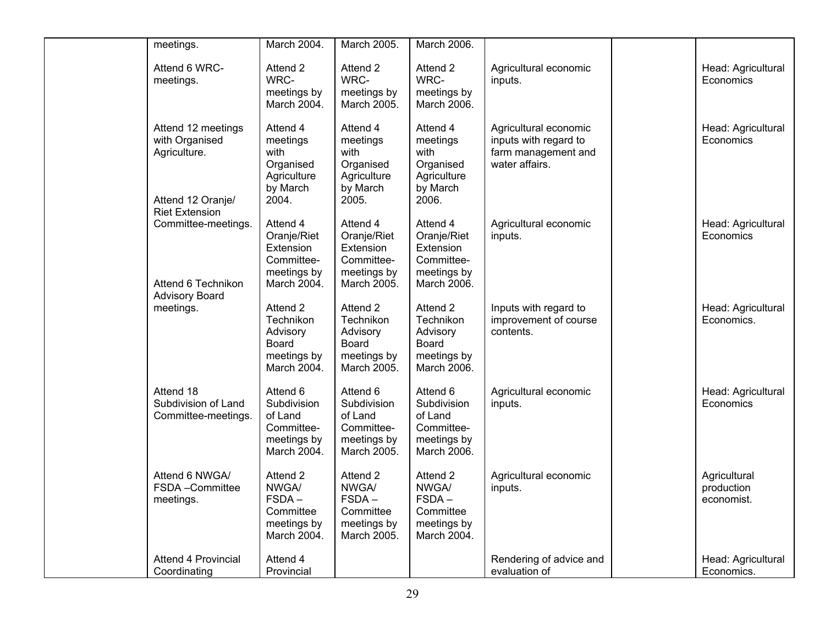| meetings.                                                                 | March 2004.                                                                      | March 2005.                                                                      | March 2006.                                                                      |                                                                                         |                                          |
|---------------------------------------------------------------------------|----------------------------------------------------------------------------------|----------------------------------------------------------------------------------|----------------------------------------------------------------------------------|-----------------------------------------------------------------------------------------|------------------------------------------|
| Attend 6 WRC-<br>meetings.                                                | Attend 2<br>WRC-<br>meetings by<br>March 2004.                                   | Attend 2<br>WRC-<br>meetings by<br>March 2005.                                   | Attend 2<br>WRC-<br>meetings by<br>March 2006.                                   | Agricultural economic<br>inputs.                                                        | Head: Agricultural<br>Economics          |
| Attend 12 meetings<br>with Organised<br>Agriculture.<br>Attend 12 Oranje/ | Attend 4<br>meetings<br>with<br>Organised<br>Agriculture<br>by March<br>2004.    | Attend 4<br>meetings<br>with<br>Organised<br>Agriculture<br>by March<br>2005.    | Attend 4<br>meetings<br>with<br>Organised<br>Agriculture<br>by March<br>2006.    | Agricultural economic<br>inputs with regard to<br>farm management and<br>water affairs. | Head: Agricultural<br>Economics          |
| <b>Riet Extension</b><br>Committee-meetings.<br>Attend 6 Technikon        | Attend 4<br>Oranje/Riet<br>Extension<br>Committee-<br>meetings by<br>March 2004. | Attend 4<br>Oranje/Riet<br>Extension<br>Committee-<br>meetings by<br>March 2005. | Attend 4<br>Oranje/Riet<br>Extension<br>Committee-<br>meetings by<br>March 2006. | Agricultural economic<br>inputs.                                                        | Head: Agricultural<br>Economics          |
| <b>Advisory Board</b><br>meetings.                                        | Attend 2<br>Technikon<br>Advisory<br>Board<br>meetings by<br>March 2004.         | Attend 2<br>Technikon<br>Advisory<br>Board<br>meetings by<br>March 2005.         | Attend 2<br>Technikon<br>Advisory<br>Board<br>meetings by<br>March 2006.         | Inputs with regard to<br>improvement of course<br>contents.                             | Head: Agricultural<br>Economics.         |
| Attend 18<br>Subdivision of Land<br>Committee-meetings.                   | Attend 6<br>Subdivision<br>of Land<br>Committee-<br>meetings by<br>March 2004.   | Attend 6<br>Subdivision<br>of Land<br>Committee-<br>meetings by<br>March 2005.   | Attend 6<br>Subdivision<br>of Land<br>Committee-<br>meetings by<br>March 2006.   | Agricultural economic<br>inputs.                                                        | Head: Agricultural<br>Economics          |
| Attend 6 NWGA/<br>FSDA-Committee<br>meetings.                             | Attend 2<br><b>NWGA/</b><br>$FSDA -$<br>Committee<br>meetings by<br>March 2004.  | Attend 2<br>NWGA/<br>$FSDA -$<br>Committee<br>meetings by<br>March 2005.         | Attend 2<br>NWGA/<br>$FSDA -$<br>Committee<br>meetings by<br>March 2004.         | Agricultural economic<br>inputs.                                                        | Agricultural<br>production<br>economist. |
| <b>Attend 4 Provincial</b><br>Coordinating                                | Attend 4<br>Provincial                                                           |                                                                                  |                                                                                  | Rendering of advice and<br>evaluation of                                                | Head: Agricultural<br>Economics.         |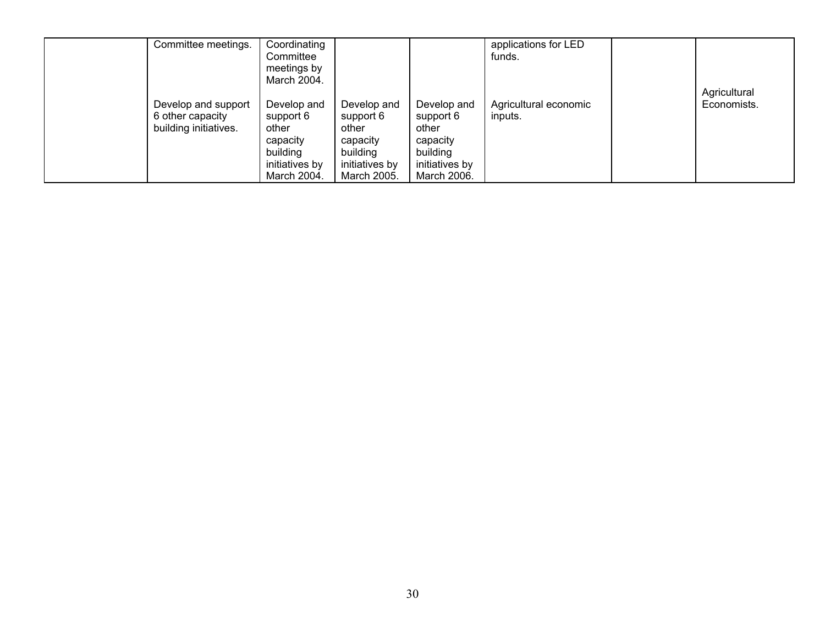| Committee meetings.                                              | Coordinating<br>Committee<br>meetings by<br>March 2004.                                    |                                                                                            |                                                                                            | applications for LED<br>funds.   |                             |
|------------------------------------------------------------------|--------------------------------------------------------------------------------------------|--------------------------------------------------------------------------------------------|--------------------------------------------------------------------------------------------|----------------------------------|-----------------------------|
| Develop and support<br>6 other capacity<br>building initiatives. | Develop and<br>support 6<br>other<br>capacity<br>building<br>initiatives by<br>March 2004. | Develop and<br>support 6<br>other<br>capacity<br>building<br>initiatives by<br>March 2005. | Develop and<br>support 6<br>other<br>capacity<br>building<br>initiatives by<br>March 2006. | Agricultural economic<br>inputs. | Agricultural<br>Economists. |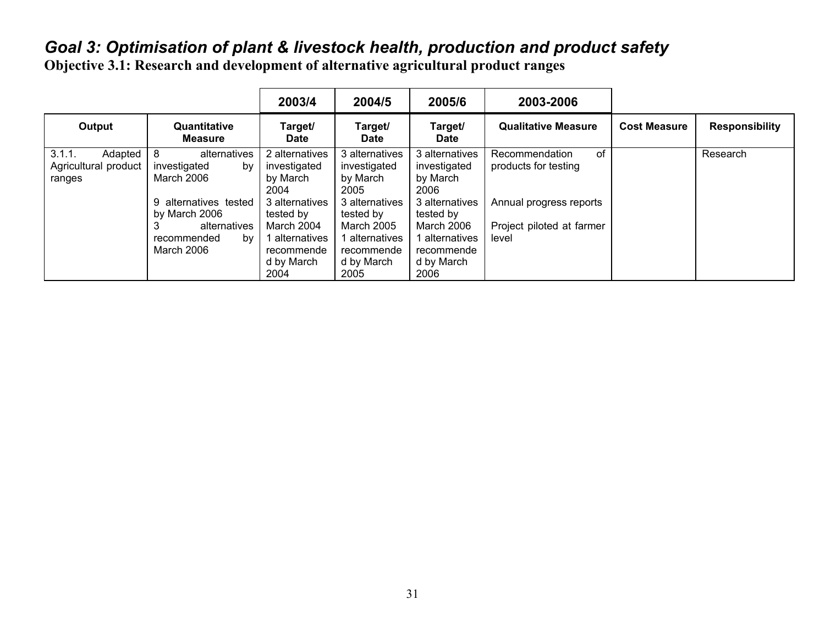# *Goal 3: Optimisation of plant & livestock health, production and product safety*

**Objective 3.1: Research and development of alternative agricultural product ranges** 

|                                                     |                                                                                                                                                            | 2003/4                                                                                                                                                | 2004/5                                                                                                                                                     | 2005/6                                                                                                                                              | 2003-2006                                                                                                     |                     |                       |
|-----------------------------------------------------|------------------------------------------------------------------------------------------------------------------------------------------------------------|-------------------------------------------------------------------------------------------------------------------------------------------------------|------------------------------------------------------------------------------------------------------------------------------------------------------------|-----------------------------------------------------------------------------------------------------------------------------------------------------|---------------------------------------------------------------------------------------------------------------|---------------------|-----------------------|
| Output                                              | Quantitative<br><b>Measure</b>                                                                                                                             | Target/<br>Date                                                                                                                                       | Target/<br><b>Date</b>                                                                                                                                     | Target/<br><b>Date</b>                                                                                                                              | <b>Qualitative Measure</b>                                                                                    | <b>Cost Measure</b> | <b>Responsibility</b> |
| 3.1.1.<br>Adapted<br>Agricultural product<br>ranges | 8<br>alternatives<br>investigated<br>by<br>March 2006<br>alternatives tested<br>9<br>by March 2006<br>alternatives<br>ۍ<br>by<br>recommended<br>March 2006 | 2 alternatives<br>investigated<br>by March<br>2004<br>3 alternatives<br>tested by<br>March 2004<br>l alternatives<br>recommende<br>d by March<br>2004 | 3 alternatives<br>investigated<br>by March<br>2005<br>3 alternatives<br>tested by<br><b>March 2005</b><br>alternatives<br>recommende<br>d by March<br>2005 | 3 alternatives<br>investigated<br>by March<br>2006<br>3 alternatives<br>tested by<br>March 2006<br>alternatives<br>recommende<br>d by March<br>2006 | of<br>Recommendation<br>products for testing<br>Annual progress reports<br>Project piloted at farmer<br>level |                     | Research              |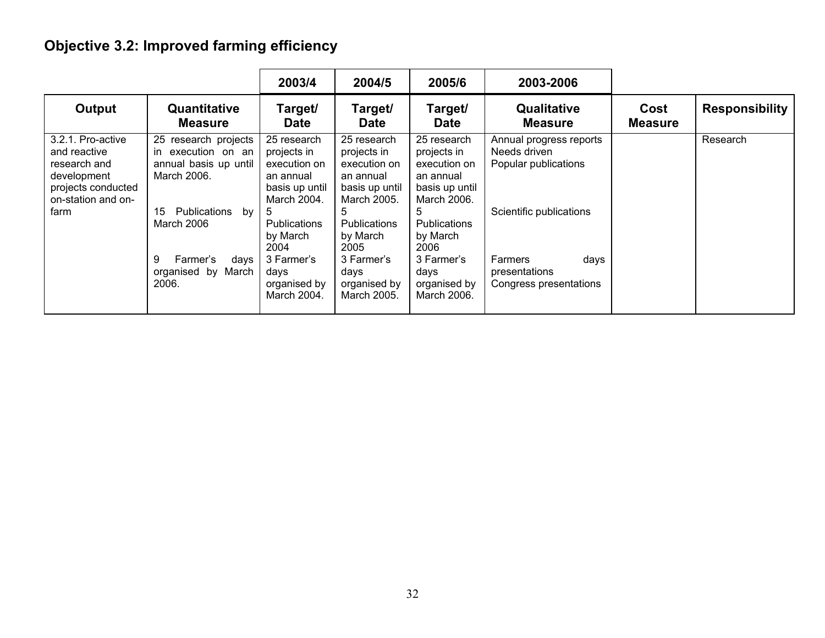# **Objective 3.2: Improved farming efficiency**

|                                                                                                                      |                                                                                                                                                                                                  | 2003/4                                                                                                                                                                                        | 2004/5                                                                                                                                                                                        | 2005/6                                                                                                                                                                                        | 2003-2006                                                                                                                                                |                        |                       |
|----------------------------------------------------------------------------------------------------------------------|--------------------------------------------------------------------------------------------------------------------------------------------------------------------------------------------------|-----------------------------------------------------------------------------------------------------------------------------------------------------------------------------------------------|-----------------------------------------------------------------------------------------------------------------------------------------------------------------------------------------------|-----------------------------------------------------------------------------------------------------------------------------------------------------------------------------------------------|----------------------------------------------------------------------------------------------------------------------------------------------------------|------------------------|-----------------------|
| Output                                                                                                               | Quantitative<br><b>Measure</b>                                                                                                                                                                   | Target/<br>Date                                                                                                                                                                               | Target/<br><b>Date</b>                                                                                                                                                                        | Target/<br><b>Date</b>                                                                                                                                                                        | <b>Qualitative</b><br><b>Measure</b>                                                                                                                     | Cost<br><b>Measure</b> | <b>Responsibility</b> |
| 3.2.1. Pro-active<br>and reactive<br>research and<br>development<br>projects conducted<br>on-station and on-<br>farm | 25<br>research projects<br>execution on an<br>in<br>annual basis up until<br>March 2006.<br>15<br>Publications<br>by<br>March 2006<br>9<br>Farmer's<br>days<br>March<br>bv<br>organised<br>2006. | 25 research<br>projects in<br>execution on<br>an annual<br>basis up until<br>March 2004.<br>5<br><b>Publications</b><br>by March<br>2004<br>3 Farmer's<br>davs<br>organised by<br>March 2004. | 25 research<br>projects in<br>execution on<br>an annual<br>basis up until<br>March 2005.<br>5<br><b>Publications</b><br>by March<br>2005<br>3 Farmer's<br>days<br>organised by<br>March 2005. | 25 research<br>projects in<br>execution on<br>an annual<br>basis up until<br>March 2006.<br>5<br><b>Publications</b><br>by March<br>2006<br>3 Farmer's<br>days<br>organised by<br>March 2006. | Annual progress reports<br>Needs driven<br>Popular publications<br>Scientific publications<br>Farmers<br>days<br>presentations<br>Congress presentations |                        | Research              |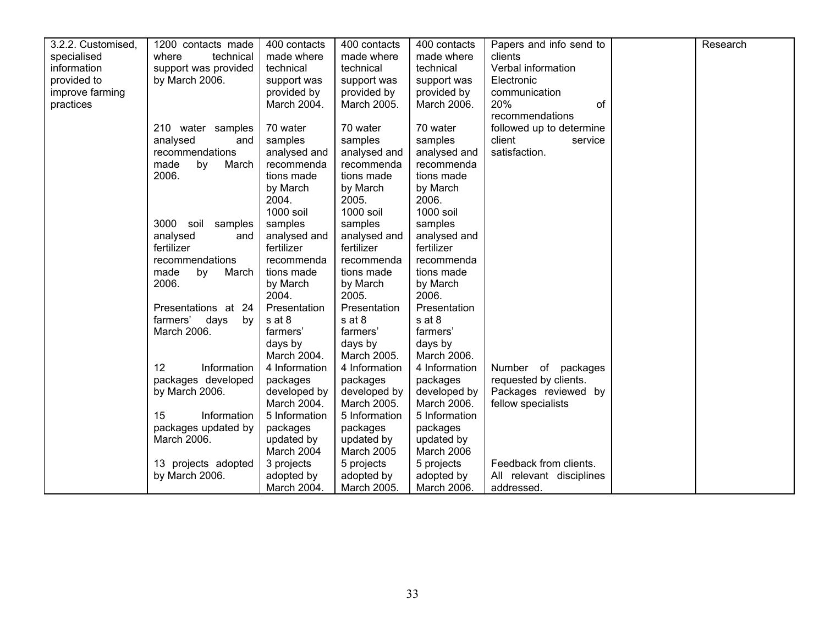| 3.2.2. Customised, | 1200 contacts made   | 400 contacts  | 400 contacts  | 400 contacts      | Papers and info send to  | Research |
|--------------------|----------------------|---------------|---------------|-------------------|--------------------------|----------|
| specialised        | where<br>technical   | made where    | made where    | made where        | clients                  |          |
| information        | support was provided | technical     | technical     | technical         | Verbal information       |          |
| provided to        | by March 2006.       | support was   | support was   | support was       | Electronic               |          |
| improve farming    |                      | provided by   | provided by   | provided by       | communication            |          |
| practices          |                      | March 2004.   | March 2005.   | March 2006.       | <b>20%</b><br>of         |          |
|                    |                      |               |               |                   | recommendations          |          |
|                    | 210 water samples    | 70 water      | 70 water      | 70 water          | followed up to determine |          |
|                    | analysed<br>and      | samples       | samples       | samples           | client<br>service        |          |
|                    | recommendations      | analysed and  | analysed and  | analysed and      | satisfaction.            |          |
|                    | made<br>by<br>March  | recommenda    | recommenda    | recommenda        |                          |          |
|                    | 2006.                | tions made    | tions made    | tions made        |                          |          |
|                    |                      | by March      | by March      |                   |                          |          |
|                    |                      | 2004.         | 2005.         | by March<br>2006. |                          |          |
|                    |                      | 1000 soil     |               | 1000 soil         |                          |          |
|                    |                      |               | 1000 soil     |                   |                          |          |
|                    | 3000 soil<br>samples | samples       | samples       | samples           |                          |          |
|                    | analysed<br>and      | analysed and  | analysed and  | analysed and      |                          |          |
|                    | fertilizer           | fertilizer    | fertilizer    | fertilizer        |                          |          |
|                    | recommendations      | recommenda    | recommenda    | recommenda        |                          |          |
|                    | made<br>by<br>March  | tions made    | tions made    | tions made        |                          |          |
|                    | 2006.                | by March      | by March      | by March          |                          |          |
|                    |                      | 2004.         | 2005.         | 2006.             |                          |          |
|                    | Presentations at 24  | Presentation  | Presentation  | Presentation      |                          |          |
|                    | farmers' days<br>bv  | s at 8        | s at 8        | s at 8            |                          |          |
|                    | March 2006.          | farmers'      | farmers'      | farmers'          |                          |          |
|                    |                      | days by       | days by       | days by           |                          |          |
|                    |                      | March 2004.   | March 2005.   | March 2006.       |                          |          |
|                    | 12<br>Information    | 4 Information | 4 Information | 4 Information     | Number of packages       |          |
|                    | packages developed   | packages      | packages      | packages          | requested by clients.    |          |
|                    | by March 2006.       | developed by  | developed by  | developed by      | Packages reviewed by     |          |
|                    |                      | March 2004.   | March 2005.   | March 2006.       | fellow specialists       |          |
|                    | 15<br>Information    | 5 Information | 5 Information | 5 Information     |                          |          |
|                    | packages updated by  | packages      | packages      | packages          |                          |          |
|                    | March 2006.          | updated by    | updated by    | updated by        |                          |          |
|                    |                      | March 2004    | March 2005    | March 2006        |                          |          |
|                    | 13 projects adopted  | 3 projects    | 5 projects    | 5 projects        | Feedback from clients.   |          |
|                    | by March 2006.       | adopted by    | adopted by    | adopted by        | All relevant disciplines |          |
|                    |                      | March 2004.   | March 2005.   | March 2006.       | addressed.               |          |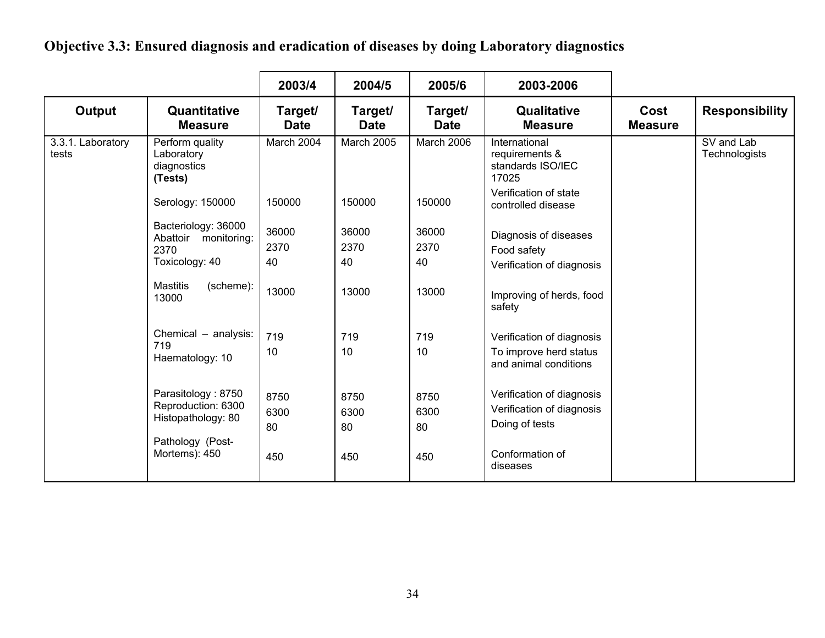**Objective 3.3: Ensured diagnosis and eradication of diseases by doing Laboratory diagnostics** 

|                            |                                                                                                     | 2003/4                    | 2004/5                    | 2005/6                    | 2003-2006                                                                                               |                        |                                    |
|----------------------------|-----------------------------------------------------------------------------------------------------|---------------------------|---------------------------|---------------------------|---------------------------------------------------------------------------------------------------------|------------------------|------------------------------------|
| Output                     | Quantitative<br><b>Measure</b>                                                                      | Target/<br><b>Date</b>    | Target/<br><b>Date</b>    | Target/<br><b>Date</b>    | Qualitative<br><b>Measure</b>                                                                           | Cost<br><b>Measure</b> | <b>Responsibility</b>              |
| 3.3.1. Laboratory<br>tests | Perform quality<br>Laboratory<br>diagnostics<br>(Tests)                                             | March 2004                | <b>March 2005</b>         | March 2006                | International<br>requirements &<br>standards ISO/IEC<br>17025                                           |                        | SV and Lab<br><b>Technologists</b> |
|                            | Serology: 150000                                                                                    | 150000                    | 150000                    | 150000                    | Verification of state<br>controlled disease                                                             |                        |                                    |
|                            | Bacteriology: 36000<br>Abattoir<br>monitoring:<br>2370<br>Toxicology: 40                            | 36000<br>2370<br>40       | 36000<br>2370<br>40       | 36000<br>2370<br>40       | Diagnosis of diseases<br>Food safety<br>Verification of diagnosis                                       |                        |                                    |
|                            | <b>Mastitis</b><br>(scheme):<br>13000                                                               | 13000                     | 13000                     | 13000                     | Improving of herds, food<br>safety                                                                      |                        |                                    |
|                            | Chemical - analysis:<br>719<br>Haematology: 10                                                      | 719<br>10                 | 719<br>10                 | 719<br>10                 | Verification of diagnosis<br>To improve herd status<br>and animal conditions                            |                        |                                    |
|                            | Parasitology: 8750<br>Reproduction: 6300<br>Histopathology: 80<br>Pathology (Post-<br>Mortems): 450 | 8750<br>6300<br>80<br>450 | 8750<br>6300<br>80<br>450 | 8750<br>6300<br>80<br>450 | Verification of diagnosis<br>Verification of diagnosis<br>Doing of tests<br>Conformation of<br>diseases |                        |                                    |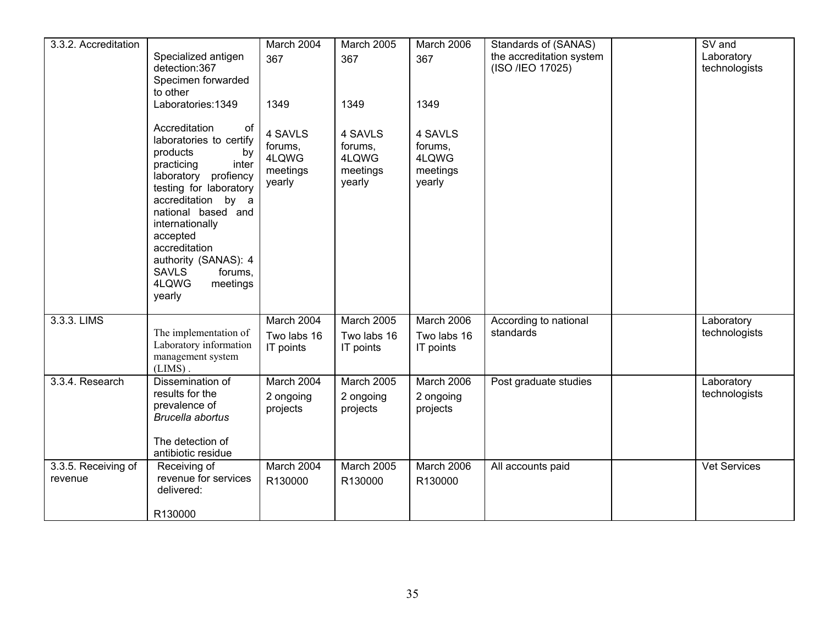| 3.3.2. Accreditation           |                                                                                                                                                                                                                                                                                                                         | March 2004                                        | March 2005                                        | March 2006                                        | Standards of (SANAS)                         | $\overline{\text{SV}}$ and  |
|--------------------------------|-------------------------------------------------------------------------------------------------------------------------------------------------------------------------------------------------------------------------------------------------------------------------------------------------------------------------|---------------------------------------------------|---------------------------------------------------|---------------------------------------------------|----------------------------------------------|-----------------------------|
|                                | Specialized antigen<br>detection:367<br>Specimen forwarded<br>to other                                                                                                                                                                                                                                                  | 367                                               | 367                                               | 367                                               | the accreditation system<br>(ISO /IEO 17025) | Laboratory<br>technologists |
|                                | Laboratories: 1349                                                                                                                                                                                                                                                                                                      | 1349                                              | 1349                                              | 1349                                              |                                              |                             |
|                                | Accreditation<br>of<br>laboratories to certify<br>products<br>by<br>practicing<br>inter<br>laboratory profiency<br>testing for laboratory<br>accreditation by a<br>national based and<br>internationally<br>accepted<br>accreditation<br>authority (SANAS): 4<br><b>SAVLS</b><br>forums,<br>4LQWG<br>meetings<br>yearly | 4 SAVLS<br>forums,<br>4LQWG<br>meetings<br>yearly | 4 SAVLS<br>forums,<br>4LQWG<br>meetings<br>yearly | 4 SAVLS<br>forums,<br>4LQWG<br>meetings<br>yearly |                                              |                             |
| 3.3.3. LIMS                    | The implementation of<br>Laboratory information<br>management system<br>$(LIMS)$ .                                                                                                                                                                                                                                      | March 2004<br>Two labs 16<br>IT points            | March 2005<br>Two labs 16<br>IT points            | March 2006<br>Two labs 16<br>IT points            | According to national<br>standards           | Laboratory<br>technologists |
| 3.3.4. Research                | Dissemination of<br>results for the<br>prevalence of<br><b>Brucella abortus</b><br>The detection of<br>antibiotic residue                                                                                                                                                                                               | March 2004<br>2 ongoing<br>projects               | March 2005<br>2 ongoing<br>projects               | March 2006<br>2 ongoing<br>projects               | Post graduate studies                        | Laboratory<br>technologists |
| 3.3.5. Receiving of<br>revenue | Receiving of<br>revenue for services<br>delivered:<br>R130000                                                                                                                                                                                                                                                           | March 2004<br>R130000                             | <b>March 2005</b><br>R130000                      | March 2006<br>R130000                             | All accounts paid                            | <b>Vet Services</b>         |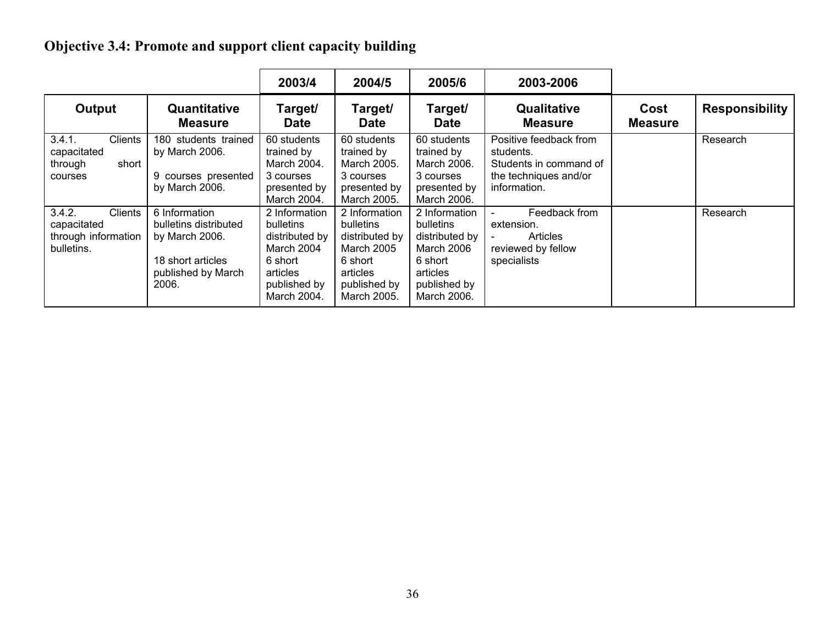# **Objective 3.4: Promote and support client capacity building**

|                                                                              |                                                                                                              | 2003/4                                                                                                           | 2004/5                                                                                                           | 2005/6                                                                                                                  | 2003-2006                                                                                              |                        |                       |
|------------------------------------------------------------------------------|--------------------------------------------------------------------------------------------------------------|------------------------------------------------------------------------------------------------------------------|------------------------------------------------------------------------------------------------------------------|-------------------------------------------------------------------------------------------------------------------------|--------------------------------------------------------------------------------------------------------|------------------------|-----------------------|
| Output                                                                       | Quantitative<br><b>Measure</b>                                                                               | Target/<br><b>Date</b>                                                                                           | Target/<br><b>Date</b>                                                                                           | Target/<br><b>Date</b>                                                                                                  | <b>Qualitative</b><br><b>Measure</b>                                                                   | Cost<br><b>Measure</b> | <b>Responsibility</b> |
| 3.4.1.<br><b>Clients</b><br>capacitated<br>short<br>through<br>courses       | 180 students trained<br>by March 2006.<br>9 courses presented<br>by March 2006.                              | 60 students<br>trained by<br>March 2004.<br>3 courses<br>presented by<br>March 2004.                             | 60 students<br>trained by<br>March 2005.<br>3 courses<br>presented by<br>March 2005.                             | 60 students<br>trained by<br>March 2006.<br>3 courses<br>presented by<br>March 2006.                                    | Positive feedback from<br>students.<br>Students in command of<br>the techniques and/or<br>information. |                        | Research              |
| <b>Clients</b><br>3.4.2.<br>capacitated<br>through information<br>bulletins. | 6 Information<br>bulletins distributed<br>by March 2006.<br>18 short articles<br>published by March<br>2006. | 2 Information<br>bulletins<br>distributed by<br>March 2004<br>6 short<br>articles<br>published by<br>March 2004. | 2 Information<br>bulletins<br>distributed by<br>March 2005<br>6 short<br>articles<br>published by<br>March 2005. | 2 Information<br><b>bulletins</b><br>distributed by<br>March 2006<br>6 short<br>articles<br>published by<br>March 2006. | Feedback from<br>extension.<br>Articles<br>reviewed by fellow<br>specialists                           |                        | Research              |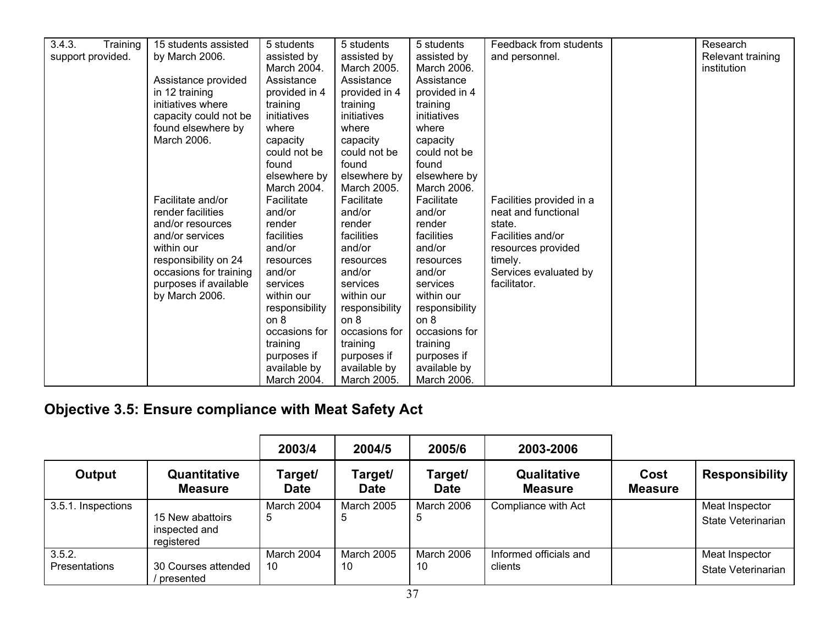| 3.4.3.<br>Training | 15 students assisted                | 5 students     | 5 students     | 5 students     | Feedback from students   | Research          |
|--------------------|-------------------------------------|----------------|----------------|----------------|--------------------------|-------------------|
| support provided.  | by March 2006.                      | assisted by    | assisted by    | assisted by    | and personnel.           | Relevant training |
|                    |                                     | March 2004.    | March 2005.    | March 2006.    |                          | institution       |
|                    | Assistance provided                 | Assistance     | Assistance     | Assistance     |                          |                   |
|                    |                                     | provided in 4  | provided in 4  | provided in 4  |                          |                   |
|                    | in 12 training<br>initiatives where | training       | training       | training       |                          |                   |
|                    |                                     |                |                |                |                          |                   |
|                    | capacity could not be               | initiatives    | initiatives    | initiatives    |                          |                   |
|                    | found elsewhere by                  | where          | where          | where          |                          |                   |
|                    | March 2006.                         | capacity       | capacity       | capacity       |                          |                   |
|                    |                                     | could not be   | could not be   | could not be   |                          |                   |
|                    |                                     | found          | found          | found          |                          |                   |
|                    |                                     | elsewhere by   | elsewhere by   | elsewhere by   |                          |                   |
|                    |                                     | March 2004.    | March 2005.    | March 2006.    |                          |                   |
|                    | Facilitate and/or                   | Facilitate     | Facilitate     | Facilitate     | Facilities provided in a |                   |
|                    | render facilities                   | and/or         | and/or         | and/or         | neat and functional      |                   |
|                    | and/or resources                    | render         | render         | render         | state.                   |                   |
|                    | and/or services                     | facilities     | facilities     | facilities     | Facilities and/or        |                   |
|                    | within our                          | and/or         | and/or         | and/or         | resources provided       |                   |
|                    | responsibility on 24                | resources      | resources      | resources      | timely.                  |                   |
|                    | occasions for training              | and/or         | and/or         | and/or         | Services evaluated by    |                   |
|                    | purposes if available               | services       | services       | services       | facilitator.             |                   |
|                    | by March 2006.                      | within our     | within our     | within our     |                          |                   |
|                    |                                     | responsibility | responsibility | responsibility |                          |                   |
|                    |                                     | on 8           | on 8           | on 8           |                          |                   |
|                    |                                     | occasions for  | occasions for  | occasions for  |                          |                   |
|                    |                                     | training       | training       | training       |                          |                   |
|                    |                                     | purposes if    | purposes if    | purposes if    |                          |                   |
|                    |                                     | available by   | available by   | available by   |                          |                   |
|                    |                                     | March 2004.    | March 2005.    | March 2006.    |                          |                   |

# **Objective 3.5: Ensure compliance with Meat Safety Act**

|                                |                                                 | 2003/4                 | 2004/5                  | 2005/6                  | 2003-2006                         |                        |                                      |
|--------------------------------|-------------------------------------------------|------------------------|-------------------------|-------------------------|-----------------------------------|------------------------|--------------------------------------|
| Output                         | Quantitative<br><b>Measure</b>                  | Target/<br><b>Date</b> | Target/<br><b>Date</b>  | Target/<br><b>Date</b>  | Qualitative<br><b>Measure</b>     | Cost<br><b>Measure</b> | <b>Responsibility</b>                |
| 3.5.1. Inspections             | 15 New abattoirs<br>inspected and<br>registered | March 2004<br>5        | <b>March 2005</b><br>5  | March 2006<br>5         | Compliance with Act               |                        | Meat Inspector<br>State Veterinarian |
| 3.5.2.<br><b>Presentations</b> | 30 Courses attended<br>presented                | March 2004<br>10       | <b>March 2005</b><br>10 | <b>March 2006</b><br>10 | Informed officials and<br>clients |                        | Meat Inspector<br>State Veterinarian |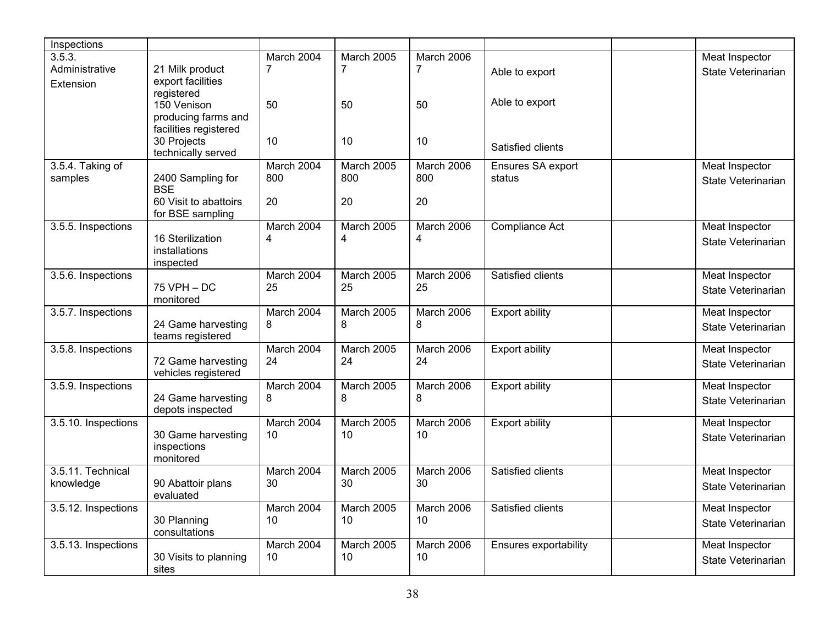| Inspections         |                                                                                                |                  |                         |                   |                       |                                      |
|---------------------|------------------------------------------------------------------------------------------------|------------------|-------------------------|-------------------|-----------------------|--------------------------------------|
| 3.5.3.              |                                                                                                | March 2004       | <b>March 2005</b>       | March 2006        |                       | Meat Inspector                       |
| Administrative      | 21 Milk product                                                                                | 7                | 7                       | $\overline{7}$    | Able to export        | State Veterinarian                   |
| Extension           | export facilities<br>registered<br>150 Venison<br>producing farms and<br>facilities registered | 50               | 50                      | 50                | Able to export        |                                      |
|                     | 30 Projects<br>technically served                                                              | 10               | 10                      | 10                | Satisfied clients     |                                      |
| 3.5.4. Taking of    |                                                                                                | March 2004       | March 2005              | March 2006        | Ensures SA export     | Meat Inspector                       |
| samples             | 2400 Sampling for<br><b>BSE</b>                                                                | 800              | 800                     | 800               | status                | State Veterinarian                   |
|                     | 60 Visit to abattoirs<br>for BSE sampling                                                      | 20               | 20                      | 20                |                       |                                      |
| 3.5.5. Inspections  | 16 Sterilization                                                                               | March 2004<br>4  | March 2005<br>4         | March 2006<br>4   | Compliance Act        | Meat Inspector                       |
|                     | installations<br>inspected                                                                     |                  |                         |                   |                       | State Veterinarian                   |
| 3.5.6. Inspections  |                                                                                                | March 2004       | March 2005              | March 2006        | Satisfied clients     | Meat Inspector                       |
|                     | $75$ VPH $-$ DC<br>monitored                                                                   | 25               | 25                      | 25                |                       | State Veterinarian                   |
| 3.5.7. Inspections  |                                                                                                | March 2004       | March 2005              | March 2006        | <b>Export ability</b> | Meat Inspector                       |
|                     | 24 Game harvesting<br>teams registered                                                         | 8                | 8                       | 8                 |                       | State Veterinarian                   |
| 3.5.8. Inspections  |                                                                                                | March 2004       | March 2005              | March 2006        | <b>Export ability</b> | Meat Inspector                       |
|                     | 72 Game harvesting<br>vehicles registered                                                      | 24               | 24                      | 24                |                       | State Veterinarian                   |
| 3.5.9. Inspections  |                                                                                                | March 2004       | March 2005              | March 2006        | <b>Export ability</b> | Meat Inspector                       |
|                     | 24 Game harvesting<br>depots inspected                                                         | 8                | 8                       | 8                 |                       | State Veterinarian                   |
| 3.5.10. Inspections | 30 Game harvesting                                                                             | March 2004<br>10 | <b>March 2005</b><br>10 | March 2006<br>10  | <b>Export ability</b> | Meat Inspector<br>State Veterinarian |
|                     | inspections<br>monitored                                                                       |                  |                         |                   |                       |                                      |
| 3.5.11. Technical   |                                                                                                | March 2004       | March 2005              | March 2006        | Satisfied clients     | <b>Meat Inspector</b>                |
| knowledge           | 90 Abattoir plans<br>evaluated                                                                 | 30               | 30                      | 30                |                       | State Veterinarian                   |
| 3.5.12. Inspections |                                                                                                | March 2004       | <b>March 2005</b>       | <b>March 2006</b> | Satisfied clients     | Meat Inspector                       |
|                     | 30 Planning<br>consultations                                                                   | 10               | 10                      | 10 <sup>1</sup>   |                       | State Veterinarian                   |
| 3.5.13. Inspections |                                                                                                | March 2004       | March 2005              | March 2006        | Ensures exportability | Meat Inspector                       |
|                     | 30 Visits to planning<br>sites                                                                 | 10               | 10                      | 10                |                       | State Veterinarian                   |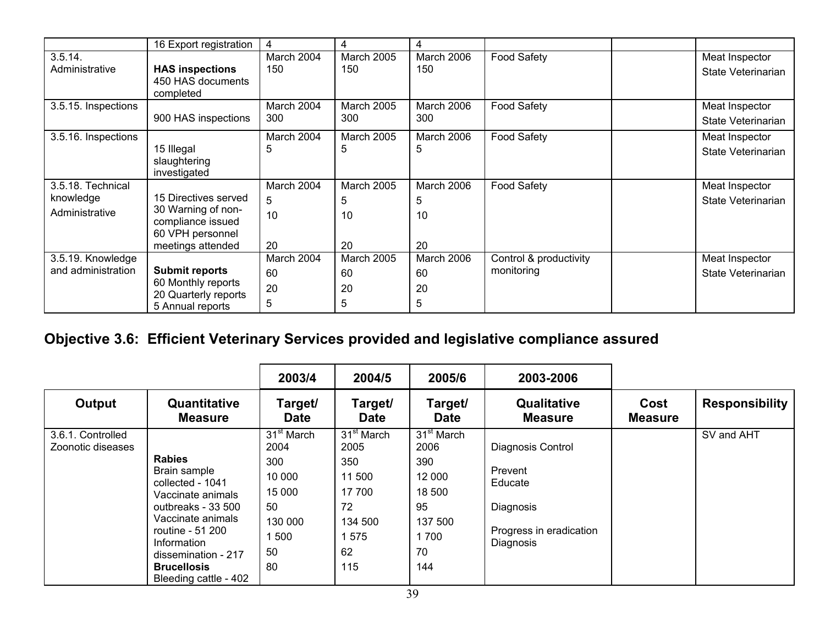|                                                  | 16 Export registration                                                                                   | 4                           | 4                           | 4                           |                                      |                                      |
|--------------------------------------------------|----------------------------------------------------------------------------------------------------------|-----------------------------|-----------------------------|-----------------------------|--------------------------------------|--------------------------------------|
| 3.5.14.<br>Administrative                        | <b>HAS inspections</b><br>450 HAS documents<br>completed                                                 | March 2004<br>150           | March 2005<br>150           | March 2006<br>150           | <b>Food Safety</b>                   | Meat Inspector<br>State Veterinarian |
| 3.5.15. Inspections                              | 900 HAS inspections                                                                                      | March 2004<br>300           | March 2005<br>300           | March 2006<br>300           | <b>Food Safety</b>                   | Meat Inspector<br>State Veterinarian |
| 3.5.16. Inspections                              | 15 Illegal<br>slaughtering<br>investigated                                                               | March 2004<br>5             | March 2005<br>5             | March 2006<br>5             | <b>Food Safety</b>                   | Meat Inspector<br>State Veterinarian |
| 3.5.18. Technical<br>knowledge<br>Administrative | 15 Directives served<br>30 Warning of non-<br>compliance issued<br>60 VPH personnel<br>meetings attended | March 2004<br>5<br>10<br>20 | March 2005<br>5<br>10<br>20 | March 2006<br>5<br>10<br>20 | <b>Food Safety</b>                   | Meat Inspector<br>State Veterinarian |
| 3.5.19. Knowledge<br>and administration          | <b>Submit reports</b><br>60 Monthly reports<br>20 Quarterly reports<br>5 Annual reports                  | March 2004<br>60<br>20<br>5 | March 2005<br>60<br>20<br>5 | March 2006<br>60<br>20<br>5 | Control & productivity<br>monitoring | Meat Inspector<br>State Veterinarian |

# **Objective 3.6: Efficient Veterinary Services provided and legislative compliance assured**

|                                        |                                                                                                                                                                             | 2003/4                                                                                  | 2004/5                                                                                   | 2005/6                                                                                    | 2003-2006                                                                                    |                        |                       |
|----------------------------------------|-----------------------------------------------------------------------------------------------------------------------------------------------------------------------------|-----------------------------------------------------------------------------------------|------------------------------------------------------------------------------------------|-------------------------------------------------------------------------------------------|----------------------------------------------------------------------------------------------|------------------------|-----------------------|
| Output                                 | Quantitative<br><b>Measure</b>                                                                                                                                              | Target/<br><b>Date</b>                                                                  | Target/<br><b>Date</b>                                                                   | Target/<br><b>Date</b>                                                                    | <b>Qualitative</b><br><b>Measure</b>                                                         | Cost<br><b>Measure</b> | <b>Responsibility</b> |
| 3.6.1. Controlled<br>Zoonotic diseases | <b>Rabies</b><br>Brain sample<br>collected - 1041<br>Vaccinate animals<br>outbreaks - 33 500<br>Vaccinate animals<br>routine - 51 200<br>Information<br>dissemination - 217 | 31 <sup>st</sup> March<br>2004<br>300<br>10 000<br>15 000<br>50<br>130 000<br>500<br>50 | 31 <sup>st</sup> March<br>2005<br>350<br>11 500<br>17 700<br>72<br>134 500<br>1575<br>62 | 31 <sup>st</sup> March<br>2006<br>390<br>12 000<br>18 500<br>95<br>137 500<br>1 700<br>70 | Diagnosis Control<br>Prevent<br>Educate<br>Diagnosis<br>Progress in eradication<br>Diagnosis |                        | SV and AHT            |
|                                        | <b>Brucellosis</b><br>Bleeding cattle - 402                                                                                                                                 | 80                                                                                      | 115                                                                                      | 144                                                                                       |                                                                                              |                        |                       |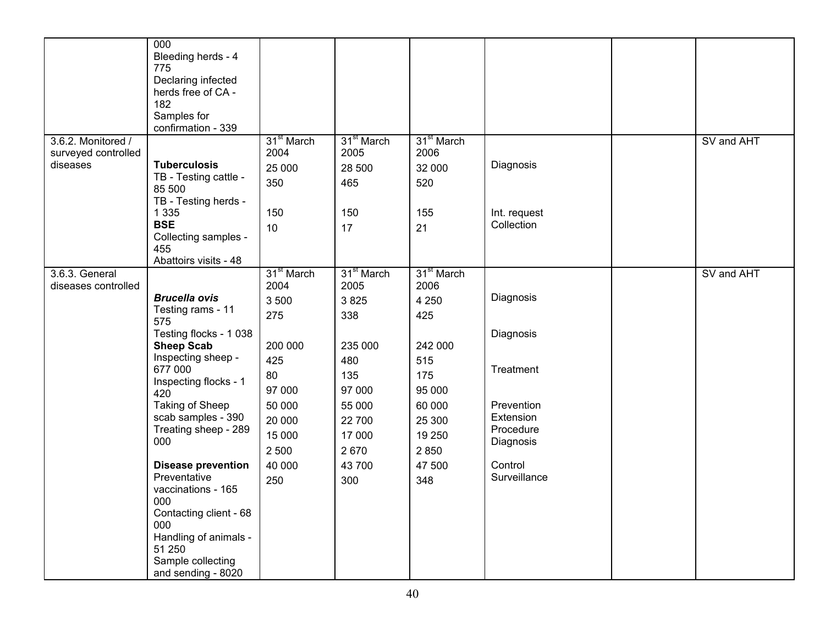|                                           | 000<br>Bleeding herds - 4<br>775<br>Declaring infected<br>herds free of CA -<br>182<br>Samples for<br>confirmation - 339 |                                     |                                    |                                       |                                                   |            |
|-------------------------------------------|--------------------------------------------------------------------------------------------------------------------------|-------------------------------------|------------------------------------|---------------------------------------|---------------------------------------------------|------------|
| 3.6.2. Monitored /<br>surveyed controlled |                                                                                                                          | 31 <sup>st</sup> March<br>2004      | 31 <sup>st</sup> March<br>2005     | 31 <sup>st</sup> March<br>2006        |                                                   | SV and AHT |
| diseases                                  | <b>Tuberculosis</b><br>TB - Testing cattle -<br>85 500<br>TB - Testing herds -                                           | 25 000<br>350                       | 28 500<br>465                      | 32 000<br>520                         | Diagnosis                                         |            |
|                                           | 1 3 3 5<br><b>BSE</b><br>Collecting samples -<br>455<br>Abattoirs visits - 48                                            | 150<br>10                           | 150<br>17                          | 155<br>21                             | Int. request<br>Collection                        |            |
| 3.6.3. General                            |                                                                                                                          | 31 <sup>st</sup> March              | 31 <sup>st</sup> March             | 31 <sup>st</sup> March                |                                                   | SV and AHT |
| diseases controlled                       | <b>Brucella ovis</b><br>Testing rams - 11<br>575                                                                         | 2004<br>3 500<br>275                | 2005<br>3 8 2 5<br>338             | 2006<br>4 2 5 0<br>425                | Diagnosis                                         |            |
|                                           | Testing flocks - 1 038<br><b>Sheep Scab</b>                                                                              | 200 000                             | 235 000                            | 242 000                               | Diagnosis                                         |            |
|                                           | Inspecting sheep -<br>677 000<br>Inspecting flocks - 1<br>420                                                            | 425<br>80<br>97 000                 | 480<br>135<br>97 000               | 515<br>175<br>95 000                  | Treatment                                         |            |
|                                           | Taking of Sheep<br>scab samples - 390<br>Treating sheep - 289<br>000                                                     | 50 000<br>20 000<br>15 000<br>2 500 | 55 000<br>22 700<br>17 000<br>2670 | 60 000<br>25 300<br>19 250<br>2 8 5 0 | Prevention<br>Extension<br>Procedure<br>Diagnosis |            |
|                                           | <b>Disease prevention</b><br>Preventative<br>vaccinations - 165<br>000<br>Contacting client - 68                         | 40 000<br>250                       | 43 700<br>300                      | 47 500<br>348                         | Control<br>Surveillance                           |            |
|                                           | 000<br>Handling of animals -<br>51 250<br>Sample collecting<br>and sending - 8020                                        |                                     |                                    |                                       |                                                   |            |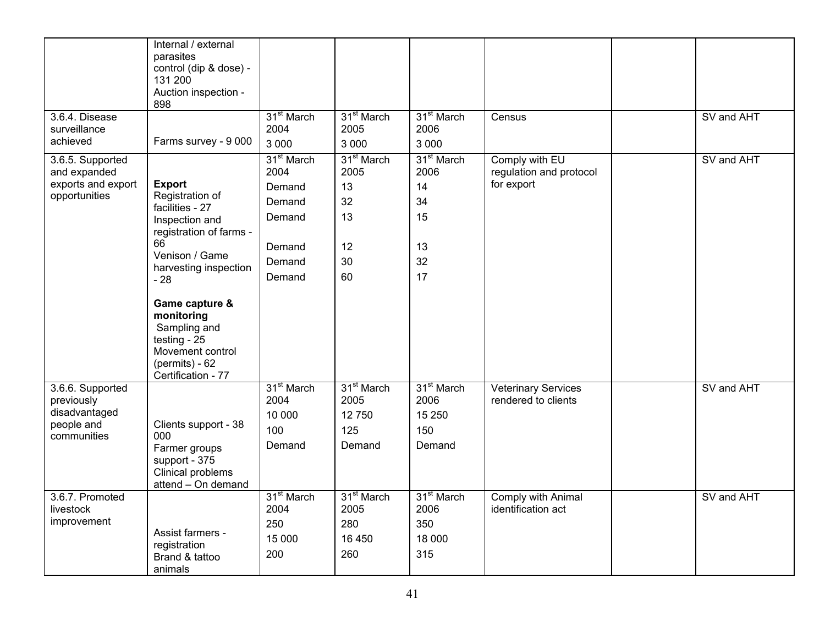|                                                                              | Internal / external<br>parasites<br>control (dip & dose) -<br>131 200<br>Auction inspection -<br>898                                                                                                                                                                                       |                                                                                            |                                                                    |                                                                    |                                                         |            |
|------------------------------------------------------------------------------|--------------------------------------------------------------------------------------------------------------------------------------------------------------------------------------------------------------------------------------------------------------------------------------------|--------------------------------------------------------------------------------------------|--------------------------------------------------------------------|--------------------------------------------------------------------|---------------------------------------------------------|------------|
| 3.6.4. Disease<br>surveillance<br>achieved                                   | Farms survey - 9 000                                                                                                                                                                                                                                                                       | 31 <sup>st</sup> March<br>2004<br>3 0 0 0                                                  | 31 <sup>st</sup> March<br>2005<br>3 0 0 0                          | 31 <sup>st</sup> March<br>2006<br>3 0 0 0                          | Census                                                  | SV and AHT |
| 3.6.5. Supported<br>and expanded<br>exports and export<br>opportunities      | <b>Export</b><br>Registration of<br>facilities - 27<br>Inspection and<br>registration of farms -<br>66<br>Venison / Game<br>harvesting inspection<br>$-28$<br>Game capture &<br>monitoring<br>Sampling and<br>testing - $25$<br>Movement control<br>$(permits) - 62$<br>Certification - 77 | 31 <sup>st</sup> March<br>2004<br>Demand<br>Demand<br>Demand<br>Demand<br>Demand<br>Demand | 31 <sup>st</sup> March<br>2005<br>13<br>32<br>13<br>12<br>30<br>60 | 31 <sup>st</sup> March<br>2006<br>14<br>34<br>15<br>13<br>32<br>17 | Comply with EU<br>regulation and protocol<br>for export | SV and AHT |
| 3.6.6. Supported<br>previously<br>disadvantaged<br>people and<br>communities | Clients support - 38<br>000<br>Farmer groups<br>support - 375<br>Clinical problems<br>attend - On demand                                                                                                                                                                                   | 31 <sup>st</sup> March<br>2004<br>10 000<br>100<br>Demand                                  | 31 <sup>st</sup> March<br>2005<br>12750<br>125<br>Demand           | 31 <sup>st</sup> March<br>2006<br>15 250<br>150<br>Demand          | <b>Veterinary Services</b><br>rendered to clients       | SV and AHT |
| 3.6.7. Promoted<br>livestock<br>improvement                                  | Assist farmers -<br>registration<br>Brand & tattoo<br>animals                                                                                                                                                                                                                              | 31 <sup>st</sup> March<br>2004<br>250<br>15 000<br>200                                     | 31 <sup>st</sup> March<br>2005<br>280<br>16 450<br>260             | 31 <sup>st</sup> March<br>2006<br>350<br>18 000<br>315             | Comply with Animal<br>identification act                | SV and AHT |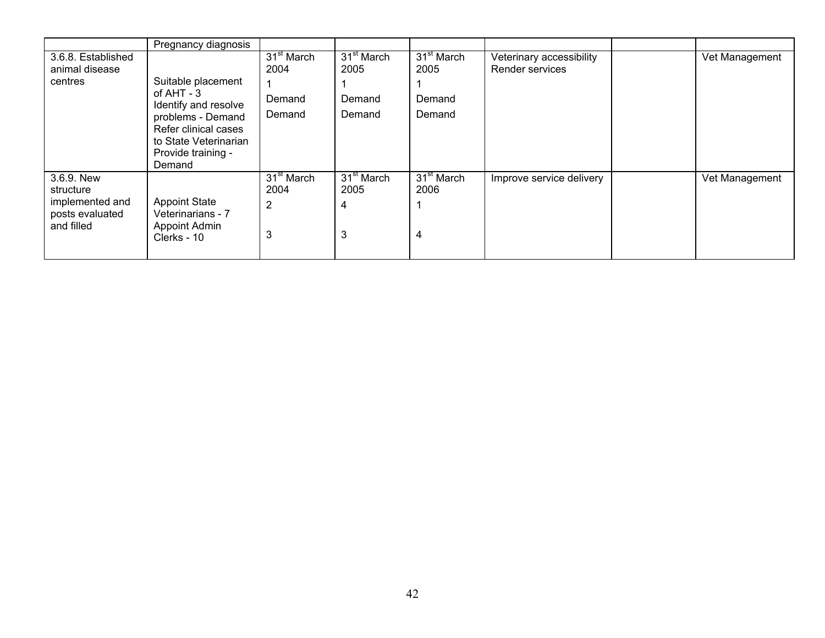|                                                                             | Pregnancy diagnosis                                                                                                                                              |                                             |                                          |                                                    |                                             |                |
|-----------------------------------------------------------------------------|------------------------------------------------------------------------------------------------------------------------------------------------------------------|---------------------------------------------|------------------------------------------|----------------------------------------------------|---------------------------------------------|----------------|
| 3.6.8. Established<br>animal disease<br>centres                             | Suitable placement<br>of $AHT - 3$<br>Identify and resolve<br>problems - Demand<br>Refer clinical cases<br>to State Veterinarian<br>Provide training -<br>Demand | $31st$ March<br>2004<br>Demand<br>Demand    | $31st$ March<br>2005<br>Demand<br>Demand | 31 <sup>st</sup> March<br>2005<br>Demand<br>Demand | Veterinary accessibility<br>Render services | Vet Management |
| 3.6.9. New<br>structure<br>implemented and<br>posts evaluated<br>and filled | <b>Appoint State</b><br>Veterinarians - 7<br><b>Appoint Admin</b><br>Clerks - 10                                                                                 | $31st$ March<br>2004<br>$\overline{2}$<br>3 | 31 <sup>st</sup> March<br>2005<br>4<br>3 | $31st$ March<br>2006<br>4                          | Improve service delivery                    | Vet Management |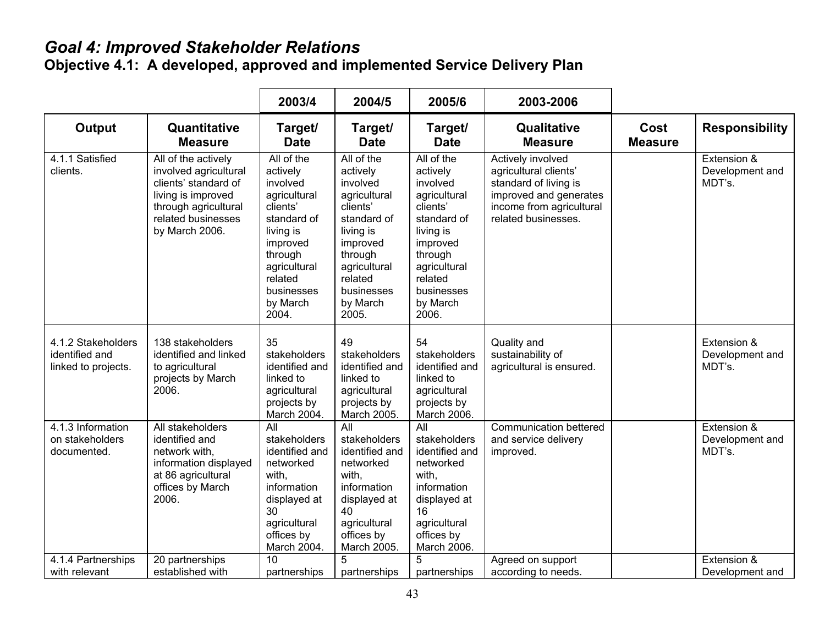#### *Goal 4: Improved Stakeholder Relations*

**Objective 4.1: A developed, approved and implemented Service Delivery Plan** 

|                                                             |                                                                                                                                                            | 2003/4                                                                                                                                                                          | 2004/5                                                                                                                                                                          | 2005/6                                                                                                                                                                          | 2003-2006                                                                                                                                        |                        |                                          |
|-------------------------------------------------------------|------------------------------------------------------------------------------------------------------------------------------------------------------------|---------------------------------------------------------------------------------------------------------------------------------------------------------------------------------|---------------------------------------------------------------------------------------------------------------------------------------------------------------------------------|---------------------------------------------------------------------------------------------------------------------------------------------------------------------------------|--------------------------------------------------------------------------------------------------------------------------------------------------|------------------------|------------------------------------------|
| <b>Output</b>                                               | Quantitative<br><b>Measure</b>                                                                                                                             | Target/<br><b>Date</b>                                                                                                                                                          | Target/<br><b>Date</b>                                                                                                                                                          | Target/<br><b>Date</b>                                                                                                                                                          | Qualitative<br><b>Measure</b>                                                                                                                    | Cost<br><b>Measure</b> | <b>Responsibility</b>                    |
| 4.1.1 Satisfied<br>clients.                                 | All of the actively<br>involved agricultural<br>clients' standard of<br>living is improved<br>through agricultural<br>related businesses<br>by March 2006. | All of the<br>actively<br>involved<br>agricultural<br>clients'<br>standard of<br>living is<br>improved<br>through<br>agricultural<br>related<br>businesses<br>by March<br>2004. | All of the<br>actively<br>involved<br>agricultural<br>clients'<br>standard of<br>living is<br>improved<br>through<br>agricultural<br>related<br>businesses<br>by March<br>2005. | All of the<br>actively<br>involved<br>agricultural<br>clients'<br>standard of<br>living is<br>improved<br>through<br>agricultural<br>related<br>businesses<br>by March<br>2006. | Actively involved<br>agricultural clients'<br>standard of living is<br>improved and generates<br>income from agricultural<br>related businesses. |                        | Extension &<br>Development and<br>MDT's. |
| 4.1.2 Stakeholders<br>identified and<br>linked to projects. | 138 stakeholders<br>identified and linked<br>to agricultural<br>projects by March<br>2006.                                                                 | 35<br>stakeholders<br>identified and<br>linked to<br>agricultural<br>projects by<br>March 2004.                                                                                 | 49<br>stakeholders<br>identified and<br>linked to<br>agricultural<br>projects by<br>March 2005.                                                                                 | 54<br>stakeholders<br>identified and<br>linked to<br>agricultural<br>projects by<br>March 2006.                                                                                 | Quality and<br>sustainability of<br>agricultural is ensured.                                                                                     |                        | Extension &<br>Development and<br>MDT's. |
| 4.1.3 Information<br>on stakeholders<br>documented.         | All stakeholders<br>identified and<br>network with,<br>information displayed<br>at 86 agricultural<br>offices by March<br>2006.                            | All<br>stakeholders<br>identified and<br>networked<br>with,<br>information<br>displayed at<br>30<br>agricultural<br>offices by<br>March 2004.                                   | All<br>stakeholders<br>identified and<br>networked<br>with,<br>information<br>displayed at<br>40<br>agricultural<br>offices by<br>March 2005.                                   | All<br>stakeholders<br>identified and<br>networked<br>with,<br>information<br>displayed at<br>16<br>agricultural<br>offices by<br>March 2006.                                   | Communication bettered<br>and service delivery<br>improved.                                                                                      |                        | Extension &<br>Development and<br>MDT's. |
| 4.1.4 Partnerships<br>with relevant                         | 20 partnerships<br>established with                                                                                                                        | 10<br>partnerships                                                                                                                                                              | 5<br>partnerships                                                                                                                                                               | 5<br>partnerships                                                                                                                                                               | Agreed on support<br>according to needs.                                                                                                         |                        | Extension &<br>Development and           |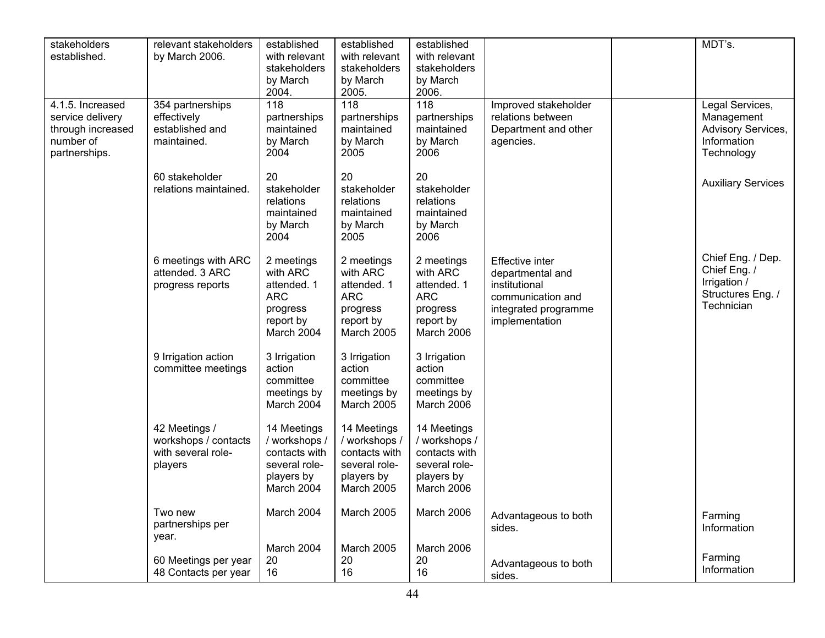| stakeholders<br>established.                                                            | relevant stakeholders<br>by March 2006.                                | established<br>with relevant<br>stakeholders<br>by March<br>2004.                          | established<br>with relevant<br>stakeholders<br>by March<br>2005.                          | established<br>with relevant<br>stakeholders<br>by March<br>2006.                          |                                                                                                                            | MDT's.                                                                               |
|-----------------------------------------------------------------------------------------|------------------------------------------------------------------------|--------------------------------------------------------------------------------------------|--------------------------------------------------------------------------------------------|--------------------------------------------------------------------------------------------|----------------------------------------------------------------------------------------------------------------------------|--------------------------------------------------------------------------------------|
| 4.1.5. Increased<br>service delivery<br>through increased<br>number of<br>partnerships. | 354 partnerships<br>effectively<br>established and<br>maintained.      | 118<br>partnerships<br>maintained<br>by March<br>2004                                      | 118<br>partnerships<br>maintained<br>by March<br>2005                                      | $\overline{118}$<br>partnerships<br>maintained<br>by March<br>2006                         | Improved stakeholder<br>relations between<br>Department and other<br>agencies.                                             | Legal Services,<br>Management<br>Advisory Services,<br>Information<br>Technology     |
|                                                                                         | 60 stakeholder<br>relations maintained.                                | 20<br>stakeholder<br>relations<br>maintained<br>by March<br>2004                           | 20<br>stakeholder<br>relations<br>maintained<br>by March<br>2005                           | 20<br>stakeholder<br>relations<br>maintained<br>by March<br>2006                           |                                                                                                                            | <b>Auxiliary Services</b>                                                            |
|                                                                                         | 6 meetings with ARC<br>attended. 3 ARC<br>progress reports             | 2 meetings<br>with ARC<br>attended. 1<br><b>ARC</b><br>progress<br>report by<br>March 2004 | 2 meetings<br>with ARC<br>attended. 1<br><b>ARC</b><br>progress<br>report by<br>March 2005 | 2 meetings<br>with ARC<br>attended. 1<br><b>ARC</b><br>progress<br>report by<br>March 2006 | <b>Effective inter</b><br>departmental and<br>institutional<br>communication and<br>integrated programme<br>implementation | Chief Eng. / Dep.<br>Chief Eng. /<br>Irrigation /<br>Structures Eng. /<br>Technician |
|                                                                                         | 9 Irrigation action<br>committee meetings                              | 3 Irrigation<br>action<br>committee<br>meetings by<br>March 2004                           | 3 Irrigation<br>action<br>committee<br>meetings by<br>March 2005                           | 3 Irrigation<br>action<br>committee<br>meetings by<br>March 2006                           |                                                                                                                            |                                                                                      |
|                                                                                         | 42 Meetings /<br>workshops / contacts<br>with several role-<br>players | 14 Meetings<br>/ workshops /<br>contacts with<br>several role-<br>players by<br>March 2004 | 14 Meetings<br>/ workshops /<br>contacts with<br>several role-<br>players by<br>March 2005 | 14 Meetings<br>/ workshops /<br>contacts with<br>several role-<br>players by<br>March 2006 |                                                                                                                            |                                                                                      |
|                                                                                         | Two new<br>partnerships per<br>year.                                   | March 2004                                                                                 | March 2005                                                                                 | March 2006                                                                                 | Advantageous to both<br>sides.                                                                                             | Farming<br>Information                                                               |
|                                                                                         | 60 Meetings per year<br>48 Contacts per year                           | March 2004<br>20<br>16                                                                     | March 2005<br>20<br>16                                                                     | March 2006<br>20<br>16                                                                     | Advantageous to both<br>sides.                                                                                             | Farming<br>Information                                                               |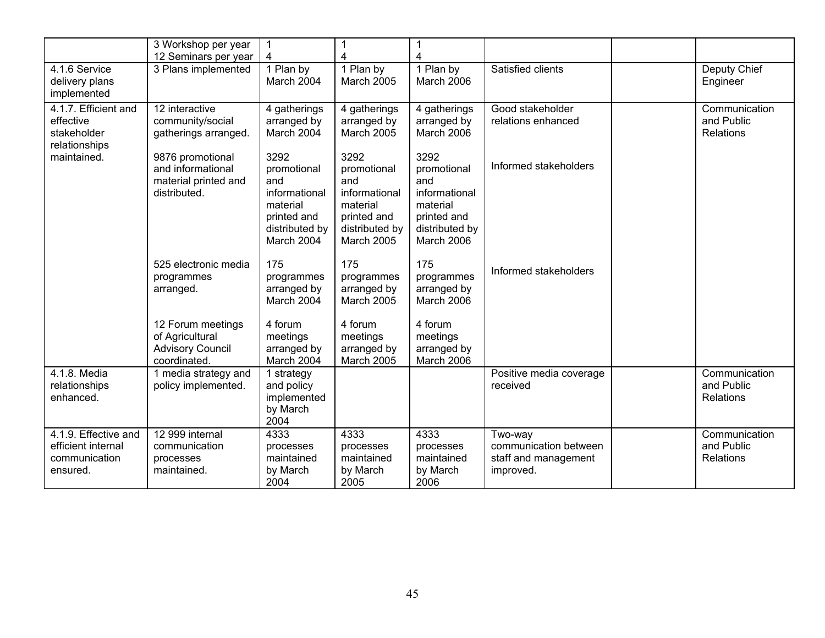|                                                                         | 3 Workshop per year<br>12 Seminars per year                                     | $\mathbf{1}$<br>4                                                                                      | 4                                                                                                      | 1<br>4                                                                                                 |                                                                       |                                                 |
|-------------------------------------------------------------------------|---------------------------------------------------------------------------------|--------------------------------------------------------------------------------------------------------|--------------------------------------------------------------------------------------------------------|--------------------------------------------------------------------------------------------------------|-----------------------------------------------------------------------|-------------------------------------------------|
| 4.1.6 Service<br>delivery plans<br>implemented                          | 3 Plans implemented                                                             | 1 Plan by<br>March 2004                                                                                | 1 Plan by<br><b>March 2005</b>                                                                         | 1 Plan by<br>March 2006                                                                                | Satisfied clients                                                     | Deputy Chief<br>Engineer                        |
| 4.1.7. Efficient and<br>effective<br>stakeholder<br>relationships       | 12 interactive<br>community/social<br>gatherings arranged.                      | 4 gatherings<br>arranged by<br>March 2004                                                              | 4 gatherings<br>arranged by<br><b>March 2005</b>                                                       | 4 gatherings<br>arranged by<br>March 2006                                                              | Good stakeholder<br>relations enhanced                                | Communication<br>and Public<br>Relations        |
| maintained.                                                             | 9876 promotional<br>and informational<br>material printed and<br>distributed.   | 3292<br>promotional<br>and<br>informational<br>material<br>printed and<br>distributed by<br>March 2004 | 3292<br>promotional<br>and<br>informational<br>material<br>printed and<br>distributed by<br>March 2005 | 3292<br>promotional<br>and<br>informational<br>material<br>printed and<br>distributed by<br>March 2006 | Informed stakeholders                                                 |                                                 |
|                                                                         | 525 electronic media<br>programmes<br>arranged.                                 | 175<br>programmes<br>arranged by<br>March 2004                                                         | 175<br>programmes<br>arranged by<br>March 2005                                                         | 175<br>programmes<br>arranged by<br>March 2006                                                         | Informed stakeholders                                                 |                                                 |
|                                                                         | 12 Forum meetings<br>of Agricultural<br><b>Advisory Council</b><br>coordinated. | 4 forum<br>meetings<br>arranged by<br>March 2004                                                       | 4 forum<br>meetings<br>arranged by<br>March 2005                                                       | 4 forum<br>meetings<br>arranged by<br>March 2006                                                       |                                                                       |                                                 |
| 4.1.8. Media<br>relationships<br>enhanced.                              | 1 media strategy and<br>policy implemented.                                     | 1 strategy<br>and policy<br>implemented<br>by March<br>2004                                            |                                                                                                        |                                                                                                        | Positive media coverage<br>received                                   | Communication<br>and Public<br>Relations        |
| 4.1.9. Effective and<br>efficient internal<br>communication<br>ensured. | 12 999 internal<br>communication<br>processes<br>maintained.                    | 4333<br>processes<br>maintained<br>by March<br>2004                                                    | 4333<br>processes<br>maintained<br>by March<br>2005                                                    | 4333<br>processes<br>maintained<br>by March<br>2006                                                    | Two-way<br>communication between<br>staff and management<br>improved. | Communication<br>and Public<br><b>Relations</b> |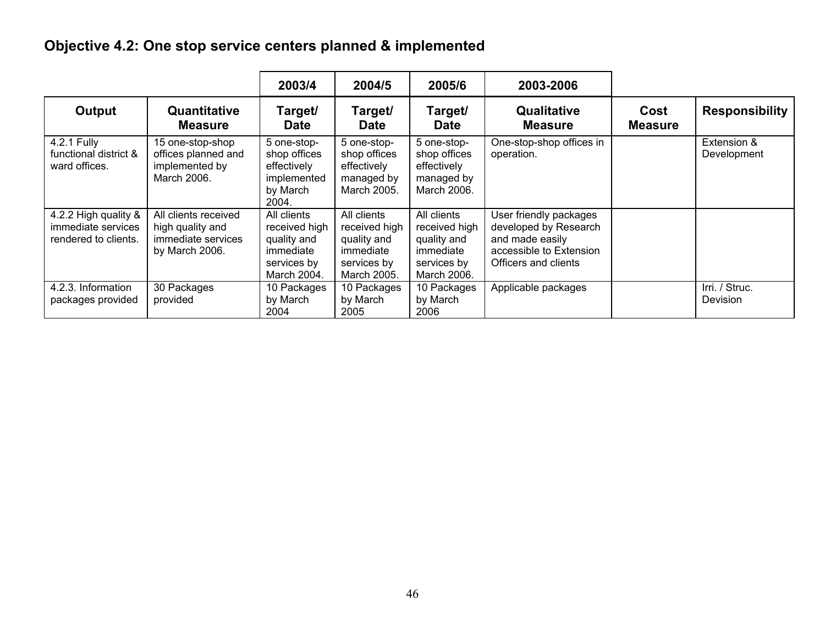# **Objective 4.2: One stop service centers planned & implemented**

|                                                                    |                                                                                  | 2003/4                                                                                 | 2004/5                                                                                 | 2005/6                                                                                 | 2003-2006                                                                                                             |                        |                            |
|--------------------------------------------------------------------|----------------------------------------------------------------------------------|----------------------------------------------------------------------------------------|----------------------------------------------------------------------------------------|----------------------------------------------------------------------------------------|-----------------------------------------------------------------------------------------------------------------------|------------------------|----------------------------|
| Output                                                             | Quantitative<br><b>Measure</b>                                                   | Target/<br><b>Date</b>                                                                 | Target/<br><b>Date</b>                                                                 | Target/<br><b>Date</b>                                                                 | Qualitative<br><b>Measure</b>                                                                                         | Cost<br><b>Measure</b> | <b>Responsibility</b>      |
| 4.2.1 Fully<br>functional district &<br>ward offices.              | 15 one-stop-shop<br>offices planned and<br>implemented by<br>March 2006.         | 5 one-stop-<br>shop offices<br>effectively<br>implemented<br>by March<br>2004.         | 5 one-stop-<br>shop offices<br>effectively<br>managed by<br>March 2005.                | 5 one-stop-<br>shop offices<br>effectively<br>managed by<br>March 2006.                | One-stop-shop offices in<br>operation.                                                                                |                        | Extension &<br>Development |
| 4.2.2 High quality &<br>immediate services<br>rendered to clients. | All clients received<br>high quality and<br>immediate services<br>by March 2006. | All clients<br>received high<br>quality and<br>immediate<br>services by<br>March 2004. | All clients<br>received high<br>quality and<br>immediate<br>services by<br>March 2005. | All clients<br>received high<br>quality and<br>immediate<br>services by<br>March 2006. | User friendly packages<br>developed by Research<br>and made easily<br>accessible to Extension<br>Officers and clients |                        |                            |
| 4.2.3. Information<br>packages provided                            | 30 Packages<br>provided                                                          | 10 Packages<br>by March<br>2004                                                        | 10 Packages<br>by March<br>2005                                                        | 10 Packages<br>by March<br>2006                                                        | Applicable packages                                                                                                   |                        | Irri. / Struc.<br>Devision |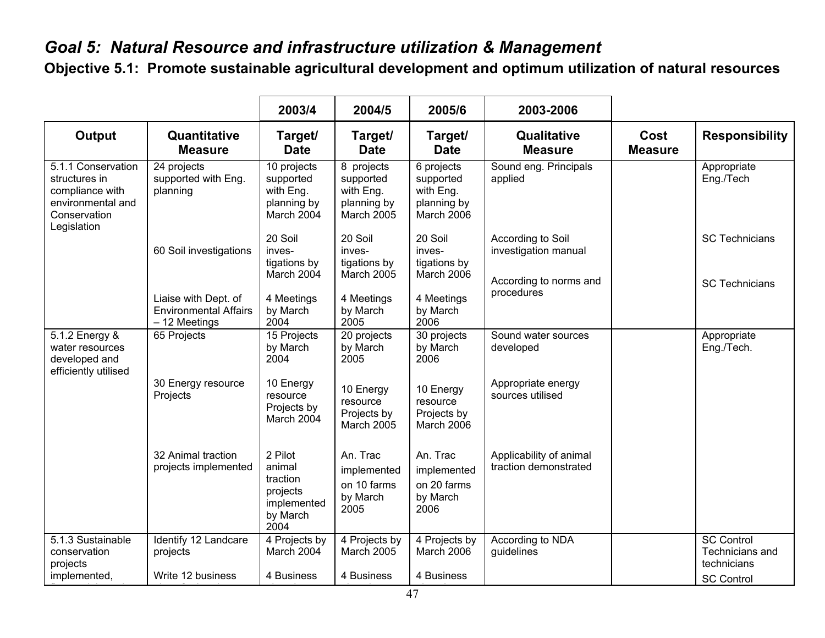# *Goal 5: Natural Resource and infrastructure utilization & Management*

**Objective 5.1: Promote sustainable agricultural development and optimum utilization of natural resources**

|                                                                                                            |                                                                       | 2003/4                                                                       | 2004/5                                                                         | 2005/6                                                            | 2003-2006                                                           |                               |                                                                          |
|------------------------------------------------------------------------------------------------------------|-----------------------------------------------------------------------|------------------------------------------------------------------------------|--------------------------------------------------------------------------------|-------------------------------------------------------------------|---------------------------------------------------------------------|-------------------------------|--------------------------------------------------------------------------|
| <b>Output</b>                                                                                              | Quantitative<br><b>Measure</b>                                        | Target/<br><b>Date</b>                                                       | Target/<br><b>Date</b>                                                         | Target/<br><b>Date</b>                                            | Qualitative<br><b>Measure</b>                                       | <b>Cost</b><br><b>Measure</b> | <b>Responsibility</b>                                                    |
| 5.1.1 Conservation<br>structures in<br>compliance with<br>environmental and<br>Conservation<br>Legislation | 24 projects<br>supported with Eng.<br>planning                        | 10 projects<br>supported<br>with Eng.<br>planning by<br>March 2004           | $\overline{8}$ projects<br>supported<br>with Eng.<br>planning by<br>March 2005 | 6 projects<br>supported<br>with Eng.<br>planning by<br>March 2006 | Sound eng. Principals<br>applied                                    |                               | Appropriate<br>Eng./Tech                                                 |
|                                                                                                            | 60 Soil investigations                                                | 20 Soil<br>inves-<br>tigations by<br>March 2004                              | 20 Soil<br>inves-<br>tigations by<br><b>March 2005</b>                         | 20 Soil<br>inves-<br>tigations by<br>March 2006                   | According to Soil<br>investigation manual<br>According to norms and |                               | <b>SC Technicians</b><br><b>SC Technicians</b>                           |
|                                                                                                            | Liaise with Dept. of<br><b>Environmental Affairs</b><br>- 12 Meetings | 4 Meetings<br>by March<br>2004                                               | 4 Meetings<br>by March<br>2005                                                 | 4 Meetings<br>by March<br>2006                                    | procedures                                                          |                               |                                                                          |
| 5.1.2 Energy &<br>water resources<br>developed and<br>efficiently utilised                                 | 65 Projects                                                           | 15 Projects<br>by March<br>2004                                              | 20 projects<br>by March<br>2005                                                | 30 projects<br>by March<br>2006                                   | Sound water sources<br>developed                                    |                               | Appropriate<br>Eng./Tech.                                                |
|                                                                                                            | 30 Energy resource<br>Projects                                        | 10 Energy<br>resource<br>Projects by<br>March 2004                           | 10 Energy<br>resource<br>Projects by<br><b>March 2005</b>                      | 10 Energy<br>resource<br>Projects by<br>March 2006                | Appropriate energy<br>sources utilised                              |                               |                                                                          |
|                                                                                                            | 32 Animal traction<br>projects implemented                            | 2 Pilot<br>animal<br>traction<br>projects<br>implemented<br>by March<br>2004 | An. Trac<br>implemented<br>on 10 farms<br>by March<br>2005                     | An. Trac<br>implemented<br>on 20 farms<br>by March<br>2006        | Applicability of animal<br>traction demonstrated                    |                               |                                                                          |
| 5.1.3 Sustainable<br>conservation<br>projects<br>implemented,                                              | Identify 12 Landcare<br>projects<br>Write 12 business                 | 4 Projects by<br>March 2004<br>4 Business                                    | 4 Projects by<br><b>March 2005</b><br>4 Business                               | 4 Projects by<br>March 2006<br>4 Business                         | According to NDA<br>guidelines                                      |                               | <b>SC Control</b><br>Technicians and<br>technicians<br><b>SC Control</b> |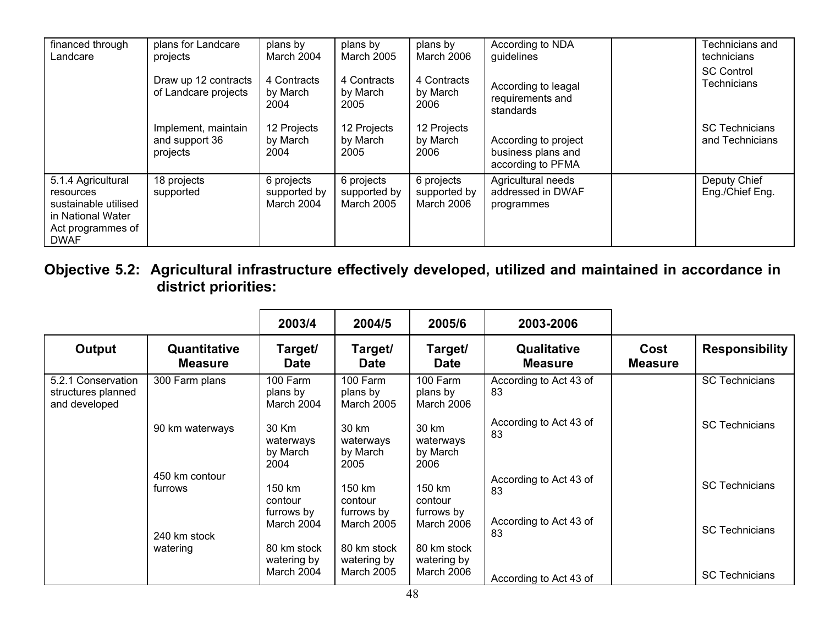| financed through<br>Landcare                                                                                     | plans for Landcare<br>projects                    | plans by<br>March 2004                   | plans by<br><b>March 2005</b>                   | plans by<br>March 2006                   | According to NDA<br>guidelines                                  | Technicians and<br>technicians           |
|------------------------------------------------------------------------------------------------------------------|---------------------------------------------------|------------------------------------------|-------------------------------------------------|------------------------------------------|-----------------------------------------------------------------|------------------------------------------|
|                                                                                                                  | Draw up 12 contracts<br>of Landcare projects      | 4 Contracts<br>by March<br>2004          | 4 Contracts<br>by March<br>2005                 | 4 Contracts<br>by March<br>2006          | According to leagal<br>requirements and<br>standards            | <b>SC Control</b><br>Technicians         |
|                                                                                                                  | Implement, maintain<br>and support 36<br>projects | 12 Projects<br>by March<br>2004          | 12 Projects<br>by March<br>2005                 | 12 Projects<br>by March<br>2006          | According to project<br>business plans and<br>according to PFMA | <b>SC Technicians</b><br>and Technicians |
| 5.1.4 Agricultural<br>resources<br>sustainable utilised<br>in National Water<br>Act programmes of<br><b>DWAF</b> | 18 projects<br>supported                          | 6 projects<br>supported by<br>March 2004 | 6 projects<br>supported by<br><b>March 2005</b> | 6 projects<br>supported by<br>March 2006 | Agricultural needs<br>addressed in DWAF<br>programmes           | Deputy Chief<br>Eng./Chief Eng.          |

**Objective 5.2: Agricultural infrastructure effectively developed, utilized and maintained in accordance in district priorities:** 

|                                                           |                                | 2003/4                                   | 2004/5                                          | 2005/6                                   | 2003-2006                            |                        |                       |
|-----------------------------------------------------------|--------------------------------|------------------------------------------|-------------------------------------------------|------------------------------------------|--------------------------------------|------------------------|-----------------------|
| Output                                                    | Quantitative<br><b>Measure</b> | Target/<br><b>Date</b>                   | Target/<br><b>Date</b>                          | Target/<br><b>Date</b>                   | <b>Qualitative</b><br><b>Measure</b> | Cost<br><b>Measure</b> | <b>Responsibility</b> |
| 5.2.1 Conservation<br>structures planned<br>and developed | 300 Farm plans                 | 100 Farm<br>plans by<br>March 2004       | 100 Farm<br>plans by<br>March 2005              | 100 Farm<br>plans by<br>March 2006       | According to Act 43 of<br>83         |                        | <b>SC Technicians</b> |
|                                                           | 90 km waterways                | 30 Km<br>waterways<br>by March<br>2004   | 30 km<br>waterways<br>by March<br>2005          | 30 km<br>waterways<br>by March<br>2006   | According to Act 43 of<br>83         |                        | <b>SC Technicians</b> |
|                                                           | 450 km contour<br>furrows      | 150 km<br>contour<br>furrows by          | 150 km<br>contour<br>furrows by                 | 150 km<br>contour<br>furrows by          | According to Act 43 of<br>83         |                        | <b>SC Technicians</b> |
|                                                           | 240 km stock                   | March 2004                               | March 2005                                      | March 2006                               | According to Act 43 of<br>83         |                        | <b>SC Technicians</b> |
|                                                           | watering                       | 80 km stock<br>watering by<br>March 2004 | 80 km stock<br>watering by<br><b>March 2005</b> | 80 km stock<br>watering by<br>March 2006 | According to Act 43 of               |                        | <b>SC Technicians</b> |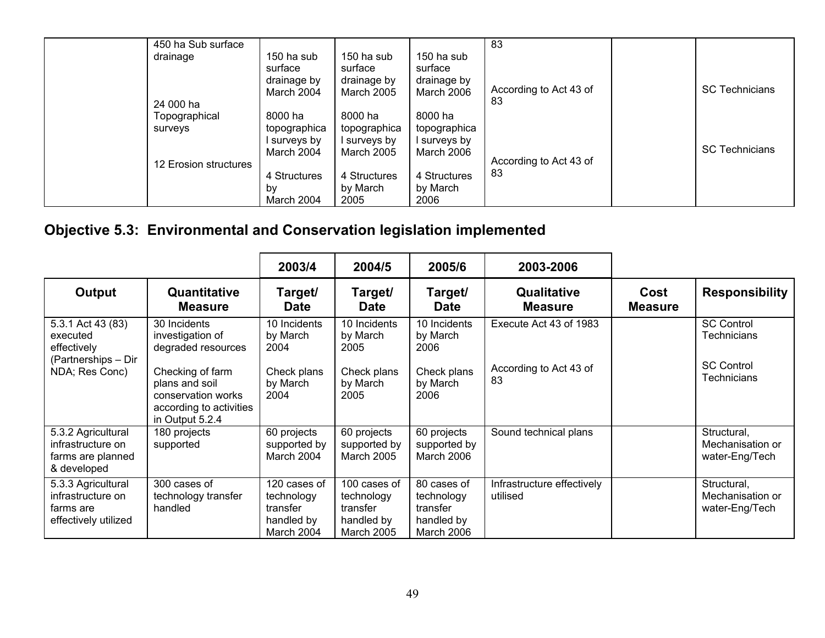| 450 ha Sub surface       |                                                    |                                                           |                                                    | 83                           |                       |
|--------------------------|----------------------------------------------------|-----------------------------------------------------------|----------------------------------------------------|------------------------------|-----------------------|
| drainage                 | 150 ha sub<br>surface<br>drainage by<br>March 2004 | 150 ha sub<br>surface<br>drainage by<br><b>March 2005</b> | 150 ha sub<br>surface<br>drainage by<br>March 2006 | According to Act 43 of       | <b>SC Technicians</b> |
| 24 000 ha                |                                                    |                                                           |                                                    | 83                           |                       |
| Topographical<br>surveys | 8000 ha<br>topographica                            | 8000 ha<br>topographica                                   | 8000 ha<br>topographica                            |                              |                       |
|                          | surveys by<br>March 2004                           | l surveys by<br><b>March 2005</b>                         | l surveys by<br>March 2006                         |                              | <b>SC Technicians</b> |
| 12 Erosion structures    |                                                    |                                                           |                                                    | According to Act 43 of<br>83 |                       |
|                          | 4 Structures<br>bv<br>March 2004                   | 4 Structures<br>by March<br>2005                          | 4 Structures<br>by March<br>2006                   |                              |                       |

# **Objective 5.3: Environmental and Conservation legislation implemented**

|                                                                                       |                                                                                                                                                                  | 2003/4                                                              | 2004/5                                                                    | 2005/6                                                                   | 2003-2006                                              |                        |                                                                                    |
|---------------------------------------------------------------------------------------|------------------------------------------------------------------------------------------------------------------------------------------------------------------|---------------------------------------------------------------------|---------------------------------------------------------------------------|--------------------------------------------------------------------------|--------------------------------------------------------|------------------------|------------------------------------------------------------------------------------|
| Output                                                                                | Quantitative<br><b>Measure</b>                                                                                                                                   | Target/<br><b>Date</b>                                              | Target/<br><b>Date</b>                                                    | Target/<br><b>Date</b>                                                   | Qualitative<br><b>Measure</b>                          | Cost<br><b>Measure</b> | <b>Responsibility</b>                                                              |
| 5.3.1 Act 43 (83)<br>executed<br>effectively<br>(Partnerships – Dir<br>NDA; Res Conc) | 30 Incidents<br>investigation of<br>degraded resources<br>Checking of farm<br>plans and soil<br>conservation works<br>according to activities<br>in Output 5.2.4 | 10 Incidents<br>by March<br>2004<br>Check plans<br>by March<br>2004 | 10 Incidents<br>by March<br>2005<br>Check plans<br>by March<br>2005       | 10 Incidents<br>by March<br>2006<br>Check plans<br>by March<br>2006      | Execute Act 43 of 1983<br>According to Act 43 of<br>83 |                        | <b>SC Control</b><br><b>Technicians</b><br><b>SC Control</b><br><b>Technicians</b> |
| 5.3.2 Agricultural<br>infrastructure on<br>farms are planned<br>& developed           | 180 projects<br>supported                                                                                                                                        | 60 projects<br>supported by<br>March 2004                           | 60 projects<br>supported by<br><b>March 2005</b>                          | 60 projects<br>supported by<br>March 2006                                | Sound technical plans                                  |                        | Structural,<br>Mechanisation or<br>water-Eng/Tech                                  |
| 5.3.3 Agricultural<br>infrastructure on<br>farms are<br>effectively utilized          | 300 cases of<br>technology transfer<br>handled                                                                                                                   | 120 cases of<br>technology<br>transfer<br>handled by<br>March 2004  | 100 cases of<br>technology<br>transfer<br>handled by<br><b>March 2005</b> | 80 cases of<br>technology<br>transfer<br>handled by<br><b>March 2006</b> | Infrastructure effectively<br>utilised                 |                        | Structural,<br>Mechanisation or<br>water-Eng/Tech                                  |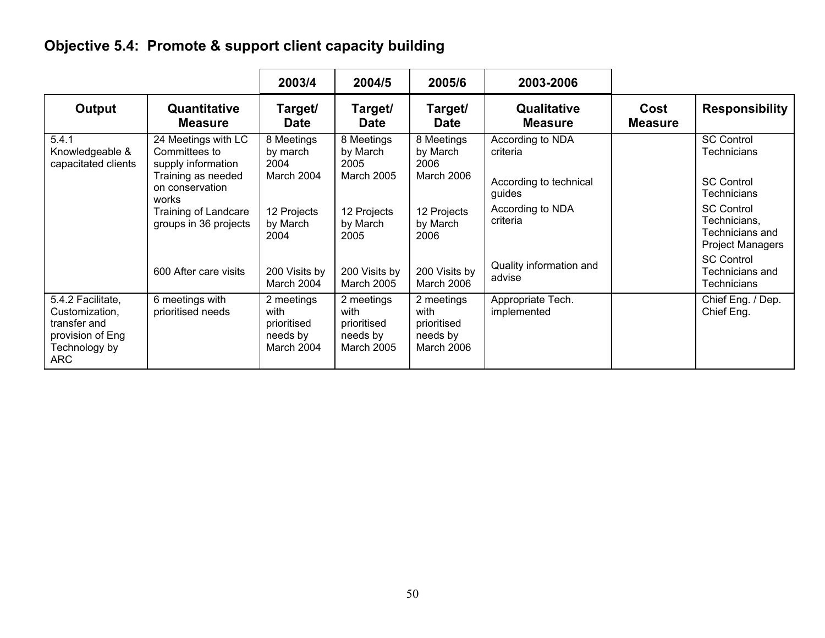# **Objective 5.4: Promote & support client capacity building**

|                                                                                                        |                                                                                                                                      | 2003/4                                                      | 2004/5                                                             | 2005/6                                                      | 2003-2006                                                                            |                        |                                                                                                                   |
|--------------------------------------------------------------------------------------------------------|--------------------------------------------------------------------------------------------------------------------------------------|-------------------------------------------------------------|--------------------------------------------------------------------|-------------------------------------------------------------|--------------------------------------------------------------------------------------|------------------------|-------------------------------------------------------------------------------------------------------------------|
| Output                                                                                                 | Quantitative<br><b>Measure</b>                                                                                                       | Target/<br><b>Date</b>                                      | Target/<br><b>Date</b>                                             | Target/<br><b>Date</b>                                      | Qualitative<br><b>Measure</b>                                                        | Cost<br><b>Measure</b> | <b>Responsibility</b>                                                                                             |
| 5.4.1<br>Knowledgeable &<br>capacitated clients                                                        | 24 Meetings with LC<br>Committees to<br>supply information<br>Training as needed<br>on conservation<br>works<br>Training of Landcare | 8 Meetings<br>by march<br>2004<br>March 2004<br>12 Projects | 8 Meetings<br>by March<br>2005<br><b>March 2005</b><br>12 Projects | 8 Meetings<br>by March<br>2006<br>March 2006<br>12 Projects | According to NDA<br>criteria<br>According to technical<br>guides<br>According to NDA |                        | <b>SC Control</b><br>Technicians<br><b>SC Control</b><br><b>Technicians</b><br><b>SC Control</b>                  |
|                                                                                                        | groups in 36 projects<br>600 After care visits                                                                                       | by March<br>2004<br>200 Visits by<br>March 2004             | by March<br>2005<br>200 Visits by<br><b>March 2005</b>             | by March<br>2006<br>200 Visits by<br>March 2006             | criteria<br>Quality information and<br>advise                                        |                        | Technicians,<br>Technicians and<br><b>Project Managers</b><br><b>SC Control</b><br>Technicians and<br>Technicians |
| 5.4.2 Facilitate,<br>Customization,<br>transfer and<br>provision of Eng<br>Technology by<br><b>ARC</b> | 6 meetings with<br>prioritised needs                                                                                                 | 2 meetings<br>with<br>prioritised<br>needs by<br>March 2004 | 2 meetings<br>with<br>prioritised<br>needs by<br><b>March 2005</b> | 2 meetings<br>with<br>prioritised<br>needs by<br>March 2006 | Appropriate Tech.<br>implemented                                                     |                        | Chief Eng. / Dep.<br>Chief Eng.                                                                                   |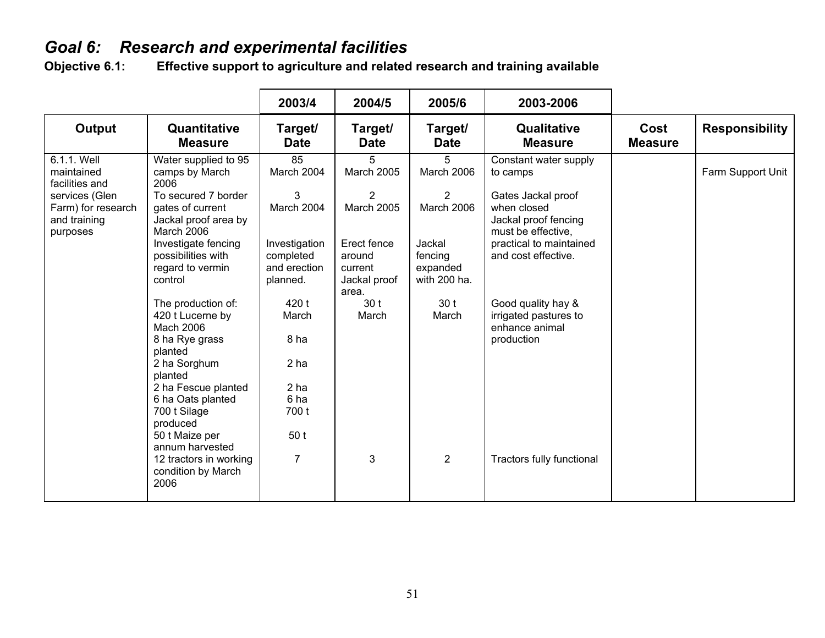# *Goal 6: Research and experimental facilities*

Effective support to agriculture and related research and training available

|                                                                                                                 |                                                                                                                                                                                                                                                                                  | 2003/4                                                                                                 | 2004/5                                                                                               | 2005/6                                                                              | 2003-2006                                                                                                                                                              |                        |                       |
|-----------------------------------------------------------------------------------------------------------------|----------------------------------------------------------------------------------------------------------------------------------------------------------------------------------------------------------------------------------------------------------------------------------|--------------------------------------------------------------------------------------------------------|------------------------------------------------------------------------------------------------------|-------------------------------------------------------------------------------------|------------------------------------------------------------------------------------------------------------------------------------------------------------------------|------------------------|-----------------------|
| Output                                                                                                          | Quantitative<br><b>Measure</b>                                                                                                                                                                                                                                                   | Target/<br><b>Date</b>                                                                                 | Target/<br><b>Date</b>                                                                               | Target/<br><b>Date</b>                                                              | Qualitative<br><b>Measure</b>                                                                                                                                          | Cost<br><b>Measure</b> | <b>Responsibility</b> |
| 6.1.1. Well<br>maintained<br>facilities and<br>services (Glen<br>Farm) for research<br>and training<br>purposes | Water supplied to 95<br>camps by March<br>2006<br>To secured 7 border<br>gates of current<br>Jackal proof area by<br>March 2006<br>Investigate fencing<br>possibilities with<br>regard to vermin<br>control                                                                      | 85<br>March 2004<br>3<br>March 2004<br>Investigation<br>completed<br>and erection<br>planned.          | 5<br><b>March 2005</b><br>2<br><b>March 2005</b><br>Erect fence<br>around<br>current<br>Jackal proof | 5<br>March 2006<br>2<br>March 2006<br>Jackal<br>fencing<br>expanded<br>with 200 ha. | Constant water supply<br>to camps<br>Gates Jackal proof<br>when closed<br>Jackal proof fencing<br>must be effective,<br>practical to maintained<br>and cost effective. |                        | Farm Support Unit     |
|                                                                                                                 | The production of:<br>420 t Lucerne by<br>Mach 2006<br>8 ha Rye grass<br>planted<br>2 ha Sorghum<br>planted<br>2 ha Fescue planted<br>6 ha Oats planted<br>700 t Silage<br>produced<br>50 t Maize per<br>annum harvested<br>12 tractors in working<br>condition by March<br>2006 | 420 t<br>March<br>8 ha<br>2 <sub>ha</sub><br>2 <sub>ha</sub><br>6 ha<br>700 t<br>50t<br>$\overline{7}$ | area.<br>30t<br>March<br>3                                                                           | 30 <sub>t</sub><br>March<br>$\overline{2}$                                          | Good quality hay &<br>irrigated pastures to<br>enhance animal<br>production<br>Tractors fully functional                                                               |                        |                       |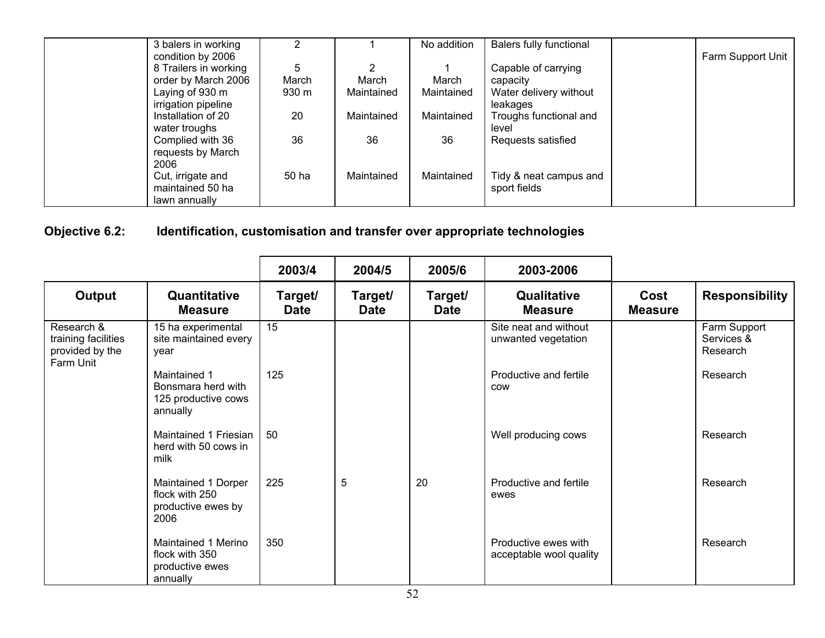| 3 balers in working   |       |            | No addition | Balers fully functional |                   |
|-----------------------|-------|------------|-------------|-------------------------|-------------------|
| condition by 2006     |       |            |             |                         | Farm Support Unit |
| 8 Trailers in working | 5     | 2          |             | Capable of carrying     |                   |
| order by March 2006   | March | March      | March       | capacity                |                   |
| Laying of 930 m       | 930 m | Maintained | Maintained  | Water delivery without  |                   |
| irrigation pipeline   |       |            |             | leakages                |                   |
| Installation of 20    | 20    | Maintained | Maintained  | Troughs functional and  |                   |
| water troughs         |       |            |             | level                   |                   |
| Complied with 36      | 36    | 36         | 36          | Requests satisfied      |                   |
| requests by March     |       |            |             |                         |                   |
| 2006                  |       |            |             |                         |                   |
| Cut, irrigate and     | 50 ha | Maintained | Maintained  | Tidy & neat campus and  |                   |
| maintained 50 ha      |       |            |             | sport fields            |                   |
| lawn annually         |       |            |             |                         |                   |

#### **Objective 6.2: Identification, customisation and transfer over appropriate technologies**

|                                                                   |                                                                       | 2003/4                 | 2004/5                 | 2005/6                 | 2003-2006                                       |                        |                                        |
|-------------------------------------------------------------------|-----------------------------------------------------------------------|------------------------|------------------------|------------------------|-------------------------------------------------|------------------------|----------------------------------------|
| Output                                                            | Quantitative<br><b>Measure</b>                                        | Target/<br><b>Date</b> | Target/<br><b>Date</b> | Target/<br><b>Date</b> | Qualitative<br><b>Measure</b>                   | Cost<br><b>Measure</b> | <b>Responsibility</b>                  |
| Research &<br>training facilities<br>provided by the<br>Farm Unit | 15 ha experimental<br>site maintained every<br>vear                   | 15                     |                        |                        | Site neat and without<br>unwanted vegetation    |                        | Farm Support<br>Services &<br>Research |
|                                                                   | Maintained 1<br>Bonsmara herd with<br>125 productive cows<br>annually | 125                    |                        |                        | Productive and fertile<br>COW                   |                        | Research                               |
|                                                                   | Maintained 1 Friesian<br>herd with 50 cows in<br>milk                 | 50                     |                        |                        | Well producing cows                             |                        | Research                               |
|                                                                   | Maintained 1 Dorper<br>flock with 250<br>productive ewes by<br>2006   | 225                    | 5                      | 20                     | Productive and fertile<br>ewes                  |                        | Research                               |
|                                                                   | Maintained 1 Merino<br>flock with 350<br>productive ewes<br>annually  | 350                    |                        |                        | Productive ewes with<br>acceptable wool quality |                        | Research                               |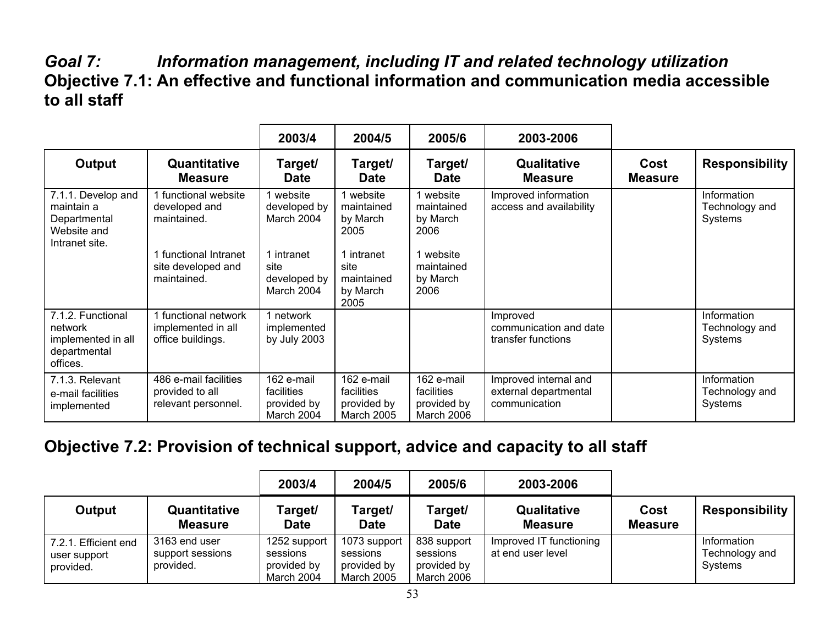## *Goal 7: Information management, including IT and related technology utilization*  **Objective 7.1: An effective and functional information and communication media accessible to all staff**

|                                                                                   |                                                                 | 2003/4                                                | 2004/5                                                | 2005/6                                                | 2003-2006                                                       |                        |                                          |
|-----------------------------------------------------------------------------------|-----------------------------------------------------------------|-------------------------------------------------------|-------------------------------------------------------|-------------------------------------------------------|-----------------------------------------------------------------|------------------------|------------------------------------------|
| Output                                                                            | Quantitative<br><b>Measure</b>                                  | Target/<br><b>Date</b>                                | Target/<br><b>Date</b>                                | Target/<br><b>Date</b>                                | <b>Qualitative</b><br><b>Measure</b>                            | Cost<br><b>Measure</b> | <b>Responsibility</b>                    |
| 7.1.1. Develop and<br>maintain a<br>Departmental<br>Website and<br>Intranet site. | 1 functional website<br>developed and<br>maintained.            | website<br>developed by<br>March 2004                 | website<br>maintained<br>by March<br>2005             | 1 website<br>maintained<br>by March<br>2006           | Improved information<br>access and availability                 |                        | Information<br>Technology and<br>Systems |
|                                                                                   | functional Intranet<br>site developed and<br>maintained.        | 1 intranet<br>site<br>developed by<br>March 2004      | 1 intranet<br>site<br>maintained<br>by March<br>2005  | 1 website<br>maintained<br>by March<br>2006           |                                                                 |                        |                                          |
| 7.1.2. Functional<br>network<br>implemented in all<br>departmental<br>offices.    | 1 functional network<br>implemented in all<br>office buildings. | 1 network<br>implemented<br>by July 2003              |                                                       |                                                       | Improved<br>communication and date<br>transfer functions        |                        | Information<br>Technology and<br>Systems |
| 7.1.3. Relevant<br>e-mail facilities<br>implemented                               | 486 e-mail facilities<br>provided to all<br>relevant personnel. | 162 e-mail<br>facilities<br>provided by<br>March 2004 | 162 e-mail<br>facilities<br>provided by<br>March 2005 | 162 e-mail<br>facilities<br>provided by<br>March 2006 | Improved internal and<br>external departmental<br>communication |                        | Information<br>Technology and<br>Systems |

#### **Objective 7.2: Provision of technical support, advice and capacity to all staff**

|                                                   |                                                | 2003/4                                                | 2004/5                                                       | 2005/6                                               | 2003-2006                                    |                        |                                          |
|---------------------------------------------------|------------------------------------------------|-------------------------------------------------------|--------------------------------------------------------------|------------------------------------------------------|----------------------------------------------|------------------------|------------------------------------------|
| Output                                            | Quantitative<br><b>Measure</b>                 | Target/<br><b>Date</b>                                | Target/<br><b>Date</b>                                       | Target/<br><b>Date</b>                               | Qualitative<br><b>Measure</b>                | Cost<br><b>Measure</b> | <b>Responsibility</b>                    |
| 7.2.1. Efficient end<br>user support<br>provided. | 3163 end user<br>support sessions<br>provided. | 1252 support<br>sessions<br>provided by<br>March 2004 | 1073 support<br>sessions<br>provided by<br><b>March 2005</b> | 838 support<br>sessions<br>provided by<br>March 2006 | Improved IT functioning<br>at end user level |                        | Information<br>Technology and<br>Systems |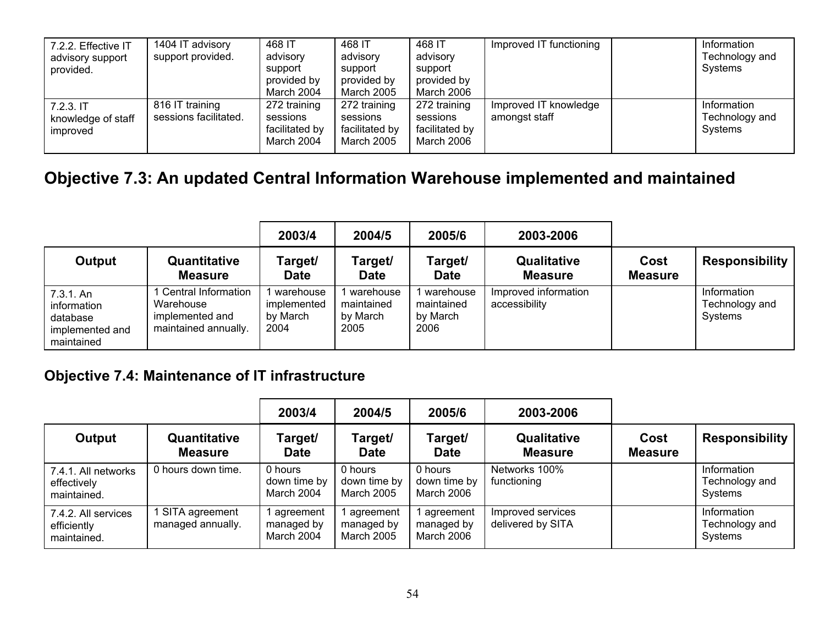| 7.2.2. Effective IT<br>advisory support<br>provided. | 1404 IT advisory<br>support provided.    | 468 IT<br>advisory<br>support<br>provided by<br>March 2004 | 468 IT<br>advisory<br>support<br>provided by<br>March 2005      | 468 IT<br>advisory<br>support<br>provided by<br>March 2006 | Improved IT functioning                | Information<br>Technology and<br>Systems |
|------------------------------------------------------|------------------------------------------|------------------------------------------------------------|-----------------------------------------------------------------|------------------------------------------------------------|----------------------------------------|------------------------------------------|
| 7.2.3.1T<br>knowledge of staff<br>improved           | 816 IT training<br>sessions facilitated. | 272 training<br>sessions<br>facilitated by<br>March 2004   | 272 training<br>sessions<br>facilitated by<br><b>March 2005</b> | 272 training<br>sessions<br>facilitated by<br>March 2006   | Improved IT knowledge<br>amongst staff | Information<br>Technology and<br>Systems |

# **Objective 7.3: An updated Central Information Warehouse implemented and maintained**

|                                                                       |                                                                             | 2003/4                                       | 2004/5                                      | 2005/6                                      | 2003-2006                             |                        |                                          |
|-----------------------------------------------------------------------|-----------------------------------------------------------------------------|----------------------------------------------|---------------------------------------------|---------------------------------------------|---------------------------------------|------------------------|------------------------------------------|
| Output                                                                | Quantitative<br><b>Measure</b>                                              | Target/<br><b>Date</b>                       | Target/<br><b>Date</b>                      | Target/<br><b>Date</b>                      | <b>Qualitative</b><br><b>Measure</b>  | Cost<br><b>Measure</b> | <b>Responsibility</b>                    |
| 7.3.1. An<br>information<br>database<br>implemented and<br>maintained | Central Information<br>Warehouse<br>implemented and<br>maintained annually. | warehouse<br>implemented<br>by March<br>2004 | warehouse<br>maintained<br>by March<br>2005 | warehouse<br>maintained<br>by March<br>2006 | Improved information<br>accessibility |                        | Information<br>Technology and<br>Systems |

#### **Objective 7.4: Maintenance of IT infrastructure**

|                                                   |                                     | 2003/4                                | 2004/5                                       | 2005/6                                | 2003-2006                              |                        |                                          |
|---------------------------------------------------|-------------------------------------|---------------------------------------|----------------------------------------------|---------------------------------------|----------------------------------------|------------------------|------------------------------------------|
| Output                                            | Quantitative<br><b>Measure</b>      | Target/<br><b>Date</b>                | Target/<br><b>Date</b>                       | Target/<br><b>Date</b>                | <b>Qualitative</b><br><b>Measure</b>   | Cost<br><b>Measure</b> | <b>Responsibility</b>                    |
| 7.4.1. All networks<br>effectively<br>maintained. | 0 hours down time.                  | 0 hours<br>down time by<br>March 2004 | 0 hours<br>down time by<br><b>March 2005</b> | 0 hours<br>down time by<br>March 2006 | Networks 100%<br>functioning           |                        | Information<br>Technology and<br>Systems |
| 7.4.2. All services<br>efficiently<br>maintained. | SITA agreement<br>managed annually. | agreement<br>managed by<br>March 2004 | agreement<br>managed by<br>March 2005        | agreement<br>managed by<br>March 2006 | Improved services<br>delivered by SITA |                        | Information<br>Technology and<br>Systems |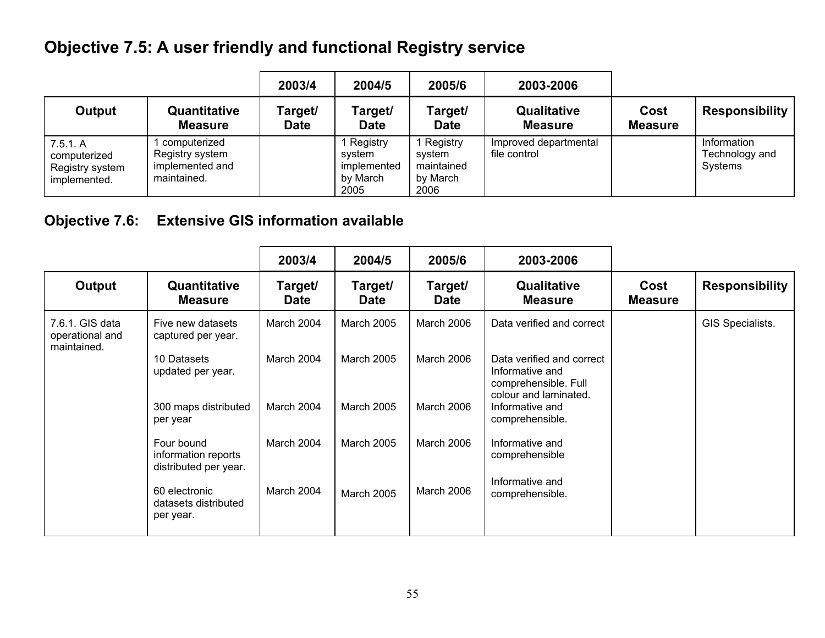# **Objective 7.5: A user friendly and functional Registry service**

|                                                             |                                                                   | 2003/4                 | 2004/5                                                | 2005/6                                               | 2003-2006                             |                        |                                          |
|-------------------------------------------------------------|-------------------------------------------------------------------|------------------------|-------------------------------------------------------|------------------------------------------------------|---------------------------------------|------------------------|------------------------------------------|
| Output                                                      | Quantitative<br>Measure                                           | Target/<br><b>Date</b> | Target/<br><b>Date</b>                                | Target/<br><b>Date</b>                               | <b>Qualitative</b><br><b>Measure</b>  | Cost<br><b>Measure</b> | <b>Responsibility</b>                    |
| 7.5.1. A<br>computerized<br>Registry system<br>implemented. | computerized<br>Registry system<br>implemented and<br>maintained. |                        | Registry<br>svstem<br>implemented<br>by March<br>2005 | Registry<br>svstem<br>maintained<br>by March<br>2006 | Improved departmental<br>file control |                        | Information<br>Technology and<br>Systems |

#### **Objective 7.6: Extensive GIS information available**

|                                                   |                                                            | 2003/4                 | 2004/5                 | 2005/6                 | 2003-2006                                                                                     |                        |                       |
|---------------------------------------------------|------------------------------------------------------------|------------------------|------------------------|------------------------|-----------------------------------------------------------------------------------------------|------------------------|-----------------------|
| Output                                            | Quantitative<br><b>Measure</b>                             | Target/<br><b>Date</b> | Target/<br><b>Date</b> | Target/<br><b>Date</b> | Qualitative<br><b>Measure</b>                                                                 | Cost<br><b>Measure</b> | <b>Responsibility</b> |
| 7.6.1. GIS data<br>operational and<br>maintained. | Five new datasets<br>captured per year.                    | March 2004             | <b>March 2005</b>      | March 2006             | Data verified and correct                                                                     |                        | GIS Specialists.      |
|                                                   | 10 Datasets<br>updated per year.                           | March 2004             | March 2005             | March 2006             | Data verified and correct<br>Informative and<br>comprehensible. Full<br>colour and laminated. |                        |                       |
|                                                   | 300 maps distributed<br>per year                           | March 2004             | <b>March 2005</b>      | March 2006             | Informative and<br>comprehensible.                                                            |                        |                       |
|                                                   | Four bound<br>information reports<br>distributed per year. | March 2004             | <b>March 2005</b>      | March 2006             | Informative and<br>comprehensible                                                             |                        |                       |
|                                                   | 60 electronic<br>datasets distributed<br>per year.         | March 2004             | <b>March 2005</b>      | March 2006             | Informative and<br>comprehensible.                                                            |                        |                       |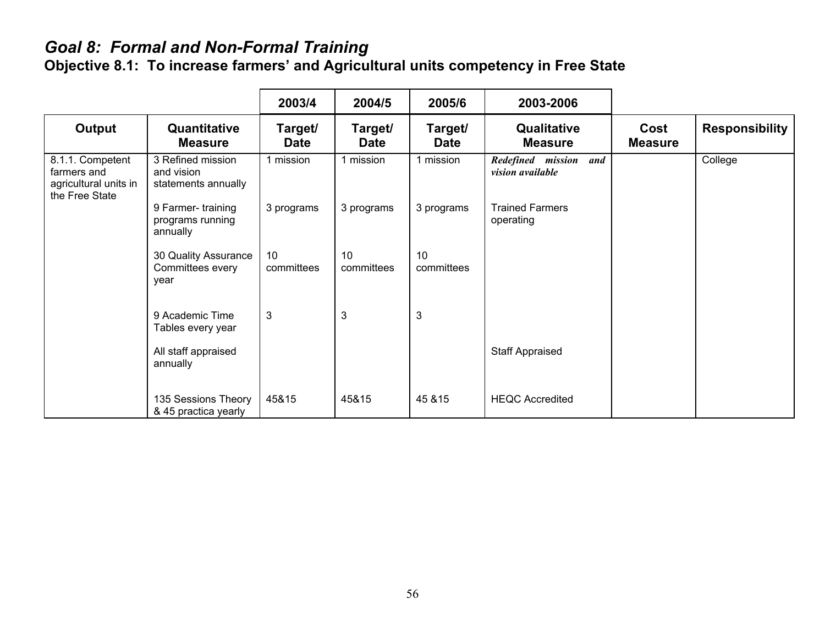# *Goal 8: Formal and Non-Formal Training*

**Objective 8.1: To increase farmers' and Agricultural units competency in Free State** 

|                                                                            |                                                        | 2003/4                 | 2004/5                 | 2005/6                 | 2003-2006                                 |                        |                       |
|----------------------------------------------------------------------------|--------------------------------------------------------|------------------------|------------------------|------------------------|-------------------------------------------|------------------------|-----------------------|
| <b>Output</b>                                                              | Quantitative<br><b>Measure</b>                         | Target/<br><b>Date</b> | Target/<br><b>Date</b> | Target/<br><b>Date</b> | Qualitative<br><b>Measure</b>             | Cost<br><b>Measure</b> | <b>Responsibility</b> |
| 8.1.1. Competent<br>farmers and<br>agricultural units in<br>the Free State | 3 Refined mission<br>and vision<br>statements annually | 1 mission              | 1 mission              | 1 mission              | Redefined mission and<br>vision available |                        | College               |
|                                                                            | 9 Farmer-training<br>programs running<br>annually      | 3 programs             | 3 programs             | 3 programs             | <b>Trained Farmers</b><br>operating       |                        |                       |
|                                                                            | 30 Quality Assurance<br>Committees every<br>year       | 10<br>committees       | 10<br>committees       | 10<br>committees       |                                           |                        |                       |
|                                                                            | 9 Academic Time<br>Tables every year                   | $\mathbf{3}$           | $\mathbf{3}$           | 3                      |                                           |                        |                       |
|                                                                            | All staff appraised<br>annually                        |                        |                        |                        | <b>Staff Appraised</b>                    |                        |                       |
|                                                                            | 135 Sessions Theory<br>& 45 practica yearly            | 45&15                  | 45&15                  | 45 & 15                | <b>HEQC Accredited</b>                    |                        |                       |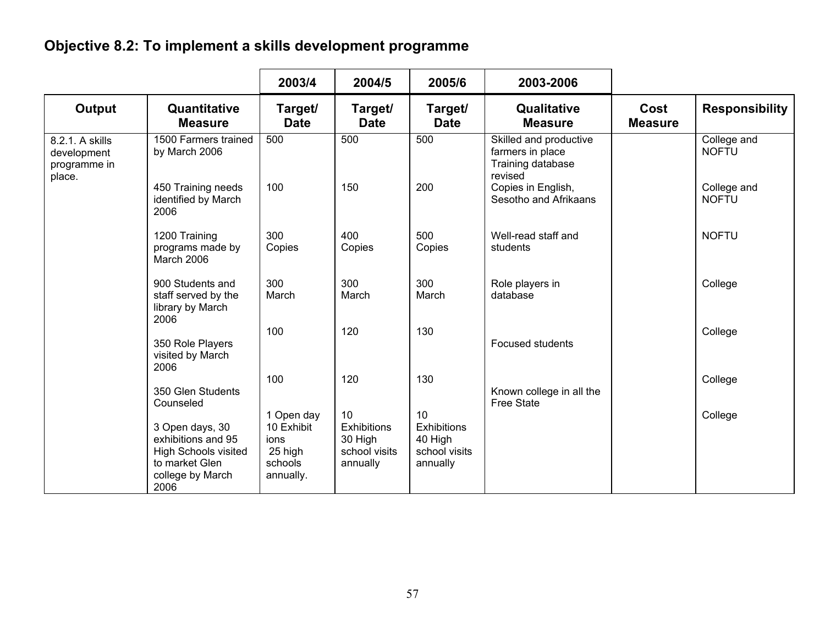# **Objective 8.2: To implement a skills development programme**

|                                                |                                                                                                             | 2003/4                                                              | 2004/5                                                           | 2005/6                                                           | 2003-2006                                                                  |                        |                             |
|------------------------------------------------|-------------------------------------------------------------------------------------------------------------|---------------------------------------------------------------------|------------------------------------------------------------------|------------------------------------------------------------------|----------------------------------------------------------------------------|------------------------|-----------------------------|
| Output                                         | Quantitative<br><b>Measure</b>                                                                              | Target/<br><b>Date</b>                                              | Target/<br><b>Date</b>                                           | Target/<br><b>Date</b>                                           | <b>Qualitative</b><br><b>Measure</b>                                       | Cost<br><b>Measure</b> | <b>Responsibility</b>       |
| 8.2.1. A skills<br>development<br>programme in | 1500 Farmers trained<br>by March 2006                                                                       | 500                                                                 | 500                                                              | 500                                                              | Skilled and productive<br>farmers in place<br>Training database<br>revised |                        | College and<br><b>NOFTU</b> |
| place.                                         | 450 Training needs<br>identified by March<br>2006                                                           | 100                                                                 | 150                                                              | 200                                                              | Copies in English,<br>Sesotho and Afrikaans                                |                        | College and<br><b>NOFTU</b> |
|                                                | 1200 Training<br>programs made by<br>March 2006                                                             | 300<br>Copies                                                       | 400<br>Copies                                                    | 500<br>Copies                                                    | Well-read staff and<br>students                                            |                        | <b>NOFTU</b>                |
|                                                | 900 Students and<br>staff served by the<br>library by March<br>2006                                         | 300<br>March                                                        | 300<br>March                                                     | 300<br>March                                                     | Role players in<br>database                                                |                        | College                     |
|                                                | 350 Role Players<br>visited by March<br>2006                                                                | 100                                                                 | 120                                                              | 130                                                              | <b>Focused students</b>                                                    |                        | College                     |
|                                                | 350 Glen Students<br>Counseled                                                                              | 100                                                                 | 120                                                              | 130                                                              | Known college in all the<br><b>Free State</b>                              |                        | College                     |
|                                                | 3 Open days, 30<br>exhibitions and 95<br>High Schools visited<br>to market Glen<br>college by March<br>2006 | 1 Open day<br>10 Exhibit<br>ions<br>25 high<br>schools<br>annually. | 10<br><b>Exhibitions</b><br>30 High<br>school visits<br>annually | 10<br><b>Exhibitions</b><br>40 High<br>school visits<br>annually |                                                                            |                        | College                     |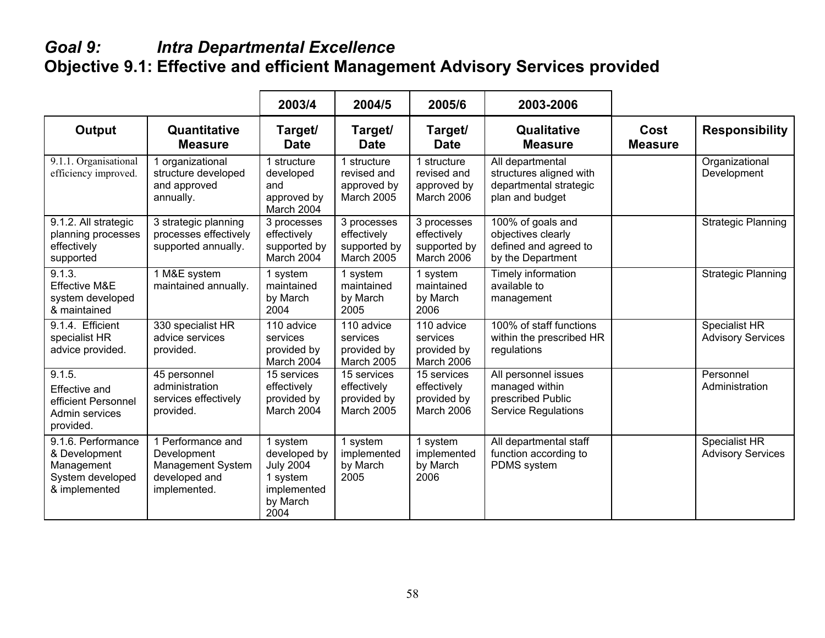#### *Goal 9: Intra Departmental Excellence*  **Objective 9.1: Effective and efficient Management Advisory Services provided**

|                                                                                        |                                                                                        | 2003/4                                                                                      | 2004/5                                                         | 2005/6                                                   | 2003-2006                                                                                 |                        |                                           |
|----------------------------------------------------------------------------------------|----------------------------------------------------------------------------------------|---------------------------------------------------------------------------------------------|----------------------------------------------------------------|----------------------------------------------------------|-------------------------------------------------------------------------------------------|------------------------|-------------------------------------------|
| <b>Output</b>                                                                          | Quantitative<br><b>Measure</b>                                                         | Target/<br><b>Date</b>                                                                      | Target/<br><b>Date</b>                                         | Target/<br><b>Date</b>                                   | Qualitative<br><b>Measure</b>                                                             | Cost<br><b>Measure</b> | <b>Responsibility</b>                     |
| 9.1.1. Organisational<br>efficiency improved.                                          | 1 organizational<br>structure developed<br>and approved<br>annually.                   | 1 structure<br>developed<br>and<br>approved by<br>March 2004                                | 1 structure<br>revised and<br>approved by<br>March 2005        | 1 structure<br>revised and<br>approved by<br>March 2006  | All departmental<br>structures aligned with<br>departmental strategic<br>plan and budget  |                        | Organizational<br>Development             |
| 9.1.2. All strategic<br>planning processes<br>effectively<br>supported                 | 3 strategic planning<br>processes effectively<br>supported annually.                   | 3 processes<br>effectively<br>supported by<br>March 2004                                    | 3 processes<br>effectively<br>supported by<br>March 2005       | 3 processes<br>effectively<br>supported by<br>March 2006 | 100% of goals and<br>objectives clearly<br>defined and agreed to<br>by the Department     |                        | <b>Strategic Planning</b>                 |
| 9.1.3.<br>Effective M&E<br>system developed<br>& maintained                            | 1 M&E system<br>maintained annually.                                                   | 1 system<br>maintained<br>by March<br>2004                                                  | 1 system<br>maintained<br>by March<br>2005                     | 1 system<br>maintained<br>by March<br>2006               | Timely information<br>available to<br>management                                          |                        | <b>Strategic Planning</b>                 |
| 9.1.4. Efficient<br>specialist HR<br>advice provided.                                  | 330 specialist HR<br>advice services<br>provided.                                      | 110 advice<br>services<br>provided by<br>March 2004                                         | 110 advice<br>services<br>provided by<br>March 2005            | 110 advice<br>services<br>provided by<br>March 2006      | 100% of staff functions<br>within the prescribed HR<br>regulations                        |                        | Specialist HR<br><b>Advisory Services</b> |
| 9.1.5.<br>Effective and<br>efficient Personnel<br>Admin services<br>provided.          | 45 personnel<br>administration<br>services effectively<br>provided.                    | 15 services<br>effectively<br>provided by<br>March 2004                                     | 15 services<br>effectively<br>provided by<br><b>March 2005</b> | 15 services<br>effectively<br>provided by<br>March 2006  | All personnel issues<br>managed within<br>prescribed Public<br><b>Service Regulations</b> |                        | Personnel<br>Administration               |
| 9.1.6. Performance<br>& Development<br>Management<br>System developed<br>& implemented | 1 Performance and<br>Development<br>Management System<br>developed and<br>implemented. | 1 system<br>developed by<br><b>July 2004</b><br>1 system<br>implemented<br>by March<br>2004 | 1 system<br>implemented<br>by March<br>2005                    | 1 system<br>implemented<br>by March<br>2006              | All departmental staff<br>function according to<br>PDMS system                            |                        | Specialist HR<br><b>Advisory Services</b> |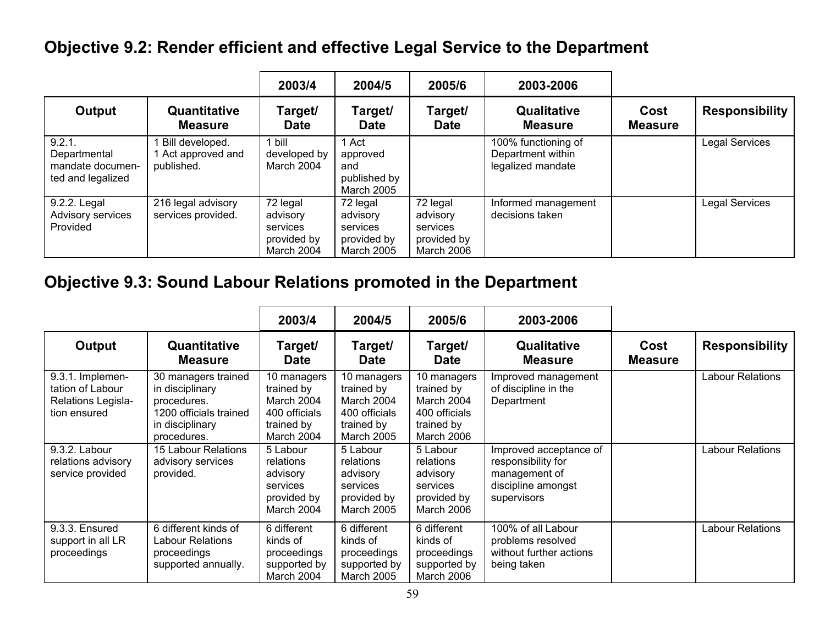## **Objective 9.2: Render efficient and effective Legal Service to the Department**

|                                                                 |                                                   | 2003/4                                                        | 2004/5                                                               | 2005/6                                                        | 2003-2006                                                     |                        |                       |
|-----------------------------------------------------------------|---------------------------------------------------|---------------------------------------------------------------|----------------------------------------------------------------------|---------------------------------------------------------------|---------------------------------------------------------------|------------------------|-----------------------|
| Output                                                          | Quantitative<br><b>Measure</b>                    | Target/<br><b>Date</b>                                        | Target/<br><b>Date</b>                                               | Target/<br><b>Date</b>                                        | Qualitative<br><b>Measure</b>                                 | Cost<br><b>Measure</b> | <b>Responsibility</b> |
| 9.2.1.<br>Departmental<br>mandate documen-<br>ted and legalized | Bill developed.<br>Act approved and<br>published. | bill<br>developed by<br>March 2004                            | ∣ Act<br>approved<br>and<br>published by<br><b>March 2005</b>        |                                                               | 100% functioning of<br>Department within<br>legalized mandate |                        | <b>Legal Services</b> |
| 9.2.2. Legal<br>Advisory services<br>Provided                   | 216 legal advisory<br>services provided.          | 72 legal<br>advisory<br>services<br>provided by<br>March 2004 | 72 legal<br>advisory<br>services<br>provided by<br><b>March 2005</b> | 72 legal<br>advisory<br>services<br>provided by<br>March 2006 | Informed management<br>decisions taken                        |                        | <b>Legal Services</b> |

# **Objective 9.3: Sound Labour Relations promoted in the Department**

|                                                                            |                                                                                                                   | 2003/4                                                                               | 2004/5                                                                                      | 2005/6                                                                                      | 2003-2006                                                                                          |                        |                         |
|----------------------------------------------------------------------------|-------------------------------------------------------------------------------------------------------------------|--------------------------------------------------------------------------------------|---------------------------------------------------------------------------------------------|---------------------------------------------------------------------------------------------|----------------------------------------------------------------------------------------------------|------------------------|-------------------------|
| Output                                                                     | Quantitative<br><b>Measure</b>                                                                                    | Target/<br><b>Date</b>                                                               | Target/<br><b>Date</b>                                                                      | Target/<br><b>Date</b>                                                                      | Qualitative<br><b>Measure</b>                                                                      | Cost<br><b>Measure</b> | <b>Responsibility</b>   |
| 9.3.1. Implemen-<br>tation of Labour<br>Relations Legisla-<br>tion ensured | 30 managers trained<br>in disciplinary<br>procedures.<br>1200 officials trained<br>in disciplinary<br>procedures. | 10 managers<br>trained by<br>March 2004<br>400 officials<br>trained by<br>March 2004 | 10 managers<br>trained by<br>March 2004<br>400 officials<br>trained by<br><b>March 2005</b> | 10 managers<br>trained by<br>March 2004<br>400 officials<br>trained by<br><b>March 2006</b> | Improved management<br>of discipline in the<br>Department                                          |                        | <b>Labour Relations</b> |
| 9.3.2. Labour<br>relations advisory<br>service provided                    | 15 Labour Relations<br>advisory services<br>provided.                                                             | 5 Labour<br>relations<br>advisory<br>services<br>provided by<br>March 2004           | 5 Labour<br>relations<br>advisory<br>services<br>provided by<br>March 2005                  | 5 Labour<br>relations<br>advisory<br>services<br>provided by<br>March 2006                  | Improved acceptance of<br>responsibility for<br>management of<br>discipline amongst<br>supervisors |                        | <b>Labour Relations</b> |
| 9.3.3. Ensured<br>support in all LR<br>proceedings                         | 6 different kinds of<br><b>Labour Relations</b><br>proceedings<br>supported annually.                             | 6 different<br>kinds of<br>proceedings<br>supported by<br>March 2004                 | 6 different<br>kinds of<br>proceedings<br>supported by<br><b>March 2005</b>                 | 6 different<br>kinds of<br>proceedings<br>supported by<br>March 2006                        | 100% of all Labour<br>problems resolved<br>without further actions<br>being taken                  |                        | <b>Labour Relations</b> |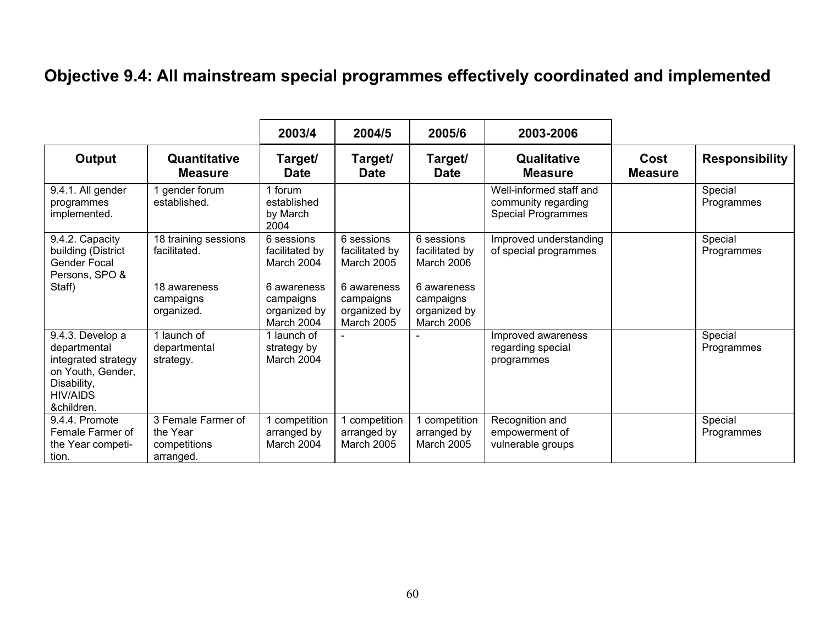# **Objective 9.4: All mainstream special programmes effectively coordinated and implemented**

|                                                                                                                              |                                                             | 2003/4                                                 | 2004/5                                                        | 2005/6                                                 | 2003-2006                                                                   |                        |                       |
|------------------------------------------------------------------------------------------------------------------------------|-------------------------------------------------------------|--------------------------------------------------------|---------------------------------------------------------------|--------------------------------------------------------|-----------------------------------------------------------------------------|------------------------|-----------------------|
| Output                                                                                                                       | Quantitative<br><b>Measure</b>                              | Target/<br><b>Date</b>                                 | Target/<br><b>Date</b>                                        | Target/<br><b>Date</b>                                 | Qualitative<br><b>Measure</b>                                               | Cost<br><b>Measure</b> | <b>Responsibility</b> |
| 9.4.1. All gender<br>programmes<br>implemented.                                                                              | gender forum<br>established.                                | 1 forum<br>established<br>by March<br>2004             |                                                               |                                                        | Well-informed staff and<br>community regarding<br><b>Special Programmes</b> |                        | Special<br>Programmes |
| 9.4.2. Capacity<br>building (District<br>Gender Focal<br>Persons, SPO &                                                      | 18 training sessions<br>facilitated.                        | 6 sessions<br>facilitated by<br>March 2004             | 6 sessions<br>facilitated by<br>March 2005                    | 6 sessions<br>facilitated by<br>March 2006             | Improved understanding<br>of special programmes                             |                        | Special<br>Programmes |
| Staff)                                                                                                                       | 18 awareness<br>campaigns<br>organized.                     | 6 awareness<br>campaigns<br>organized by<br>March 2004 | 6 awareness<br>campaigns<br>organized by<br><b>March 2005</b> | 6 awareness<br>campaigns<br>organized by<br>March 2006 |                                                                             |                        |                       |
| 9.4.3. Develop a<br>departmental<br>integrated strategy<br>on Youth, Gender,<br>Disability,<br><b>HIV/AIDS</b><br>&children. | 1 launch of<br>departmental<br>strategy.                    | 1 launch of<br>strategy by<br>March 2004               |                                                               |                                                        | Improved awareness<br>regarding special<br>programmes                       |                        | Special<br>Programmes |
| 9.4.4. Promote<br>Female Farmer of<br>the Year competi-<br>tion.                                                             | 3 Female Farmer of<br>the Year<br>competitions<br>arranged. | competition<br>arranged by<br>March 2004               | competition<br>arranged by<br><b>March 2005</b>               | 1 competition<br>arranged by<br><b>March 2005</b>      | Recognition and<br>empowerment of<br>vulnerable groups                      |                        | Special<br>Programmes |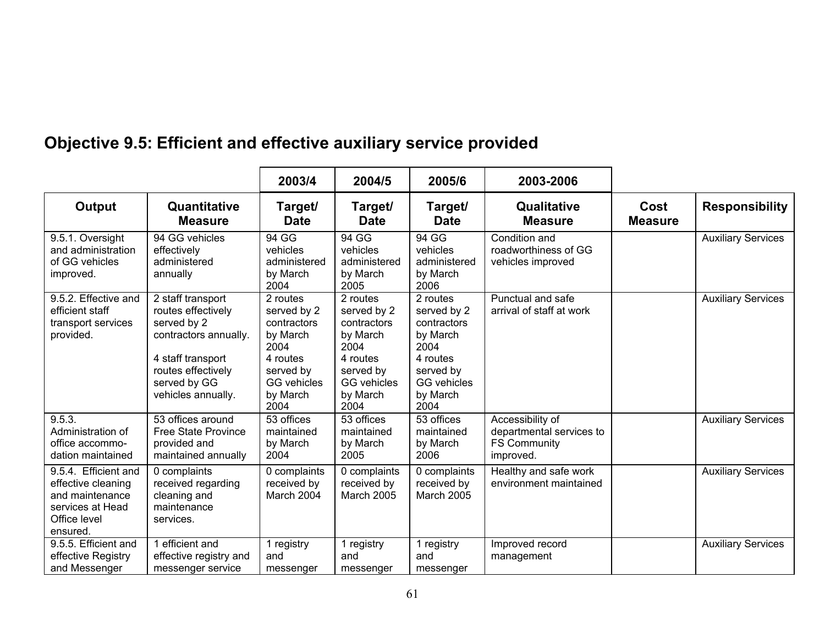|                                                                                                               |                                                                                                                                                                  | 2003/4                                                                                                                        | 2004/5                                                                                                                        | 2005/6                                                                                                                        | 2003-2006                                                                        |                        |                           |
|---------------------------------------------------------------------------------------------------------------|------------------------------------------------------------------------------------------------------------------------------------------------------------------|-------------------------------------------------------------------------------------------------------------------------------|-------------------------------------------------------------------------------------------------------------------------------|-------------------------------------------------------------------------------------------------------------------------------|----------------------------------------------------------------------------------|------------------------|---------------------------|
| Output                                                                                                        | Quantitative<br><b>Measure</b>                                                                                                                                   | Target/<br><b>Date</b>                                                                                                        | Target/<br><b>Date</b>                                                                                                        | Target/<br><b>Date</b>                                                                                                        | Qualitative<br><b>Measure</b>                                                    | Cost<br><b>Measure</b> | <b>Responsibility</b>     |
| 9.5.1. Oversight<br>and administration<br>of GG vehicles<br>improved.                                         | 94 GG vehicles<br>effectively<br>administered<br>annually                                                                                                        | 94 GG<br>vehicles<br>administered<br>by March<br>2004                                                                         | 94 GG<br>vehicles<br>administered<br>by March<br>2005                                                                         | 94 GG<br>vehicles<br>administered<br>by March<br>2006                                                                         | Condition and<br>roadworthiness of GG<br>vehicles improved                       |                        | <b>Auxiliary Services</b> |
| 9.5.2. Effective and<br>efficient staff<br>transport services<br>provided.                                    | 2 staff transport<br>routes effectively<br>served by 2<br>contractors annually.<br>4 staff transport<br>routes effectively<br>served by GG<br>vehicles annually. | 2 routes<br>served by 2<br>contractors<br>by March<br>2004<br>4 routes<br>served by<br><b>GG</b> vehicles<br>by March<br>2004 | 2 routes<br>served by 2<br>contractors<br>by March<br>2004<br>4 routes<br>served by<br><b>GG</b> vehicles<br>by March<br>2004 | 2 routes<br>served by 2<br>contractors<br>by March<br>2004<br>4 routes<br>served by<br><b>GG</b> vehicles<br>by March<br>2004 | Punctual and safe<br>arrival of staff at work                                    |                        | <b>Auxiliary Services</b> |
| 9.5.3.<br>Administration of<br>office accommo-<br>dation maintained                                           | 53 offices around<br><b>Free State Province</b><br>provided and<br>maintained annually                                                                           | 53 offices<br>maintained<br>by March<br>2004                                                                                  | 53 offices<br>maintained<br>by March<br>2005                                                                                  | 53 offices<br>maintained<br>by March<br>2006                                                                                  | Accessibility of<br>departmental services to<br><b>FS Community</b><br>improved. |                        | <b>Auxiliary Services</b> |
| 9.5.4. Efficient and<br>effective cleaning<br>and maintenance<br>services at Head<br>Office level<br>ensured. | 0 complaints<br>received regarding<br>cleaning and<br>maintenance<br>services.                                                                                   | 0 complaints<br>received by<br>March 2004                                                                                     | 0 complaints<br>received by<br>March 2005                                                                                     | 0 complaints<br>received by<br>March 2005                                                                                     | Healthy and safe work<br>environment maintained                                  |                        | <b>Auxiliary Services</b> |
| 9.5.5. Efficient and<br>effective Registry<br>and Messenger                                                   | 1 efficient and<br>effective registry and<br>messenger service                                                                                                   | 1 registry<br>and<br>messenger                                                                                                | 1 registry<br>and<br>messenger                                                                                                | 1 registry<br>and<br>messenger                                                                                                | Improved record<br>management                                                    |                        | <b>Auxiliary Services</b> |

# **Objective 9.5: Efficient and effective auxiliary service provided**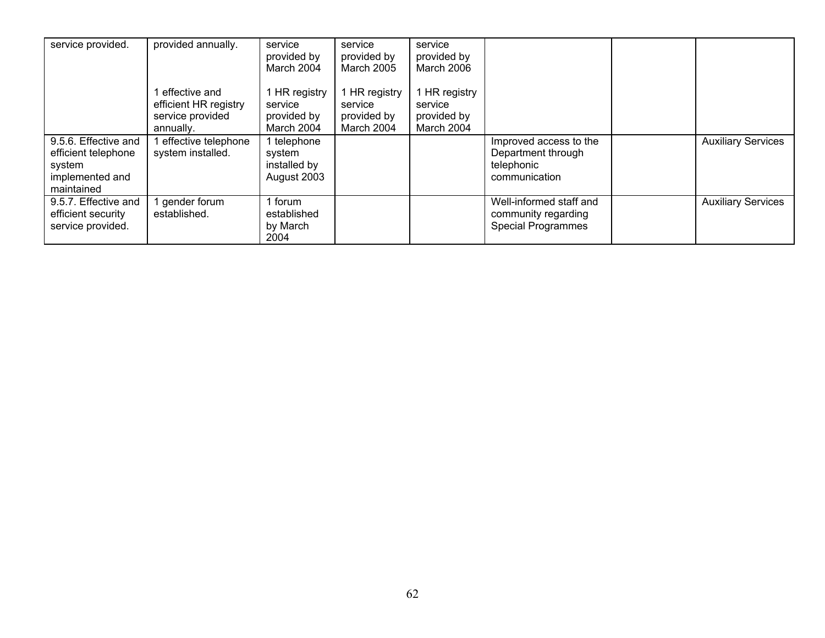| service provided.                                                                      | provided annually.                                                      | service<br>provided by<br>March 2004                 | service<br>provided by<br><b>March 2005</b>         | service<br>provided by<br>March 2006                  |                                                                             |                           |
|----------------------------------------------------------------------------------------|-------------------------------------------------------------------------|------------------------------------------------------|-----------------------------------------------------|-------------------------------------------------------|-----------------------------------------------------------------------------|---------------------------|
|                                                                                        | effective and<br>efficient HR registry<br>service provided<br>annually. | HR registry<br>service<br>provided by<br>March 2004  | HR registry<br>service<br>provided by<br>March 2004 | 1 HR registry<br>service<br>provided by<br>March 2004 |                                                                             |                           |
| 9.5.6. Effective and<br>efficient telephone<br>system<br>implemented and<br>maintained | effective telephone<br>system installed.                                | 1 telephone<br>system<br>installed by<br>August 2003 |                                                     |                                                       | Improved access to the<br>Department through<br>telephonic<br>communication | <b>Auxiliary Services</b> |
| 9.5.7. Effective and<br>efficient security<br>service provided.                        | gender forum<br>established.                                            | 1 forum<br>established<br>by March<br>2004           |                                                     |                                                       | Well-informed staff and<br>community regarding<br><b>Special Programmes</b> | <b>Auxiliary Services</b> |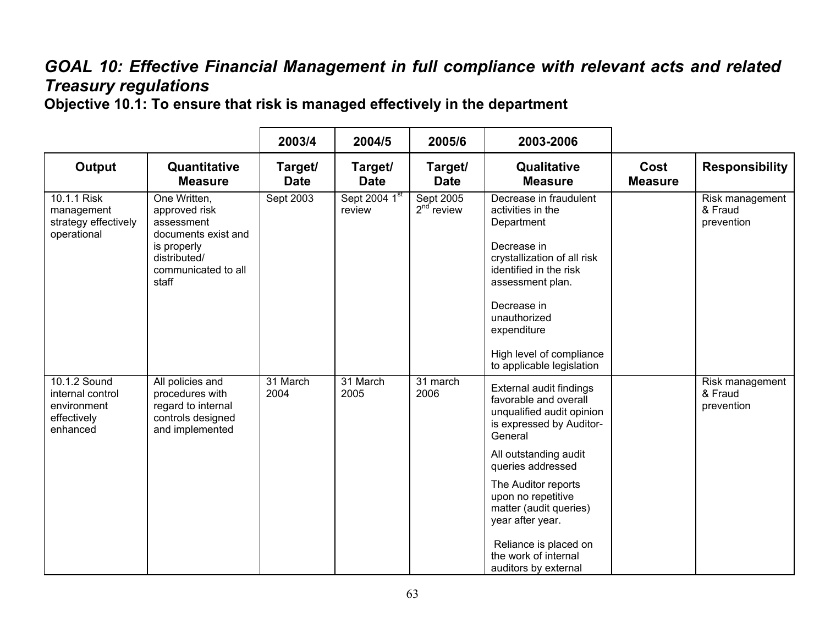## *GOAL 10: Effective Financial Management in full compliance with relevant acts and related Treasury regulations*

**Objective 10.1: To ensure that risk is managed effectively in the department**

|                                                                            |                                                                                                                                   | 2003/4                 | 2004/5                  | 2005/6                           | 2003-2006                                                                                                                                                                                                                                                                                                                              |                        |                                          |
|----------------------------------------------------------------------------|-----------------------------------------------------------------------------------------------------------------------------------|------------------------|-------------------------|----------------------------------|----------------------------------------------------------------------------------------------------------------------------------------------------------------------------------------------------------------------------------------------------------------------------------------------------------------------------------------|------------------------|------------------------------------------|
| <b>Output</b>                                                              | Quantitative<br><b>Measure</b>                                                                                                    | Target/<br><b>Date</b> | Target/<br><b>Date</b>  | Target/<br><b>Date</b>           | Qualitative<br><b>Measure</b>                                                                                                                                                                                                                                                                                                          | Cost<br><b>Measure</b> | <b>Responsibility</b>                    |
| 10.1.1 Risk<br>management<br>strategy effectively<br>operational           | One Written,<br>approved risk<br>assessment<br>documents exist and<br>is properly<br>distributed/<br>communicated to all<br>staff | Sept 2003              | Sept 2004 1st<br>review | <b>Sept 2005</b><br>$2nd$ review | Decrease in fraudulent<br>activities in the<br>Department<br>Decrease in<br>crystallization of all risk<br>identified in the risk<br>assessment plan.<br>Decrease in<br>unauthorized<br>expenditure<br>High level of compliance<br>to applicable legislation                                                                           |                        | Risk management<br>& Fraud<br>prevention |
| 10.1.2 Sound<br>internal control<br>environment<br>effectively<br>enhanced | All policies and<br>procedures with<br>regard to internal<br>controls designed<br>and implemented                                 | 31 March<br>2004       | 31 March<br>2005        | 31 march<br>2006                 | External audit findings<br>favorable and overall<br>unqualified audit opinion<br>is expressed by Auditor-<br>General<br>All outstanding audit<br>queries addressed<br>The Auditor reports<br>upon no repetitive<br>matter (audit queries)<br>year after year.<br>Reliance is placed on<br>the work of internal<br>auditors by external |                        | Risk management<br>& Fraud<br>prevention |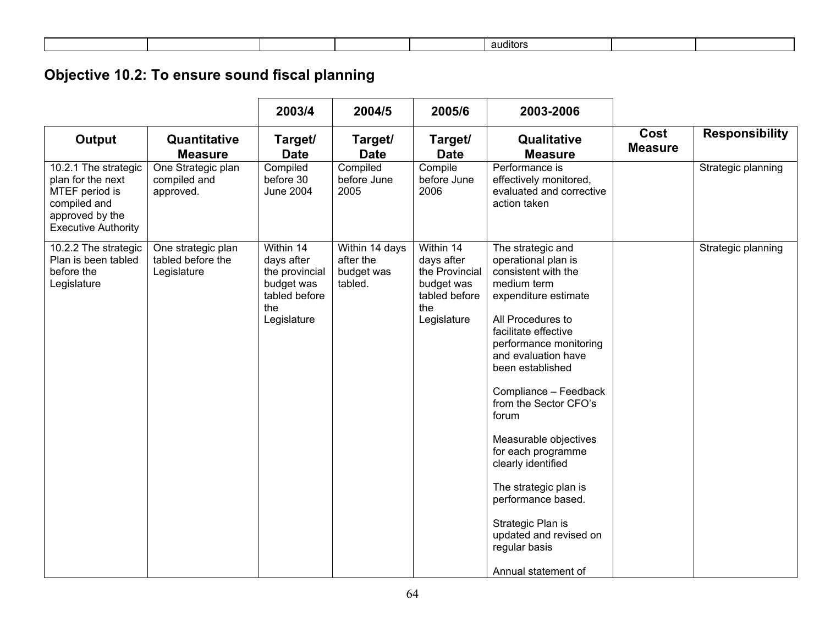|  |  | auditors |  |
|--|--|----------|--|
|  |  |          |  |
|  |  |          |  |

# **Objective 10.2: To ensure sound fiscal planning**

|                                                                                                                              |                                                        | 2003/4                                                                                         | 2004/5                                               | 2005/6                                                                                         | 2003-2006                                                                                                                                                                                                                                                                                                                                                                                                                                                                                      |                        |                       |
|------------------------------------------------------------------------------------------------------------------------------|--------------------------------------------------------|------------------------------------------------------------------------------------------------|------------------------------------------------------|------------------------------------------------------------------------------------------------|------------------------------------------------------------------------------------------------------------------------------------------------------------------------------------------------------------------------------------------------------------------------------------------------------------------------------------------------------------------------------------------------------------------------------------------------------------------------------------------------|------------------------|-----------------------|
| Output                                                                                                                       | Quantitative<br><b>Measure</b>                         | Target/<br><b>Date</b>                                                                         | Target/<br><b>Date</b>                               | Target/<br><b>Date</b>                                                                         | Qualitative<br><b>Measure</b>                                                                                                                                                                                                                                                                                                                                                                                                                                                                  | Cost<br><b>Measure</b> | <b>Responsibility</b> |
| 10.2.1 The strategic<br>plan for the next<br>MTEF period is<br>compiled and<br>approved by the<br><b>Executive Authority</b> | One Strategic plan<br>compiled and<br>approved.        | Compiled<br>before 30<br><b>June 2004</b>                                                      | Compiled<br>before June<br>2005                      | Compile<br>before June<br>2006                                                                 | Performance is<br>effectively monitored,<br>evaluated and corrective<br>action taken                                                                                                                                                                                                                                                                                                                                                                                                           |                        | Strategic planning    |
| 10.2.2 The strategic<br>Plan is been tabled<br>before the<br>Legislature                                                     | One strategic plan<br>tabled before the<br>Legislature | Within 14<br>days after<br>the provincial<br>budget was<br>tabled before<br>the<br>Legislature | Within 14 days<br>after the<br>budget was<br>tabled. | Within 14<br>days after<br>the Provincial<br>budget was<br>tabled before<br>the<br>Legislature | The strategic and<br>operational plan is<br>consistent with the<br>medium term<br>expenditure estimate<br>All Procedures to<br>facilitate effective<br>performance monitoring<br>and evaluation have<br>been established<br>Compliance - Feedback<br>from the Sector CFO's<br>forum<br>Measurable objectives<br>for each programme<br>clearly identified<br>The strategic plan is<br>performance based.<br>Strategic Plan is<br>updated and revised on<br>regular basis<br>Annual statement of |                        | Strategic planning    |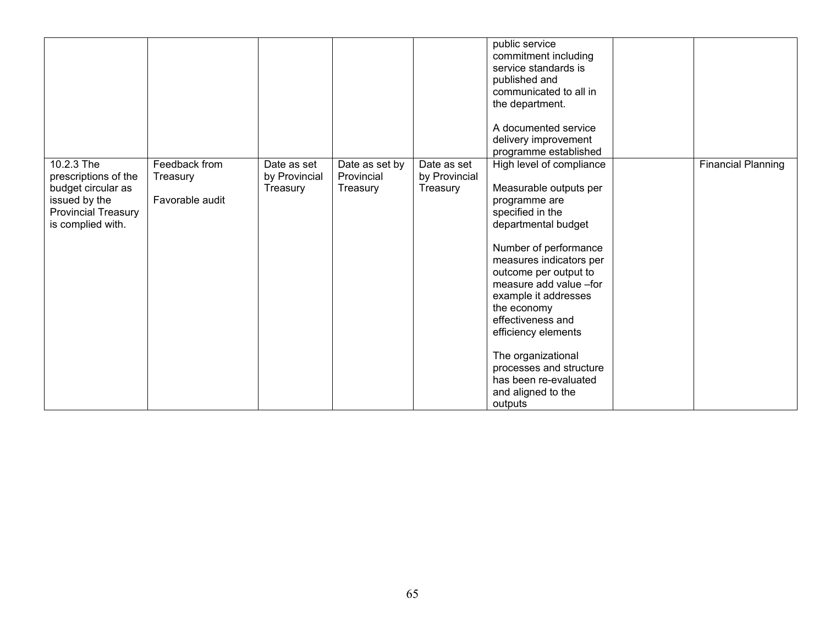|                                                 |                           |                              |                              |                              | public service<br>commitment including<br>service standards is<br>published and<br>communicated to all in<br>the department.                                                           |                           |
|-------------------------------------------------|---------------------------|------------------------------|------------------------------|------------------------------|----------------------------------------------------------------------------------------------------------------------------------------------------------------------------------------|---------------------------|
|                                                 |                           |                              |                              |                              | A documented service                                                                                                                                                                   |                           |
|                                                 |                           |                              |                              |                              | delivery improvement<br>programme established                                                                                                                                          |                           |
| 10.2.3 The<br>prescriptions of the              | Feedback from<br>Treasury | Date as set<br>by Provincial | Date as set by<br>Provincial | Date as set<br>by Provincial | High level of compliance                                                                                                                                                               | <b>Financial Planning</b> |
| budget circular as                              |                           | Treasury                     | Treasury                     | Treasury                     | Measurable outputs per                                                                                                                                                                 |                           |
| issued by the                                   | Favorable audit           |                              |                              |                              | programme are                                                                                                                                                                          |                           |
| <b>Provincial Treasury</b><br>is complied with. |                           |                              |                              |                              | specified in the<br>departmental budget                                                                                                                                                |                           |
|                                                 |                           |                              |                              |                              | Number of performance<br>measures indicators per<br>outcome per output to<br>measure add value -for<br>example it addresses<br>the economy<br>effectiveness and<br>efficiency elements |                           |
|                                                 |                           |                              |                              |                              | The organizational<br>processes and structure<br>has been re-evaluated<br>and aligned to the<br>outputs                                                                                |                           |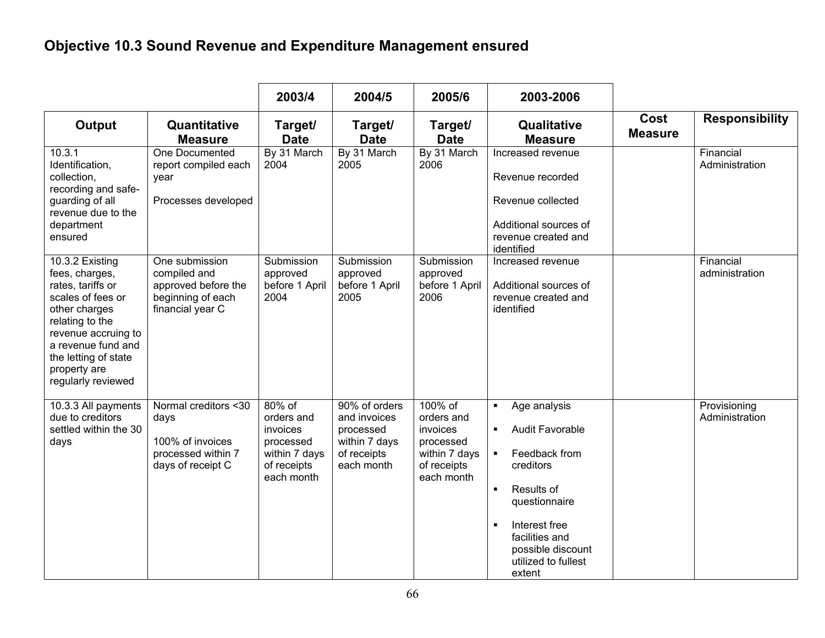# **Objective 10.3 Sound Revenue and Expenditure Management ensured**

|                                                                                                                                                                                                                            |                                                                                                | 2003/4                                                                                      | 2004/5                                                                                   | 2005/6                                                                                       | 2003-2006                                                                                                                                                                                                                                                                 |                        |                                |
|----------------------------------------------------------------------------------------------------------------------------------------------------------------------------------------------------------------------------|------------------------------------------------------------------------------------------------|---------------------------------------------------------------------------------------------|------------------------------------------------------------------------------------------|----------------------------------------------------------------------------------------------|---------------------------------------------------------------------------------------------------------------------------------------------------------------------------------------------------------------------------------------------------------------------------|------------------------|--------------------------------|
| <b>Output</b>                                                                                                                                                                                                              | Quantitative<br><b>Measure</b>                                                                 | Target/<br><b>Date</b>                                                                      | Target/<br><b>Date</b>                                                                   | Target/<br><b>Date</b>                                                                       | Qualitative<br><b>Measure</b>                                                                                                                                                                                                                                             | Cost<br><b>Measure</b> | <b>Responsibility</b>          |
| 10.3.1<br>Identification,<br>collection,<br>recording and safe-<br>guarding of all<br>revenue due to the<br>department<br>ensured                                                                                          | One Documented<br>report compiled each<br>year<br>Processes developed                          | By 31 March<br>2004                                                                         | By 31 March<br>2005                                                                      | By 31 March<br>2006                                                                          | Increased revenue<br>Revenue recorded<br>Revenue collected<br>Additional sources of<br>revenue created and<br>identified                                                                                                                                                  |                        | Financial<br>Administration    |
| 10.3.2 Existing<br>fees, charges,<br>rates, tariffs or<br>scales of fees or<br>other charges<br>relating to the<br>revenue accruing to<br>a revenue fund and<br>the letting of state<br>property are<br>regularly reviewed | One submission<br>compiled and<br>approved before the<br>beginning of each<br>financial year C | Submission<br>approved<br>before 1 April<br>2004                                            | Submission<br>approved<br>before 1 April<br>2005                                         | Submission<br>approved<br>before 1 April<br>2006                                             | Increased revenue<br>Additional sources of<br>revenue created and<br>identified                                                                                                                                                                                           |                        | Financial<br>administration    |
| 10.3.3 All payments<br>due to creditors<br>settled within the 30<br>days                                                                                                                                                   | Normal creditors <30<br>days<br>100% of invoices<br>processed within 7<br>days of receipt C    | 80% of<br>orders and<br>invoices<br>processed<br>within 7 days<br>of receipts<br>each month | 90% of orders<br>and invoices<br>processed<br>within 7 days<br>of receipts<br>each month | 100% of<br>orders and<br>invoices<br>processed<br>within 7 days<br>of receipts<br>each month | Age analysis<br>$\blacksquare$<br><b>Audit Favorable</b><br>$\blacksquare$<br>Feedback from<br>$\blacksquare$<br>creditors<br>Results of<br>$\blacksquare$<br>questionnaire<br>Interest free<br>л<br>facilities and<br>possible discount<br>utilized to fullest<br>extent |                        | Provisioning<br>Administration |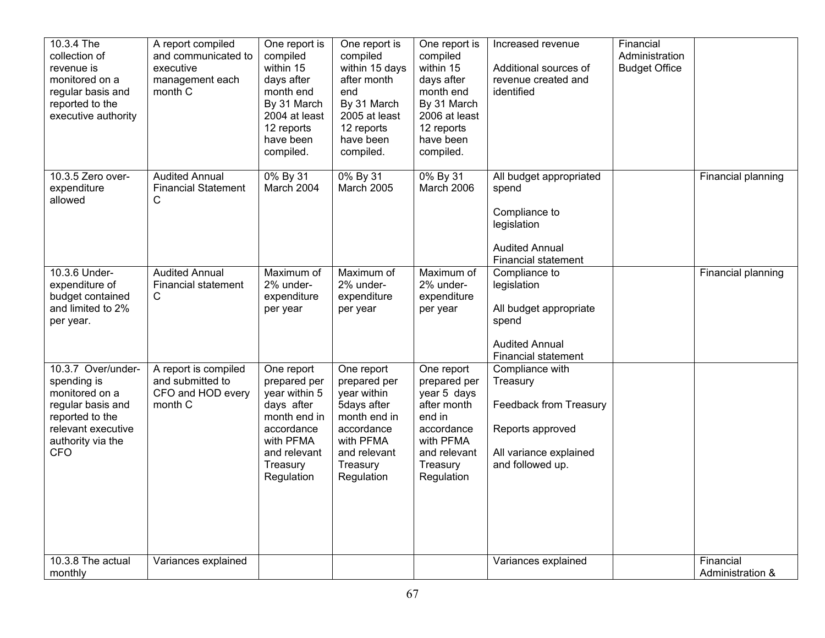| 10.3.4 The<br>collection of<br>revenue is<br>monitored on a<br>regular basis and<br>reported to the<br>executive authority                           | A report compiled<br>and communicated to<br>executive<br>management each<br>month C | One report is<br>compiled<br>within 15<br>days after<br>month end<br>By 31 March<br>2004 at least<br>12 reports<br>have been<br>compiled.      | One report is<br>compiled<br>within 15 days<br>after month<br>end<br>By 31 March<br>2005 at least<br>12 reports<br>have been<br>compiled.     | One report is<br>compiled<br>within 15<br>days after<br>month end<br>By 31 March<br>2006 at least<br>12 reports<br>have been<br>compiled. | Increased revenue<br>Additional sources of<br>revenue created and<br>identified                                         | Financial<br>Administration<br><b>Budget Office</b> |                               |
|------------------------------------------------------------------------------------------------------------------------------------------------------|-------------------------------------------------------------------------------------|------------------------------------------------------------------------------------------------------------------------------------------------|-----------------------------------------------------------------------------------------------------------------------------------------------|-------------------------------------------------------------------------------------------------------------------------------------------|-------------------------------------------------------------------------------------------------------------------------|-----------------------------------------------------|-------------------------------|
| 10.3.5 Zero over-<br>expenditure<br>allowed                                                                                                          | <b>Audited Annual</b><br><b>Financial Statement</b><br>С                            | 0% By 31<br>March 2004                                                                                                                         | 0% By 31<br>March 2005                                                                                                                        | 0% By 31<br>March 2006                                                                                                                    | All budget appropriated<br>spend<br>Compliance to<br>legislation<br><b>Audited Annual</b><br>Financial statement        |                                                     | Financial planning            |
| 10.3.6 Under-<br>expenditure of<br>budget contained<br>and limited to 2%<br>per year.                                                                | <b>Audited Annual</b><br><b>Financial statement</b><br>C                            | Maximum of<br>2% under-<br>expenditure<br>per year                                                                                             | Maximum of<br>2% under-<br>expenditure<br>per year                                                                                            | Maximum of<br>2% under-<br>expenditure<br>per year                                                                                        | Compliance to<br>legislation<br>All budget appropriate<br>spend<br><b>Audited Annual</b><br><b>Financial statement</b>  |                                                     | Financial planning            |
| 10.3.7 Over/under-<br>spending is<br>monitored on a<br>regular basis and<br>reported to the<br>relevant executive<br>authority via the<br><b>CFO</b> | A report is compiled<br>and submitted to<br>CFO and HOD every<br>month C            | One report<br>prepared per<br>year within 5<br>days after<br>month end in<br>accordance<br>with PFMA<br>and relevant<br>Treasury<br>Regulation | One report<br>prepared per<br>year within<br>5days after<br>month end in<br>accordance<br>with PFMA<br>and relevant<br>Treasury<br>Regulation | One report<br>prepared per<br>year 5 days<br>after month<br>end in<br>accordance<br>with PFMA<br>and relevant<br>Treasury<br>Regulation   | Compliance with<br>Treasury<br>Feedback from Treasury<br>Reports approved<br>All variance explained<br>and followed up. |                                                     |                               |
| 10.3.8 The actual<br>monthly                                                                                                                         | Variances explained                                                                 |                                                                                                                                                |                                                                                                                                               |                                                                                                                                           | Variances explained                                                                                                     |                                                     | Financial<br>Administration & |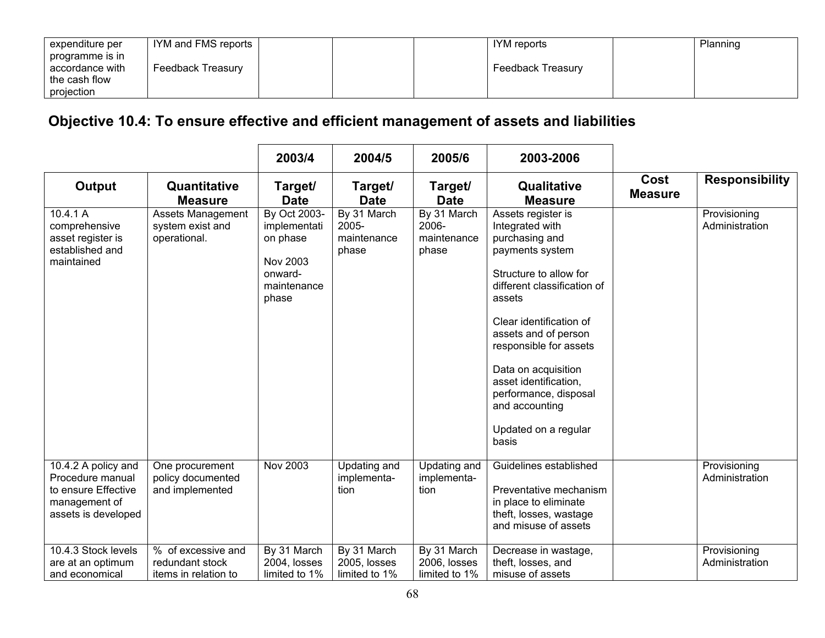| expenditure per | IYM and FMS reports | IYM reports       | Planning |
|-----------------|---------------------|-------------------|----------|
| programme is in |                     |                   |          |
| accordance with | Feedback Treasury   | Feedback Treasury |          |
| the cash flow   |                     |                   |          |
| projection      |                     |                   |          |

## **Objective 10.4: To ensure effective and efficient management of assets and liabilities**

|                                                                                                        |                                                               | 2003/4                                                                                  | 2004/5                                       | 2005/6                                       | 2003-2006                                                                                                                                                                                                                                                                                                                                              |                        |                                |
|--------------------------------------------------------------------------------------------------------|---------------------------------------------------------------|-----------------------------------------------------------------------------------------|----------------------------------------------|----------------------------------------------|--------------------------------------------------------------------------------------------------------------------------------------------------------------------------------------------------------------------------------------------------------------------------------------------------------------------------------------------------------|------------------------|--------------------------------|
| Output                                                                                                 | Quantitative<br><b>Measure</b>                                | Target/<br><b>Date</b>                                                                  | Target/<br><b>Date</b>                       | Target/<br><b>Date</b>                       | <b>Qualitative</b><br><b>Measure</b>                                                                                                                                                                                                                                                                                                                   | Cost<br><b>Measure</b> | <b>Responsibility</b>          |
| 10.4.1 A<br>comprehensive<br>asset register is<br>established and<br>maintained                        | <b>Assets Management</b><br>system exist and<br>operational.  | By Oct 2003-<br>implementati<br>on phase<br>Nov 2003<br>onward-<br>maintenance<br>phase | By 31 March<br>2005-<br>maintenance<br>phase | By 31 March<br>2006-<br>maintenance<br>phase | Assets register is<br>Integrated with<br>purchasing and<br>payments system<br>Structure to allow for<br>different classification of<br>assets<br>Clear identification of<br>assets and of person<br>responsible for assets<br>Data on acquisition<br>asset identification,<br>performance, disposal<br>and accounting<br>Updated on a regular<br>basis |                        | Provisioning<br>Administration |
| 10.4.2 A policy and<br>Procedure manual<br>to ensure Effective<br>management of<br>assets is developed | One procurement<br>policy documented<br>and implemented       | Nov 2003                                                                                | Updating and<br>implementa-<br>tion          | Updating and<br>implementa-<br>tion          | Guidelines established<br>Preventative mechanism<br>in place to eliminate<br>theft, losses, wastage<br>and misuse of assets                                                                                                                                                                                                                            |                        | Provisioning<br>Administration |
| 10.4.3 Stock levels<br>are at an optimum<br>and economical                                             | % of excessive and<br>redundant stock<br>items in relation to | By 31 March<br>2004, losses<br>limited to 1%                                            | By 31 March<br>2005, losses<br>limited to 1% | By 31 March<br>2006, losses<br>limited to 1% | Decrease in wastage,<br>theft, losses, and<br>misuse of assets                                                                                                                                                                                                                                                                                         |                        | Provisioning<br>Administration |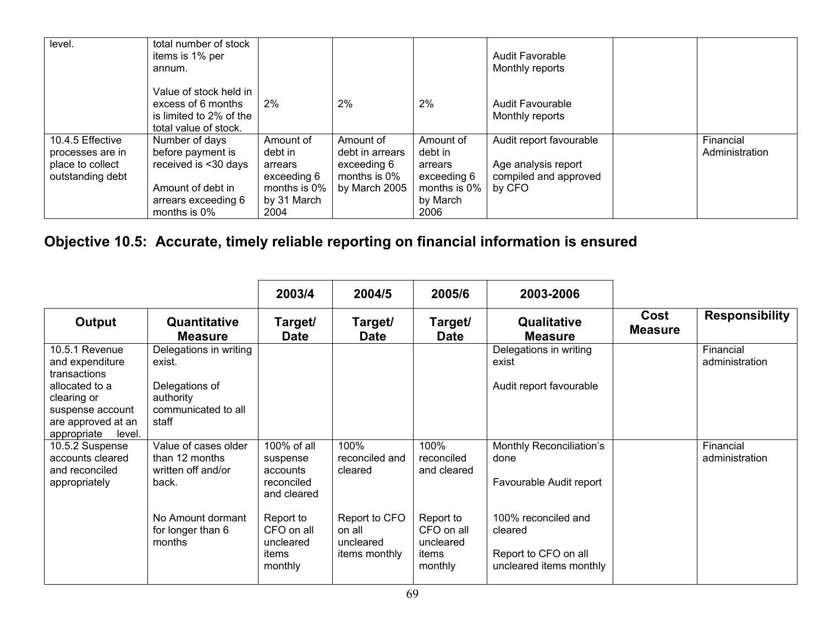| level.                                                                       | total number of stock<br>items is 1% per<br>annum.                                                                         |                                                                                       |                                                                                 |                                                                                    | <b>Audit Favorable</b><br>Monthly reports                                         |                             |
|------------------------------------------------------------------------------|----------------------------------------------------------------------------------------------------------------------------|---------------------------------------------------------------------------------------|---------------------------------------------------------------------------------|------------------------------------------------------------------------------------|-----------------------------------------------------------------------------------|-----------------------------|
|                                                                              | Value of stock held in<br>excess of 6 months<br>is limited to 2% of the<br>total value of stock.                           | 2%                                                                                    | 2%                                                                              | 2%                                                                                 | Audit Favourable<br>Monthly reports                                               |                             |
| 10.4.5 Effective<br>processes are in<br>place to collect<br>outstanding debt | Number of days<br>before payment is<br>received is <30 days<br>Amount of debt in<br>arrears exceeding 6<br>months is $0\%$ | Amount of<br>debt in<br>arrears<br>exceeding 6<br>months is 0%<br>by 31 March<br>2004 | Amount of<br>debt in arrears<br>exceeding 6<br>months is $0\%$<br>by March 2005 | Amount of<br>debt in<br>arrears<br>exceeding 6<br>months is 0%<br>by March<br>2006 | Audit report favourable<br>Age analysis report<br>compiled and approved<br>by CFO | Financial<br>Administration |

# **Objective 10.5: Accurate, timely reliable reporting on financial information is ensured**

|                                                                                                                              |                                                                                                 | 2003/4                                                           | 2004/5                                                | 2005/6                                                   | 2003-2006                                                                         |                        |                             |
|------------------------------------------------------------------------------------------------------------------------------|-------------------------------------------------------------------------------------------------|------------------------------------------------------------------|-------------------------------------------------------|----------------------------------------------------------|-----------------------------------------------------------------------------------|------------------------|-----------------------------|
| Output                                                                                                                       | Quantitative<br><b>Measure</b>                                                                  | Target/<br><b>Date</b>                                           | Target/<br><b>Date</b>                                | Target/<br><b>Date</b>                                   | Qualitative<br><b>Measure</b>                                                     | Cost<br><b>Measure</b> | <b>Responsibility</b>       |
| 10.5.1 Revenue<br>and expenditure<br>transactions<br>allocated to a<br>clearing or<br>suspense account<br>are approved at an | Delegations in writing<br>exist.<br>Delegations of<br>authority<br>communicated to all<br>staff |                                                                  |                                                       |                                                          | Delegations in writing<br>exist<br>Audit report favourable                        |                        | Financial<br>administration |
| level.<br>appropriate<br>10.5.2 Suspense<br>accounts cleared<br>and reconciled<br>appropriately                              | Value of cases older<br>than 12 months<br>written off and/or<br>back.                           | 100% of all<br>suspense<br>accounts<br>reconciled<br>and cleared | 100%<br>reconciled and<br>cleared                     | 100%<br>reconciled<br>and cleared                        | Monthly Reconciliation's<br>done<br>Favourable Audit report                       |                        | Financial<br>administration |
|                                                                                                                              | No Amount dormant<br>for longer than 6<br>months                                                | Report to<br>CFO on all<br>uncleared<br>items<br>monthly         | Report to CFO<br>on all<br>uncleared<br>items monthly | Report to<br>CFO on all<br>uncleared<br>items<br>monthly | 100% reconciled and<br>cleared<br>Report to CFO on all<br>uncleared items monthly |                        |                             |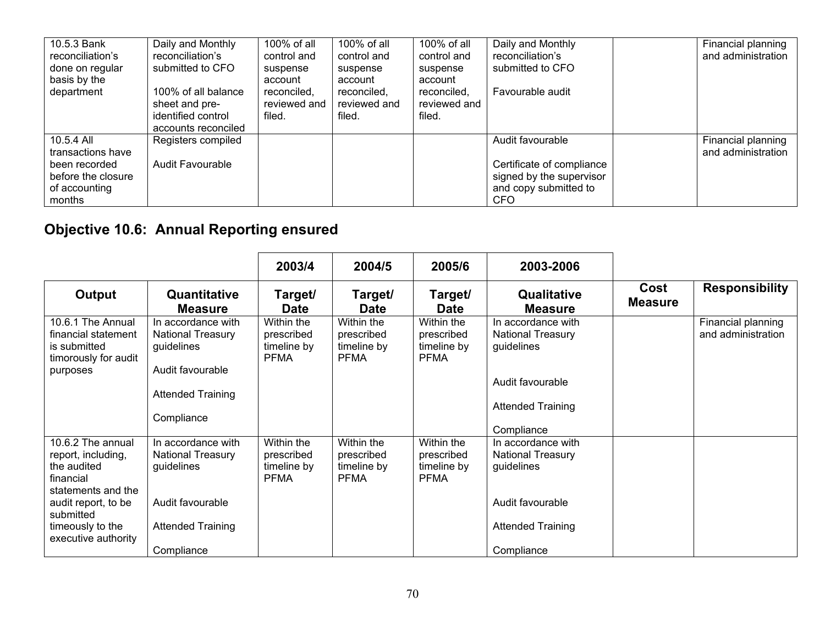| 10.5.3 Bank<br>reconciliation's<br>done on regular<br>basis by the                                | Daily and Monthly<br>reconciliation's<br>submitted to CFO                          | 100% of all<br>control and<br>suspense<br>account | 100% of all<br>control and<br>suspense<br>account | 100% of all<br>control and<br>suspense<br>account | Daily and Monthly<br>reconciliation's<br>submitted to CFO                                                        | Financial planning<br>and administration |
|---------------------------------------------------------------------------------------------------|------------------------------------------------------------------------------------|---------------------------------------------------|---------------------------------------------------|---------------------------------------------------|------------------------------------------------------------------------------------------------------------------|------------------------------------------|
| department                                                                                        | 100% of all balance<br>sheet and pre-<br>identified control<br>accounts reconciled | reconciled,<br>reviewed and<br>filed.             | reconciled.<br>reviewed and<br>filed.             | reconciled.<br>reviewed and<br>filed.             | Favourable audit                                                                                                 |                                          |
| 10.5.4 All<br>transactions have<br>been recorded<br>before the closure<br>of accounting<br>months | Registers compiled<br><b>Audit Favourable</b>                                      |                                                   |                                                   |                                                   | Audit favourable<br>Certificate of compliance<br>signed by the supervisor<br>and copy submitted to<br><b>CFO</b> | Financial planning<br>and administration |

# **Objective 10.6: Annual Reporting ensured**

|                                                                                              |                                                                                  | 2003/4                                                 | 2004/5                                                 | 2005/6                                                 | 2003-2006                                                                  |                        |                                          |
|----------------------------------------------------------------------------------------------|----------------------------------------------------------------------------------|--------------------------------------------------------|--------------------------------------------------------|--------------------------------------------------------|----------------------------------------------------------------------------|------------------------|------------------------------------------|
| Output                                                                                       | Quantitative<br><b>Measure</b>                                                   | Target/<br><b>Date</b>                                 | Target/<br><b>Date</b>                                 | Target/<br><b>Date</b>                                 | Qualitative<br><b>Measure</b>                                              | Cost<br><b>Measure</b> | <b>Responsibility</b>                    |
| 10.6.1 The Annual<br>financial statement<br>is submitted<br>timorously for audit<br>purposes | In accordance with<br><b>National Treasury</b><br>guidelines<br>Audit favourable | Within the<br>prescribed<br>timeline by<br><b>PFMA</b> | Within the<br>prescribed<br>timeline by<br><b>PFMA</b> | Within the<br>prescribed<br>timeline by<br><b>PFMA</b> | In accordance with<br><b>National Treasury</b><br>guidelines               |                        | Financial planning<br>and administration |
|                                                                                              | <b>Attended Training</b><br>Compliance                                           |                                                        |                                                        |                                                        | Audit favourable<br><b>Attended Training</b>                               |                        |                                          |
| 10.6.2 The annual<br>report, including,<br>the audited<br>financial<br>statements and the    | In accordance with<br><b>National Treasury</b><br>guidelines                     | Within the<br>prescribed<br>timeline by<br>PFMA        | Within the<br>prescribed<br>timeline by<br><b>PFMA</b> | Within the<br>prescribed<br>timeline by<br>PFMA        | Compliance<br>In accordance with<br><b>National Treasury</b><br>guidelines |                        |                                          |
| audit report, to be<br>submitted<br>timeously to the<br>executive authority                  | Audit favourable<br><b>Attended Training</b><br>Compliance                       |                                                        |                                                        |                                                        | Audit favourable<br><b>Attended Training</b><br>Compliance                 |                        |                                          |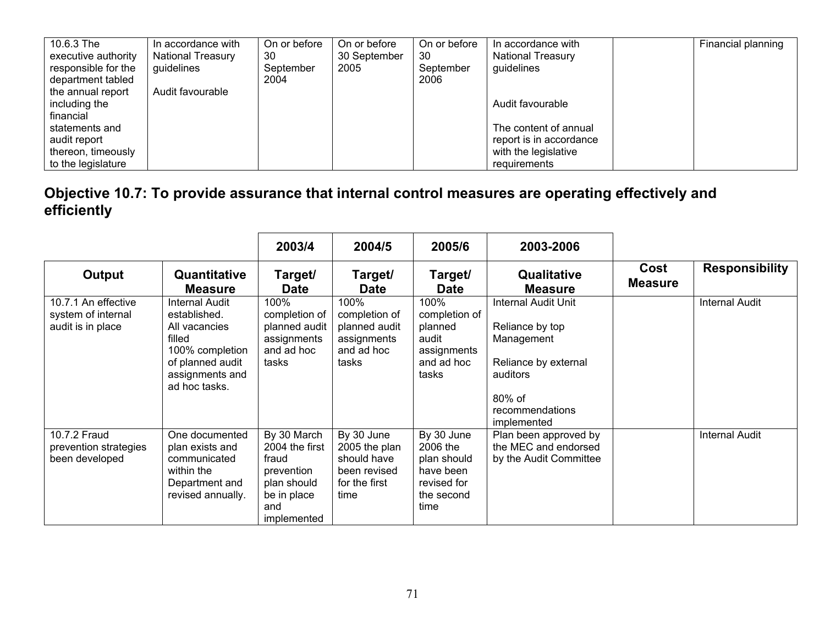| 10.6.3 The                                 | In accordance with                     | On or before    | On or before         | On or before    | In accordance with                     | Financial planning |
|--------------------------------------------|----------------------------------------|-----------------|----------------------|-----------------|----------------------------------------|--------------------|
| executive authority<br>responsible for the | <b>National Treasury</b><br>guidelines | 30<br>September | 30 September<br>2005 | 30<br>September | <b>National Treasury</b><br>guidelines |                    |
| department tabled                          |                                        | 2004            |                      | 2006            |                                        |                    |
| the annual report                          | Audit favourable                       |                 |                      |                 |                                        |                    |
| including the                              |                                        |                 |                      |                 | Audit favourable                       |                    |
| financial                                  |                                        |                 |                      |                 |                                        |                    |
| statements and                             |                                        |                 |                      |                 | The content of annual                  |                    |
| audit report                               |                                        |                 |                      |                 | report is in accordance                |                    |
| thereon, timeously                         |                                        |                 |                      |                 | with the legislative                   |                    |
| to the legislature                         |                                        |                 |                      |                 | requirements                           |                    |

| Objective 10.7: To provide assurance that internal control measures are operating effectively and |  |
|---------------------------------------------------------------------------------------------------|--|
| efficiently                                                                                       |  |

|                                                                |                                                                                                                                      | 2003/4                                                                                                   | 2004/5                                                                              | 2005/6                                                                                  | 2003-2006                                                                                                                            |                        |                       |
|----------------------------------------------------------------|--------------------------------------------------------------------------------------------------------------------------------------|----------------------------------------------------------------------------------------------------------|-------------------------------------------------------------------------------------|-----------------------------------------------------------------------------------------|--------------------------------------------------------------------------------------------------------------------------------------|------------------------|-----------------------|
| <b>Output</b>                                                  | Quantitative<br><b>Measure</b>                                                                                                       | Target/<br><b>Date</b>                                                                                   | Target/<br><b>Date</b>                                                              | Target/<br><b>Date</b>                                                                  | Qualitative<br><b>Measure</b>                                                                                                        | Cost<br><b>Measure</b> | <b>Responsibility</b> |
| 10.7.1 An effective<br>system of internal<br>audit is in place | Internal Audit<br>established.<br>All vacancies<br>filled<br>100% completion<br>of planned audit<br>assignments and<br>ad hoc tasks. | 100%<br>completion of<br>planned audit<br>assignments<br>and ad hoc<br>tasks                             | 100%<br>completion of<br>planned audit<br>assignments<br>and ad hoc<br>tasks        | 100%<br>completion of<br>planned<br>audit<br>assignments<br>and ad hoc<br>tasks         | Internal Audit Unit<br>Reliance by top<br>Management<br>Reliance by external<br>auditors<br>80% of<br>recommendations<br>implemented |                        | <b>Internal Audit</b> |
| 10.7.2 Fraud<br>prevention strategies<br>been developed        | One documented<br>plan exists and<br>communicated<br>within the<br>Department and<br>revised annually.                               | By 30 March<br>2004 the first<br>fraud<br>prevention<br>plan should<br>be in place<br>and<br>implemented | By 30 June<br>2005 the plan<br>should have<br>been revised<br>for the first<br>time | By 30 June<br>2006 the<br>plan should<br>have been<br>revised for<br>the second<br>time | Plan been approved by<br>the MEC and endorsed<br>by the Audit Committee                                                              |                        | <b>Internal Audit</b> |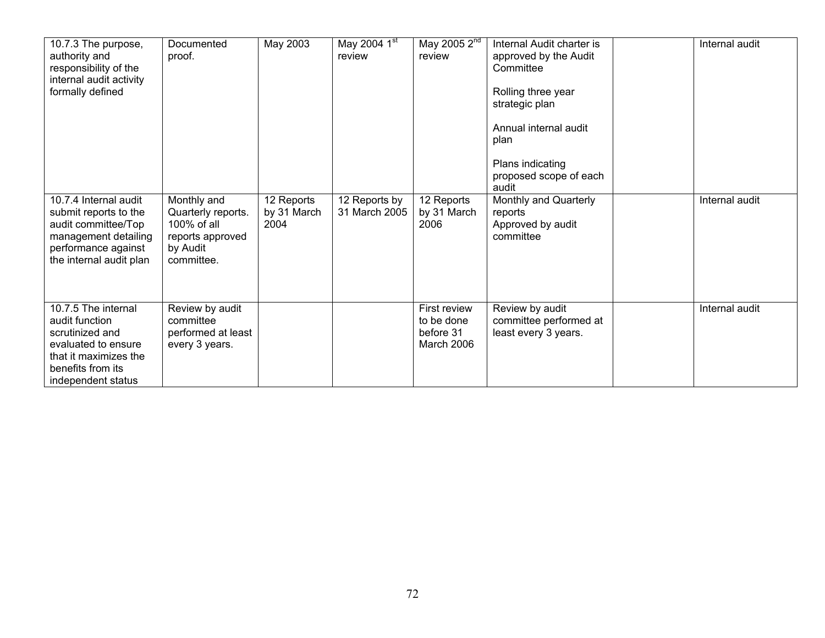| 10.7.3 The purpose,<br>authority and<br>responsibility of the<br>internal audit activity<br>formally defined                                        | Documented<br>proof.                                                                           | May 2003                          | May 2004 1st<br>review         | May 2005 2 <sup>nd</sup><br>review                    | Internal Audit charter is<br>approved by the Audit<br>Committee<br>Rolling three year<br>strategic plan<br>Annual internal audit<br>plan<br>Plans indicating<br>proposed scope of each<br>audit | Internal audit |
|-----------------------------------------------------------------------------------------------------------------------------------------------------|------------------------------------------------------------------------------------------------|-----------------------------------|--------------------------------|-------------------------------------------------------|-------------------------------------------------------------------------------------------------------------------------------------------------------------------------------------------------|----------------|
| 10.7.4 Internal audit<br>submit reports to the<br>audit committee/Top<br>management detailing<br>performance against<br>the internal audit plan     | Monthly and<br>Quarterly reports.<br>100% of all<br>reports approved<br>by Audit<br>committee. | 12 Reports<br>by 31 March<br>2004 | 12 Reports by<br>31 March 2005 | 12 Reports<br>by 31 March<br>2006                     | Monthly and Quarterly<br>reports<br>Approved by audit<br>committee                                                                                                                              | Internal audit |
| 10.7.5 The internal<br>audit function<br>scrutinized and<br>evaluated to ensure<br>that it maximizes the<br>benefits from its<br>independent status | Review by audit<br>committee<br>performed at least<br>every 3 years.                           |                                   |                                | First review<br>to be done<br>before 31<br>March 2006 | Review by audit<br>committee performed at<br>least every 3 years.                                                                                                                               | Internal audit |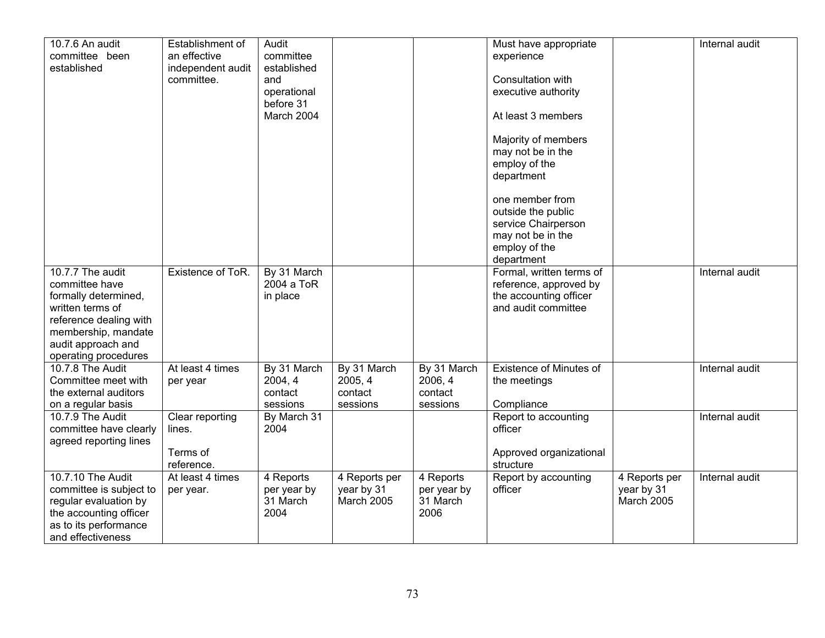| 10.7.6 An audit<br>committee been<br>established                                                                                                                              | Establishment of<br>an effective<br>independent audit<br>committee. | Audit<br>committee<br>established<br>and<br>operational<br>before 31<br>March 2004 |                                               |                                               | Must have appropriate<br>experience<br>Consultation with<br>executive authority<br>At least 3 members<br>Majority of members<br>may not be in the<br>employ of the<br>department |                                           | Internal audit |
|-------------------------------------------------------------------------------------------------------------------------------------------------------------------------------|---------------------------------------------------------------------|------------------------------------------------------------------------------------|-----------------------------------------------|-----------------------------------------------|----------------------------------------------------------------------------------------------------------------------------------------------------------------------------------|-------------------------------------------|----------------|
|                                                                                                                                                                               |                                                                     |                                                                                    |                                               |                                               | one member from<br>outside the public<br>service Chairperson<br>may not be in the<br>employ of the<br>department                                                                 |                                           |                |
| 10.7.7 The audit<br>committee have<br>formally determined,<br>written terms of<br>reference dealing with<br>membership, mandate<br>audit approach and<br>operating procedures | Existence of ToR.                                                   | By 31 March<br>2004 a ToR<br>in place                                              |                                               |                                               | Formal, written terms of<br>reference, approved by<br>the accounting officer<br>and audit committee                                                                              |                                           | Internal audit |
| 10.7.8 The Audit<br>Committee meet with<br>the external auditors<br>on a regular basis                                                                                        | At least 4 times<br>per year                                        | By 31 March<br>2004, 4<br>contact<br>sessions                                      | By 31 March<br>2005, 4<br>contact<br>sessions | By 31 March<br>2006, 4<br>contact<br>sessions | <b>Existence of Minutes of</b><br>the meetings<br>Compliance                                                                                                                     |                                           | Internal audit |
| 10.7.9 The Audit<br>committee have clearly<br>agreed reporting lines                                                                                                          | Clear reporting<br>lines.<br>Terms of<br>reference.                 | By March 31<br>2004                                                                |                                               |                                               | Report to accounting<br>officer<br>Approved organizational<br>structure                                                                                                          |                                           | Internal audit |
| 10.7.10 The Audit<br>committee is subject to<br>regular evaluation by<br>the accounting officer<br>as to its performance<br>and effectiveness                                 | At least 4 times<br>per year.                                       | 4 Reports<br>per year by<br>31 March<br>2004                                       | 4 Reports per<br>year by 31<br>March 2005     | 4 Reports<br>per year by<br>31 March<br>2006  | Report by accounting<br>officer                                                                                                                                                  | 4 Reports per<br>year by 31<br>March 2005 | Internal audit |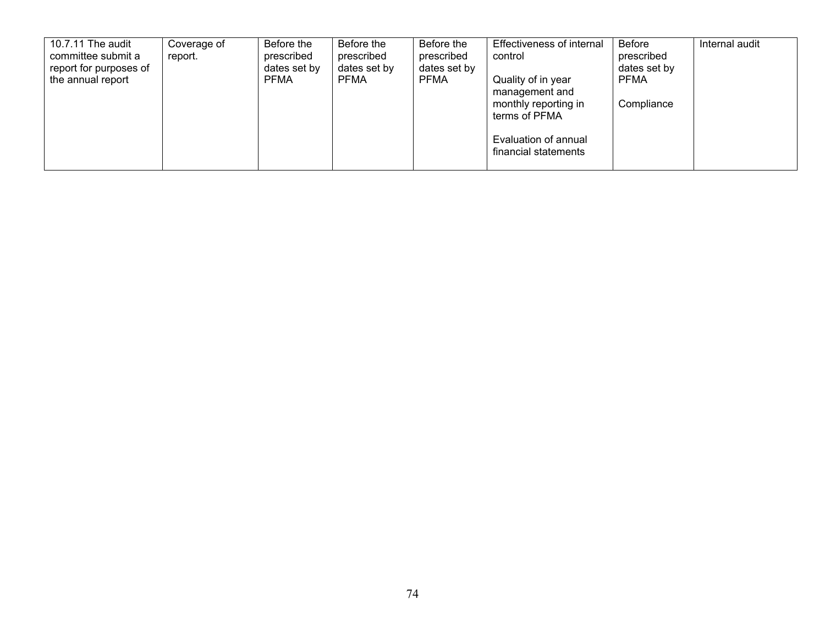| 10.7.11 The audit<br>committee submit a<br>report for purposes of<br>the annual report | Coverage of<br>report. | Before the<br>prescribed<br>dates set by<br><b>PFMA</b> | Before the<br>prescribed<br>dates set by<br><b>PFMA</b> | Before the<br>prescribed<br>dates set by<br><b>PFMA</b> | Effectiveness of internal<br>control<br>Quality of in year<br>management and<br>monthly reporting in<br>terms of PFMA<br>Evaluation of annual<br>financial statements | Before<br>prescribed<br>dates set by<br><b>PFMA</b><br>Compliance | Internal audit |
|----------------------------------------------------------------------------------------|------------------------|---------------------------------------------------------|---------------------------------------------------------|---------------------------------------------------------|-----------------------------------------------------------------------------------------------------------------------------------------------------------------------|-------------------------------------------------------------------|----------------|
|----------------------------------------------------------------------------------------|------------------------|---------------------------------------------------------|---------------------------------------------------------|---------------------------------------------------------|-----------------------------------------------------------------------------------------------------------------------------------------------------------------------|-------------------------------------------------------------------|----------------|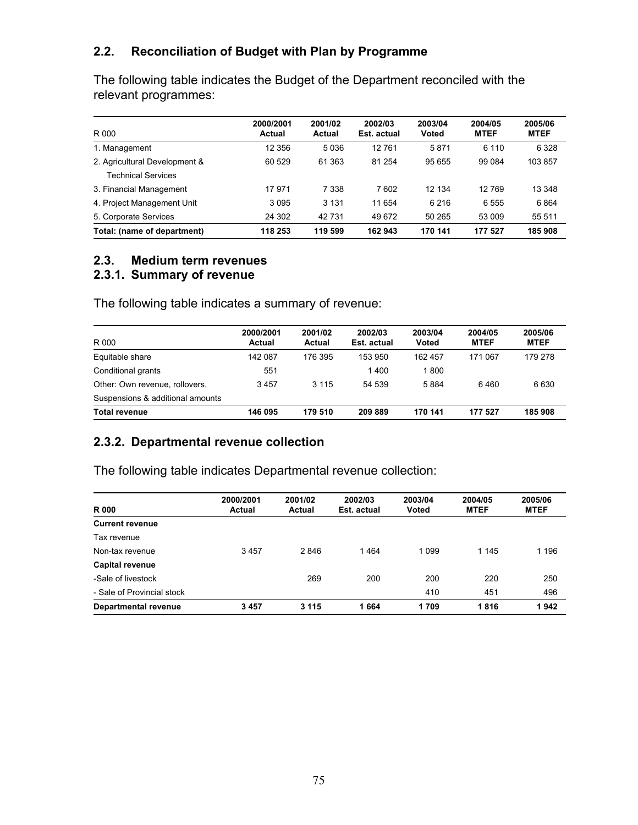### **2.2. Reconciliation of Budget with Plan by Programme**

The following table indicates the Budget of the Department reconciled with the relevant programmes:

| R 000                                               | 2000/2001<br>Actual | 2001/02<br>Actual | 2002/03<br>Est. actual | 2003/04<br>Voted | 2004/05<br><b>MTEF</b> | 2005/06<br><b>MTEF</b> |
|-----------------------------------------------------|---------------------|-------------------|------------------------|------------------|------------------------|------------------------|
| 1. Management                                       | 12 356              | 5036              | 12761                  | 5871             | 6 1 1 0                | 6 3 2 8                |
| 2. Agricultural Development &<br>Technical Services | 60 529              | 61 363            | 81 254                 | 95 655           | 99 084                 | 103857                 |
| 3. Financial Management                             | 17971               | 7 3 3 8           | 7602                   | 12 134           | 12769                  | 13 348                 |
| 4. Project Management Unit                          | 3095                | 3 1 3 1           | 11 654                 | 6 2 1 6          | 6555                   | 6864                   |
| 5. Corporate Services                               | 24 302              | 42731             | 49 672                 | 50 265           | 53 009                 | 55 511                 |
| Total: (name of department)                         | 118 253             | 119 599           | 162 943                | 170 141          | 177 527                | 185 908                |

### **2.3. Medium term revenues**

### **2.3.1. Summary of revenue**

The following table indicates a summary of revenue:

| R 000                            | 2000/2001<br><b>Actual</b> | 2001/02<br>Actual | 2002/03<br>Est. actual | 2003/04<br><b>Voted</b> | 2004/05<br><b>MTEF</b> | 2005/06<br><b>MTEF</b> |
|----------------------------------|----------------------------|-------------------|------------------------|-------------------------|------------------------|------------------------|
| Equitable share                  | 142 087                    | 176 395           | 153 950                | 162 457                 | 171 067                | 179 278                |
| Conditional grants               | 551                        |                   | 1400                   | 1800                    |                        |                        |
| Other: Own revenue, rollovers,   | 3457                       | 3 1 1 5           | 54 539                 | 5884                    | 6460                   | 6630                   |
| Suspensions & additional amounts |                            |                   |                        |                         |                        |                        |
| <b>Total revenue</b>             | 146 095                    | 179 510           | 209889                 | 170 141                 | 177 527                | 185908                 |

# **2.3.2. Departmental revenue collection**

The following table indicates Departmental revenue collection:

| <b>R000</b>                | 2000/2001<br>Actual | 2001/02<br>Actual | 2002/03<br>Est. actual | 2003/04<br><b>Voted</b> | 2004/05<br><b>MTEF</b> | 2005/06<br><b>MTEF</b> |
|----------------------------|---------------------|-------------------|------------------------|-------------------------|------------------------|------------------------|
| <b>Current revenue</b>     |                     |                   |                        |                         |                        |                        |
| Tax revenue                |                     |                   |                        |                         |                        |                        |
| Non-tax revenue            | 3457                | 2846              | 1464                   | 1 0 9 9                 | 1 1 4 5                | 1 1 9 6                |
| <b>Capital revenue</b>     |                     |                   |                        |                         |                        |                        |
| -Sale of livestock         |                     | 269               | 200                    | 200                     | 220                    | 250                    |
| - Sale of Provincial stock |                     |                   |                        | 410                     | 451                    | 496                    |
| Departmental revenue       | 3457                | 3 1 1 5           | 1664                   | 1709                    | 1816                   | 1942                   |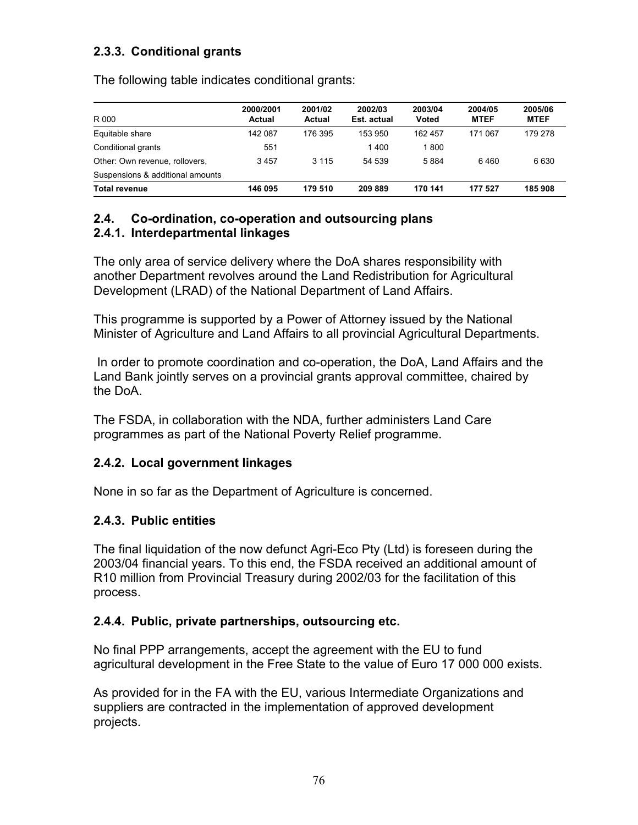# **2.3.3. Conditional grants**

The following table indicates conditional grants:

| R 000                            | 2000/2001<br><b>Actual</b> | 2001/02<br>Actual | 2002/03<br>Est. actual | 2003/04<br><b>Voted</b> | 2004/05<br><b>MTEF</b> | 2005/06<br><b>MTEF</b> |
|----------------------------------|----------------------------|-------------------|------------------------|-------------------------|------------------------|------------------------|
| Equitable share                  | 142 087                    | 176 395           | 153 950                | 162 457                 | 171 067                | 179 278                |
| Conditional grants               | 551                        |                   | 1400                   | 1800                    |                        |                        |
| Other: Own revenue, rollovers,   | 3457                       | 3 1 1 5           | 54 539                 | 5884                    | 6460                   | 6630                   |
| Suspensions & additional amounts |                            |                   |                        |                         |                        |                        |
| <b>Total revenue</b>             | 146 095                    | 179 510           | 209889                 | 170 141                 | 177 527                | 185 908                |

#### **2.4. Co-ordination, co-operation and outsourcing plans 2.4.1. Interdepartmental linkages**

The only area of service delivery where the DoA shares responsibility with another Department revolves around the Land Redistribution for Agricultural Development (LRAD) of the National Department of Land Affairs.

This programme is supported by a Power of Attorney issued by the National Minister of Agriculture and Land Affairs to all provincial Agricultural Departments.

 In order to promote coordination and co-operation, the DoA, Land Affairs and the Land Bank jointly serves on a provincial grants approval committee, chaired by the DoA.

The FSDA, in collaboration with the NDA, further administers Land Care programmes as part of the National Poverty Relief programme.

### **2.4.2. Local government linkages**

None in so far as the Department of Agriculture is concerned.

# **2.4.3. Public entities**

The final liquidation of the now defunct Agri-Eco Pty (Ltd) is foreseen during the 2003/04 financial years. To this end, the FSDA received an additional amount of R10 million from Provincial Treasury during 2002/03 for the facilitation of this process.

### **2.4.4. Public, private partnerships, outsourcing etc.**

No final PPP arrangements, accept the agreement with the EU to fund agricultural development in the Free State to the value of Euro 17 000 000 exists.

As provided for in the FA with the EU, various Intermediate Organizations and suppliers are contracted in the implementation of approved development projects.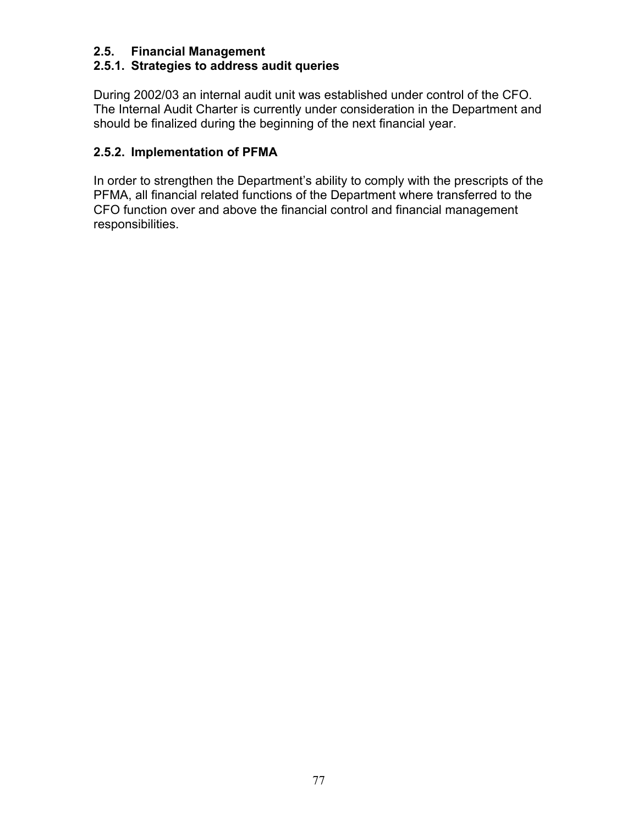### **2.5. Financial Management**

# **2.5.1. Strategies to address audit queries**

During 2002/03 an internal audit unit was established under control of the CFO. The Internal Audit Charter is currently under consideration in the Department and should be finalized during the beginning of the next financial year.

# **2.5.2. Implementation of PFMA**

In order to strengthen the Department's ability to comply with the prescripts of the PFMA, all financial related functions of the Department where transferred to the CFO function over and above the financial control and financial management responsibilities.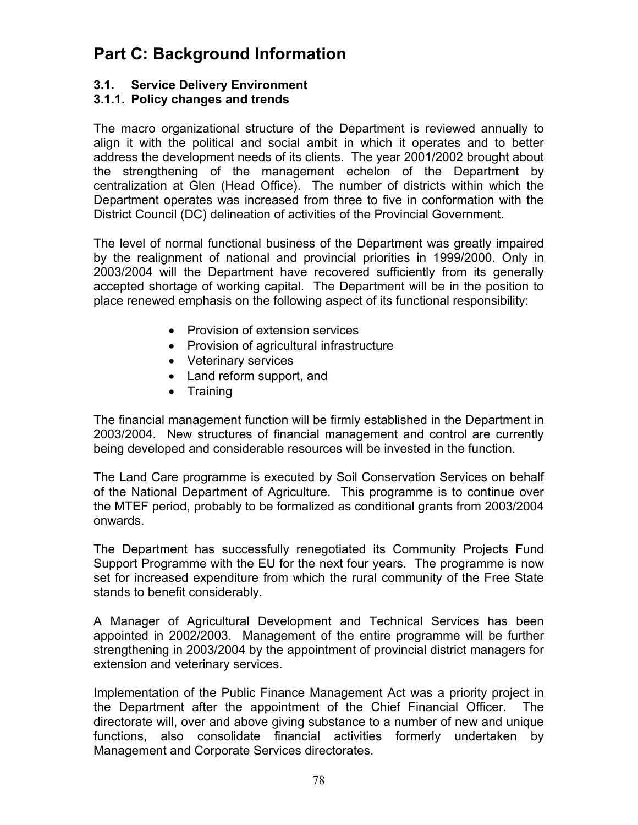# **Part C: Background Information**

# **3.1. Service Delivery Environment**

### **3.1.1. Policy changes and trends**

The macro organizational structure of the Department is reviewed annually to align it with the political and social ambit in which it operates and to better address the development needs of its clients. The year 2001/2002 brought about the strengthening of the management echelon of the Department by centralization at Glen (Head Office). The number of districts within which the Department operates was increased from three to five in conformation with the District Council (DC) delineation of activities of the Provincial Government.

The level of normal functional business of the Department was greatly impaired by the realignment of national and provincial priorities in 1999/2000. Only in 2003/2004 will the Department have recovered sufficiently from its generally accepted shortage of working capital. The Department will be in the position to place renewed emphasis on the following aspect of its functional responsibility:

- Provision of extension services
- Provision of agricultural infrastructure
- Veterinary services
- Land reform support, and
- Training

The financial management function will be firmly established in the Department in 2003/2004. New structures of financial management and control are currently being developed and considerable resources will be invested in the function.

The Land Care programme is executed by Soil Conservation Services on behalf of the National Department of Agriculture. This programme is to continue over the MTEF period, probably to be formalized as conditional grants from 2003/2004 onwards.

The Department has successfully renegotiated its Community Projects Fund Support Programme with the EU for the next four years. The programme is now set for increased expenditure from which the rural community of the Free State stands to benefit considerably.

A Manager of Agricultural Development and Technical Services has been appointed in 2002/2003. Management of the entire programme will be further strengthening in 2003/2004 by the appointment of provincial district managers for extension and veterinary services.

Implementation of the Public Finance Management Act was a priority project in the Department after the appointment of the Chief Financial Officer. The directorate will, over and above giving substance to a number of new and unique functions, also consolidate financial activities formerly undertaken by Management and Corporate Services directorates.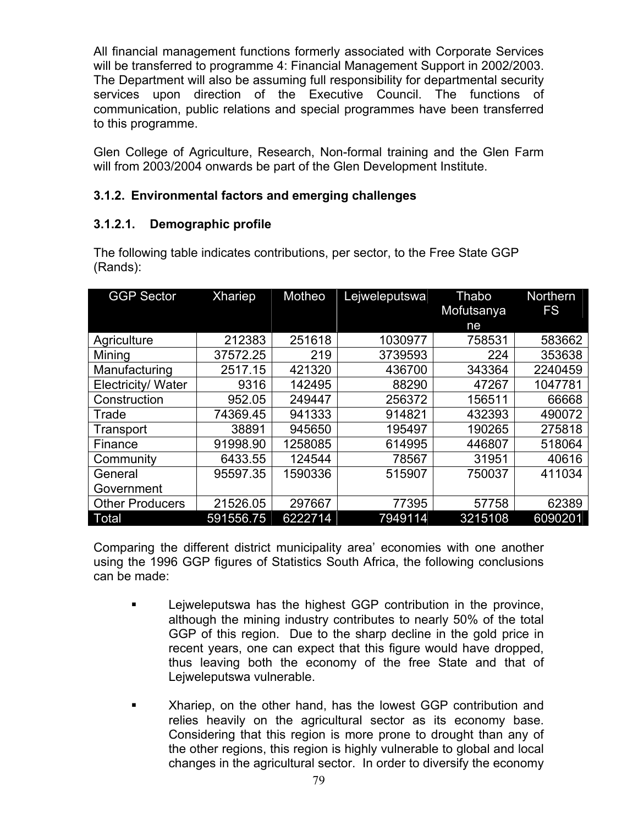All financial management functions formerly associated with Corporate Services will be transferred to programme 4: Financial Management Support in 2002/2003. The Department will also be assuming full responsibility for departmental security services upon direction of the Executive Council. The functions of communication, public relations and special programmes have been transferred to this programme.

Glen College of Agriculture, Research, Non-formal training and the Glen Farm will from 2003/2004 onwards be part of the Glen Development Institute.

# **3.1.2. Environmental factors and emerging challenges**

# **3.1.2.1. Demographic profile**

| <b>GGP Sector</b>      | <b>Xhariep</b> | Motheo  | Lejweleputswa | Thabo<br>Mofutsanya | <b>Northern</b><br><b>FS</b> |
|------------------------|----------------|---------|---------------|---------------------|------------------------------|
|                        |                |         |               | ne                  |                              |
| Agriculture            | 212383         | 251618  | 1030977       | 758531              | 583662                       |
| Mining                 | 37572.25       | 219     | 3739593       | 224                 | 353638                       |
| Manufacturing          | 2517.15        | 421320  | 436700        | 343364              | 2240459                      |
| Electricity/ Water     | 9316           | 142495  | 88290         | 47267               | 1047781                      |
| Construction           | 952.05         | 249447  | 256372        | 156511              | 66668                        |
| Trade                  | 74369.45       | 941333  | 914821        | 432393              | 490072                       |
| Transport              | 38891          | 945650  | 195497        | 190265              | 275818                       |
| Finance                | 91998.90       | 1258085 | 614995        | 446807              | 518064                       |
| Community              | 6433.55        | 124544  | 78567         | 31951               | 40616                        |
| General                | 95597.35       | 1590336 | 515907        | 750037              | 411034                       |
| Government             |                |         |               |                     |                              |
| <b>Other Producers</b> | 21526.05       | 297667  | 77395         | 57758               | 62389                        |
| Total                  | 591556.75      | 6222714 | 7949114       | 3215108             | 6090201                      |

The following table indicates contributions, per sector, to the Free State GGP (Rands):

Comparing the different district municipality area' economies with one another using the 1996 GGP figures of Statistics South Africa, the following conclusions can be made:

- **EXECUTE:** Lejweleputswa has the highest GGP contribution in the province, although the mining industry contributes to nearly 50% of the total GGP of this region. Due to the sharp decline in the gold price in recent years, one can expect that this figure would have dropped, thus leaving both the economy of the free State and that of Lejweleputswa vulnerable.
- Xhariep, on the other hand, has the lowest GGP contribution and relies heavily on the agricultural sector as its economy base. Considering that this region is more prone to drought than any of the other regions, this region is highly vulnerable to global and local changes in the agricultural sector. In order to diversify the economy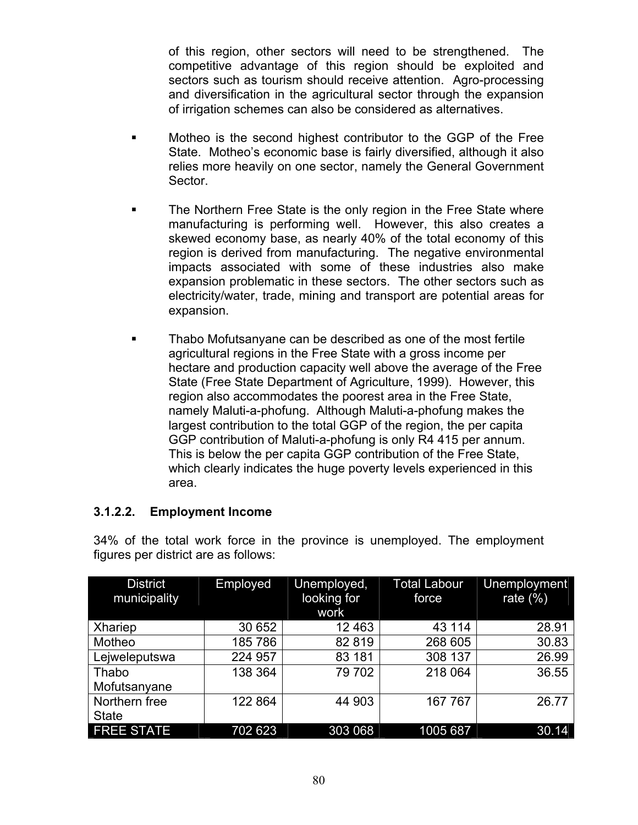of this region, other sectors will need to be strengthened. The competitive advantage of this region should be exploited and sectors such as tourism should receive attention. Agro-processing and diversification in the agricultural sector through the expansion of irrigation schemes can also be considered as alternatives.

- Motheo is the second highest contributor to the GGP of the Free State. Motheo's economic base is fairly diversified, although it also relies more heavily on one sector, namely the General Government Sector.
- The Northern Free State is the only region in the Free State where manufacturing is performing well. However, this also creates a skewed economy base, as nearly 40% of the total economy of this region is derived from manufacturing. The negative environmental impacts associated with some of these industries also make expansion problematic in these sectors. The other sectors such as electricity/water, trade, mining and transport are potential areas for expansion.
- Thabo Mofutsanyane can be described as one of the most fertile agricultural regions in the Free State with a gross income per hectare and production capacity well above the average of the Free State (Free State Department of Agriculture, 1999). However, this region also accommodates the poorest area in the Free State, namely Maluti-a-phofung. Although Maluti-a-phofung makes the largest contribution to the total GGP of the region, the per capita GGP contribution of Maluti-a-phofung is only R4 415 per annum. This is below the per capita GGP contribution of the Free State, which clearly indicates the huge poverty levels experienced in this area.

### **3.1.2.2. Employment Income**

| <b>District</b><br>municipality | Employed | Unemployed,<br>looking for<br>work | <b>Total Labour</b><br>force | Unemployment<br>rate $(\%)$ |
|---------------------------------|----------|------------------------------------|------------------------------|-----------------------------|
| Xhariep                         | 30 652   | 12 463                             | 43 114                       | 28.91                       |
| Motheo                          | 185786   | 82 819                             | 268 605                      | 30.83                       |
| Lejweleputswa                   | 224 957  | 83 181                             | 308 137                      | 26.99                       |
| Thabo                           | 138 364  | 79 702                             | 218 064                      | 36.55                       |
| Mofutsanyane                    |          |                                    |                              |                             |
| Northern free                   | 122 864  | 44 903                             | 167 767                      | 26.77                       |
| <b>State</b>                    |          |                                    |                              |                             |
| <b>FREE STATE</b>               | 702 623  | 303 068                            | 1005 687                     | 30.14                       |

34% of the total work force in the province is unemployed. The employment figures per district are as follows: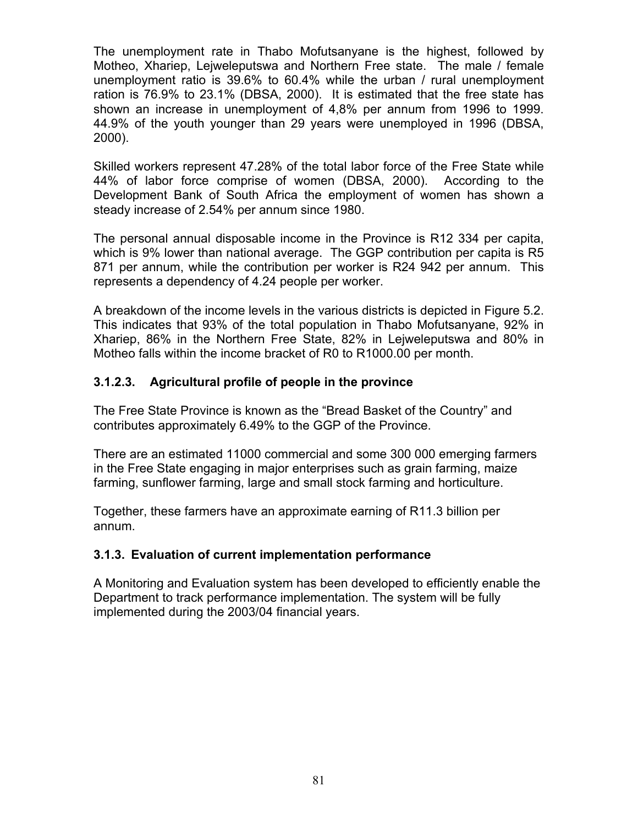The unemployment rate in Thabo Mofutsanyane is the highest, followed by Motheo, Xhariep, Lejweleputswa and Northern Free state. The male / female unemployment ratio is 39.6% to 60.4% while the urban / rural unemployment ration is 76.9% to 23.1% (DBSA, 2000). It is estimated that the free state has shown an increase in unemployment of 4,8% per annum from 1996 to 1999. 44.9% of the youth younger than 29 years were unemployed in 1996 (DBSA, 2000).

Skilled workers represent 47.28% of the total labor force of the Free State while 44% of labor force comprise of women (DBSA, 2000). According to the Development Bank of South Africa the employment of women has shown a steady increase of 2.54% per annum since 1980.

The personal annual disposable income in the Province is R12 334 per capita, which is 9% lower than national average. The GGP contribution per capita is R5 871 per annum, while the contribution per worker is R24 942 per annum. This represents a dependency of 4.24 people per worker.

A breakdown of the income levels in the various districts is depicted in Figure 5.2. This indicates that 93% of the total population in Thabo Mofutsanyane, 92% in Xhariep, 86% in the Northern Free State, 82% in Lejweleputswa and 80% in Motheo falls within the income bracket of R0 to R1000.00 per month.

# **3.1.2.3. Agricultural profile of people in the province**

The Free State Province is known as the "Bread Basket of the Country" and contributes approximately 6.49% to the GGP of the Province.

There are an estimated 11000 commercial and some 300 000 emerging farmers in the Free State engaging in major enterprises such as grain farming, maize farming, sunflower farming, large and small stock farming and horticulture.

Together, these farmers have an approximate earning of R11.3 billion per annum.

### **3.1.3. Evaluation of current implementation performance**

A Monitoring and Evaluation system has been developed to efficiently enable the Department to track performance implementation. The system will be fully implemented during the 2003/04 financial years.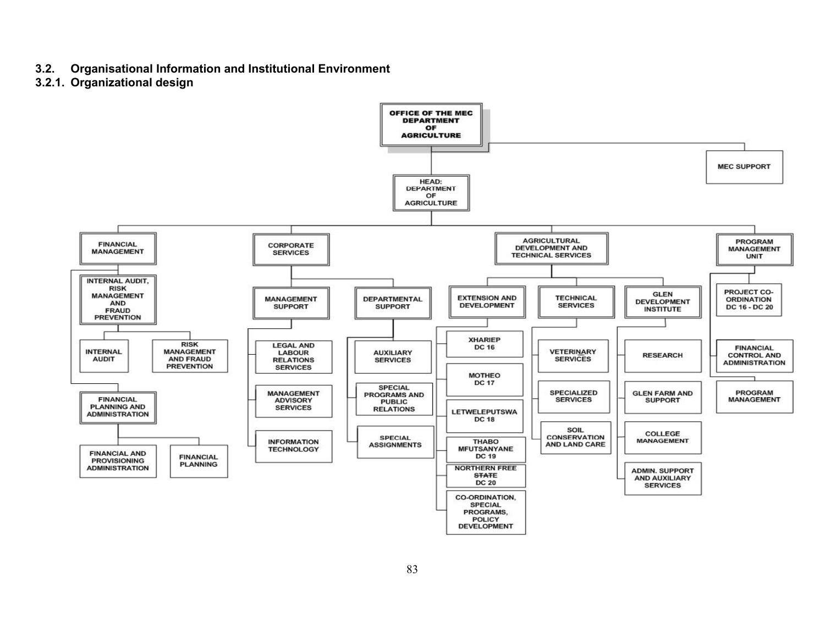- **3.2. Organisational Information and Institutional Environment**
- **3.2.1. Organizational design**

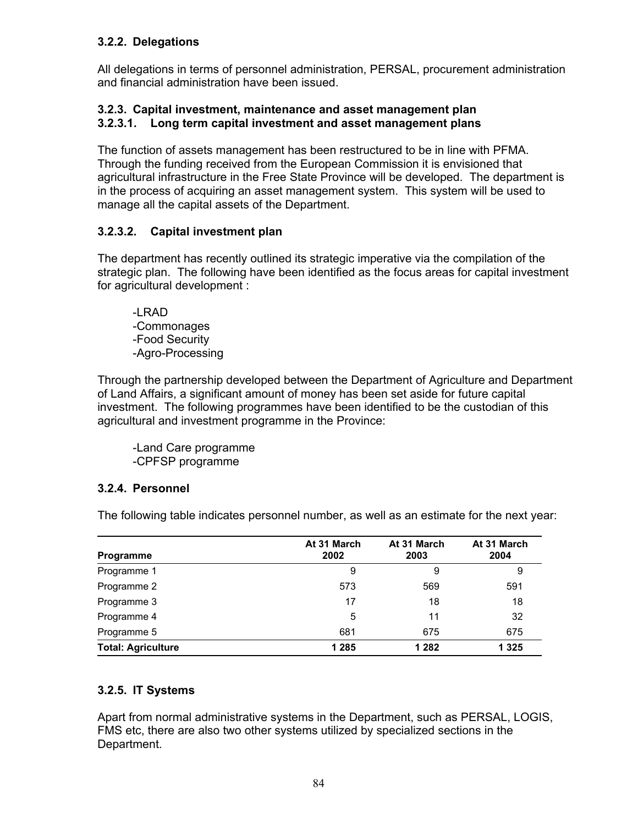#### **3.2.2. Delegations**

All delegations in terms of personnel administration, PERSAL, procurement administration and financial administration have been issued.

#### **3.2.3. Capital investment, maintenance and asset management plan 3.2.3.1. Long term capital investment and asset management plans**

The function of assets management has been restructured to be in line with PFMA. Through the funding received from the European Commission it is envisioned that agricultural infrastructure in the Free State Province will be developed. The department is in the process of acquiring an asset management system. This system will be used to manage all the capital assets of the Department.

### **3.2.3.2. Capital investment plan**

The department has recently outlined its strategic imperative via the compilation of the strategic plan. The following have been identified as the focus areas for capital investment for agricultural development :

-LRAD -Commonages -Food Security -Agro-Processing

Through the partnership developed between the Department of Agriculture and Department of Land Affairs, a significant amount of money has been set aside for future capital investment. The following programmes have been identified to be the custodian of this agricultural and investment programme in the Province:

-Land Care programme -CPFSP programme

#### **3.2.4. Personnel**

The following table indicates personnel number, as well as an estimate for the next year:

| <b>Programme</b>          | At 31 March<br>2002 | At 31 March<br>2003 | At 31 March<br>2004 |
|---------------------------|---------------------|---------------------|---------------------|
| Programme 1               | 9                   | 9                   | 9                   |
| Programme 2               | 573                 | 569                 | 591                 |
| Programme 3               | 17                  | 18                  | 18                  |
| Programme 4               | 5                   | 11                  | 32                  |
| Programme 5               | 681                 | 675                 | 675                 |
| <b>Total: Agriculture</b> | 1 2 8 5             | 1 2 8 2             | 1 3 2 5             |

### **3.2.5. IT Systems**

Apart from normal administrative systems in the Department, such as PERSAL, LOGIS, FMS etc, there are also two other systems utilized by specialized sections in the Department.